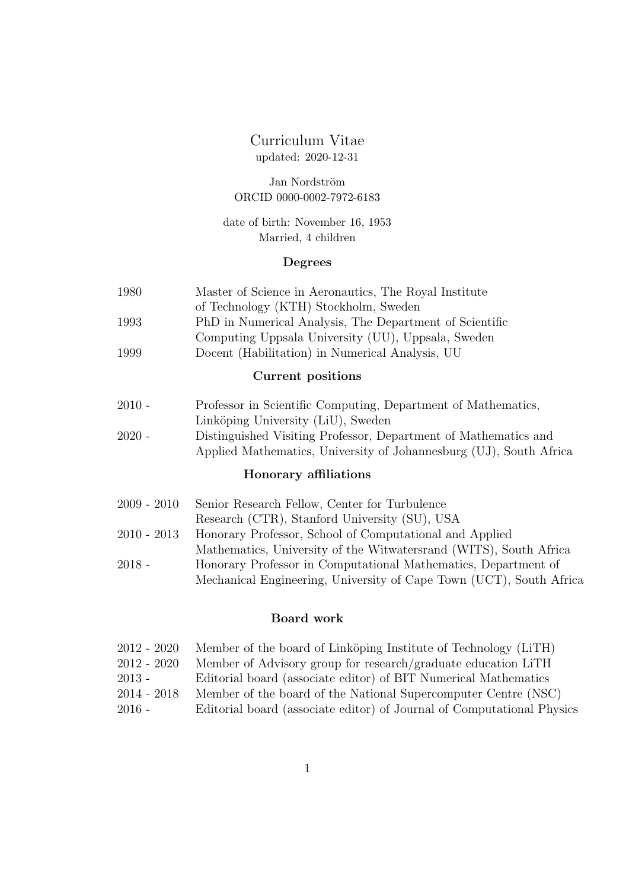# Curriculum Vitae updated: 2020-12-31

Jan Nordström ORCID 0000-0002-7972-6183

date of birth: November 16, 1953 Married, 4 children

# Degrees

| 1980 | Master of Science in Aeronautics, The Royal Institute   |
|------|---------------------------------------------------------|
|      | of Technology (KTH) Stockholm, Sweden                   |
| 1993 | PhD in Numerical Analysis, The Department of Scientific |
|      | Computing Uppsala University (UU), Uppsala, Sweden      |

1999 Docent (Habilitation) in Numerical Analysis, UU

## Current positions

- 2010 Professor in Scientific Computing, Department of Mathematics, Linköping University (LiU), Sweden
- 2020 Distinguished Visiting Professor, Department of Mathematics and Applied Mathematics, University of Johannesburg (UJ), South Africa

### Honorary affiliations

| $2009 - 2010$ | Senior Research Fellow, Center for Turbulence                       |
|---------------|---------------------------------------------------------------------|
|               | Research (CTR), Stanford University (SU), USA                       |
| $2010 - 2013$ | Honorary Professor, School of Computational and Applied             |
|               | Mathematics, University of the Witwatersrand (WITS), South Africa   |
| $2018 -$      | Honorary Professor in Computational Mathematics, Department of      |
|               | Mechanical Engineering, University of Cape Town (UCT), South Africa |

# Board work

| $2012 - 2020$ | Member of the board of Linköping Institute of Technology (LiTH)        |
|---------------|------------------------------------------------------------------------|
| $2012 - 2020$ | Member of Advisory group for research/graduate education LiTH          |
| $2013 -$      | Editorial board (associate editor) of BIT Numerical Mathematics        |
| $2014 - 2018$ | Member of the board of the National Supercomputer Centre (NSC)         |
| $2016 -$      | Editorial board (associate editor) of Journal of Computational Physics |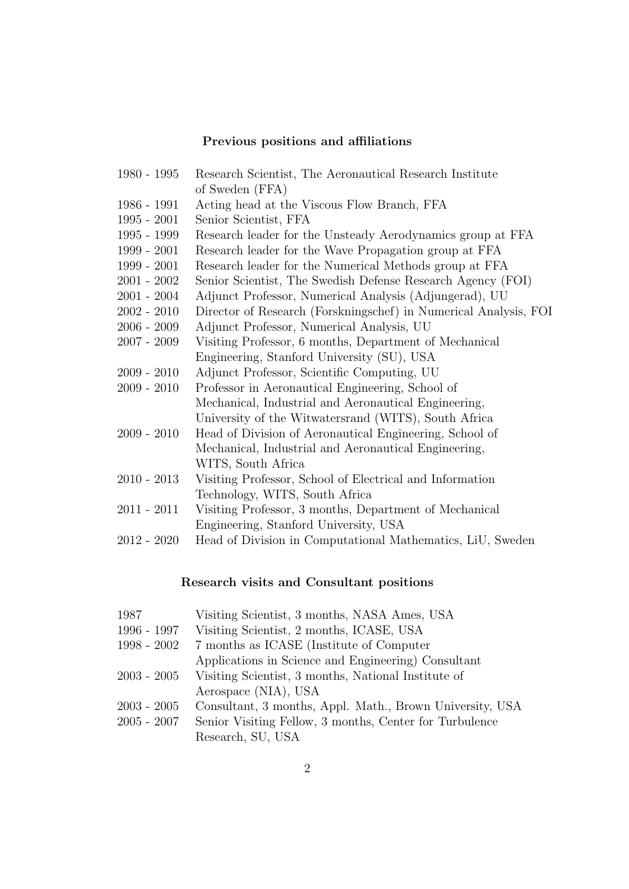# Previous positions and affiliations

| $1980 - 1995$ | Research Scientist, The Aeronautical Research Institute          |
|---------------|------------------------------------------------------------------|
|               | of Sweden (FFA)                                                  |
| 1986 - 1991   | Acting head at the Viscous Flow Branch, FFA                      |
| $1995 - 2001$ | Senior Scientist, FFA                                            |
| $1995 - 1999$ | Research leader for the Unsteady Aerodynamics group at FFA       |
| $1999 - 2001$ | Research leader for the Wave Propagation group at FFA            |
| $1999 - 2001$ | Research leader for the Numerical Methods group at FFA           |
| $2001 - 2002$ | Senior Scientist, The Swedish Defense Research Agency (FOI)      |
| $2001 - 2004$ | Adjunct Professor, Numerical Analysis (Adjungerad), UU           |
| $2002 - 2010$ | Director of Research (Forskningschef) in Numerical Analysis, FOI |
| $2006 - 2009$ | Adjunct Professor, Numerical Analysis, UU                        |
| $2007 - 2009$ | Visiting Professor, 6 months, Department of Mechanical           |
|               | Engineering, Stanford University (SU), USA                       |
| $2009 - 2010$ | Adjunct Professor, Scientific Computing, UU                      |
| $2009 - 2010$ | Professor in Aeronautical Engineering, School of                 |
|               | Mechanical, Industrial and Aeronautical Engineering,             |
|               | University of the Witwatersrand (WITS), South Africa             |
| $2009 - 2010$ | Head of Division of Aeronautical Engineering, School of          |
|               | Mechanical, Industrial and Aeronautical Engineering,             |
|               | WITS, South Africa                                               |
| $2010 - 2013$ | Visiting Professor, School of Electrical and Information         |
|               | Technology, WITS, South Africa                                   |
| $2011 - 2011$ | Visiting Professor, 3 months, Department of Mechanical           |
|               | Engineering, Stanford University, USA                            |
| $2012 - 2020$ | Head of Division in Computational Mathematics, LiU, Sweden       |
|               |                                                                  |

# Research visits and Consultant positions

| 1987            | Visiting Scientist, 3 months, NASA Ames, USA             |
|-----------------|----------------------------------------------------------|
| 1996 - 1997     | Visiting Scientist, 2 months, ICASE, USA                 |
| 1998 - 2002     | 7 months as ICASE (Institute of Computer)                |
|                 | Applications in Science and Engineering) Consultant      |
| $2003$ - $2005$ | Visiting Scientist, 3 months, National Institute of      |
|                 | Aerospace (NIA), USA                                     |
| $2003 - 2005$   | Consultant, 3 months, Appl. Math., Brown University, USA |
| $2005$ - $2007$ | Senior Visiting Fellow, 3 months, Center for Turbulence  |
|                 | Research, SU, USA                                        |
|                 |                                                          |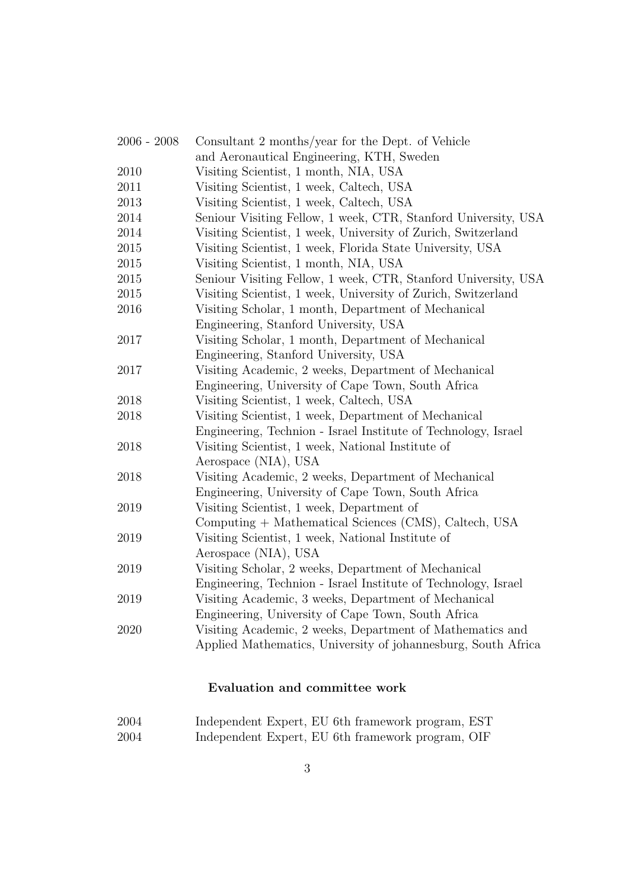| $2006 - 2008$ | Consultant 2 months/year for the Dept. of Vehicle              |
|---------------|----------------------------------------------------------------|
|               | and Aeronautical Engineering, KTH, Sweden                      |
| 2010          | Visiting Scientist, 1 month, NIA, USA                          |
| 2011          | Visiting Scientist, 1 week, Caltech, USA                       |
| 2013          | Visiting Scientist, 1 week, Caltech, USA                       |
| 2014          | Seniour Visiting Fellow, 1 week, CTR, Stanford University, USA |
| 2014          | Visiting Scientist, 1 week, University of Zurich, Switzerland  |
| 2015          | Visiting Scientist, 1 week, Florida State University, USA      |
| $2015\,$      | Visiting Scientist, 1 month, NIA, USA                          |
| 2015          | Seniour Visiting Fellow, 1 week, CTR, Stanford University, USA |
| $2015\,$      | Visiting Scientist, 1 week, University of Zurich, Switzerland  |
| 2016          | Visiting Scholar, 1 month, Department of Mechanical            |
|               | Engineering, Stanford University, USA                          |
| 2017          | Visiting Scholar, 1 month, Department of Mechanical            |
|               | Engineering, Stanford University, USA                          |
| 2017          | Visiting Academic, 2 weeks, Department of Mechanical           |
|               | Engineering, University of Cape Town, South Africa             |
| 2018          | Visiting Scientist, 1 week, Caltech, USA                       |
| 2018          | Visiting Scientist, 1 week, Department of Mechanical           |
|               | Engineering, Technion - Israel Institute of Technology, Israel |
| 2018          | Visiting Scientist, 1 week, National Institute of              |
|               | Aerospace (NIA), USA                                           |
| 2018          | Visiting Academic, 2 weeks, Department of Mechanical           |
|               | Engineering, University of Cape Town, South Africa             |
| 2019          | Visiting Scientist, 1 week, Department of                      |
|               | Computing + Mathematical Sciences (CMS), Caltech, USA          |
| 2019          | Visiting Scientist, 1 week, National Institute of              |
|               | Aerospace (NIA), USA                                           |
| 2019          | Visiting Scholar, 2 weeks, Department of Mechanical            |
|               | Engineering, Technion - Israel Institute of Technology, Israel |
| 2019          | Visiting Academic, 3 weeks, Department of Mechanical           |
|               | Engineering, University of Cape Town, South Africa             |
| 2020          | Visiting Academic, 2 weeks, Department of Mathematics and      |
|               | Applied Mathematics, University of johannesburg, South Africa  |

# Evaluation and committee work

| 2004 | Independent Expert, EU 6th framework program, EST |  |  |  |
|------|---------------------------------------------------|--|--|--|
| 2004 | Independent Expert, EU 6th framework program, OIF |  |  |  |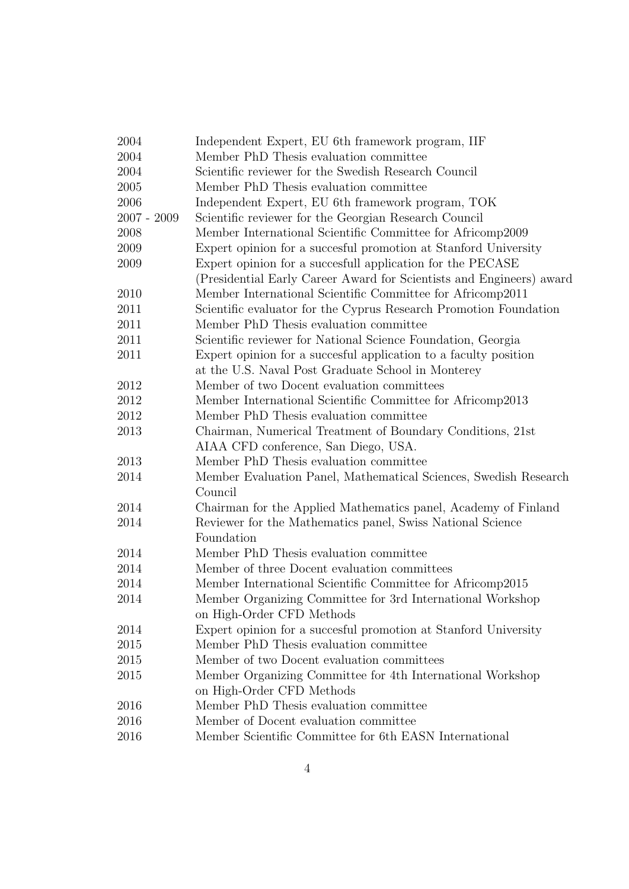| 2004          | Independent Expert, EU 6th framework program, IIF                    |  |  |
|---------------|----------------------------------------------------------------------|--|--|
| 2004          | Member PhD Thesis evaluation committee                               |  |  |
| 2004          | Scientific reviewer for the Swedish Research Council                 |  |  |
| 2005          | Member PhD Thesis evaluation committee                               |  |  |
| 2006          | Independent Expert, EU 6th framework program, TOK                    |  |  |
| $2007 - 2009$ | Scientific reviewer for the Georgian Research Council                |  |  |
| 2008          | Member International Scientific Committee for Africomp2009           |  |  |
| 2009          | Expert opinion for a succesful promotion at Stanford University      |  |  |
| 2009          | Expert opinion for a succesfull application for the PECASE           |  |  |
|               | (Presidential Early Career Award for Scientists and Engineers) award |  |  |
| 2010          | Member International Scientific Committee for Africomp2011           |  |  |
| 2011          | Scientific evaluator for the Cyprus Research Promotion Foundation    |  |  |
| 2011          | Member PhD Thesis evaluation committee                               |  |  |
| 2011          | Scientific reviewer for National Science Foundation, Georgia         |  |  |
| 2011          | Expert opinion for a succesful application to a faculty position     |  |  |
|               | at the U.S. Naval Post Graduate School in Monterey                   |  |  |
| 2012          | Member of two Docent evaluation committees                           |  |  |
| 2012          | Member International Scientific Committee for Africomp2013           |  |  |
| 2012          | Member PhD Thesis evaluation committee                               |  |  |
| 2013          | Chairman, Numerical Treatment of Boundary Conditions, 21st           |  |  |
|               | AIAA CFD conference, San Diego, USA.                                 |  |  |
| 2013          | Member PhD Thesis evaluation committee                               |  |  |
| 2014          | Member Evaluation Panel, Mathematical Sciences, Swedish Research     |  |  |
|               | Council                                                              |  |  |
| 2014          | Chairman for the Applied Mathematics panel, Academy of Finland       |  |  |
| 2014          | Reviewer for the Mathematics panel, Swiss National Science           |  |  |
|               | Foundation                                                           |  |  |
| 2014          | Member PhD Thesis evaluation committee                               |  |  |
| 2014          | Member of three Docent evaluation committees                         |  |  |
| 2014          | Member International Scientific Committee for Africomp2015           |  |  |
| 2014          | Member Organizing Committee for 3rd International Workshop           |  |  |
|               | on High-Order CFD Methods                                            |  |  |
| 2014          | Expert opinion for a succesful promotion at Stanford University      |  |  |
| 2015          | Member PhD Thesis evaluation committee                               |  |  |
| 2015          | Member of two Docent evaluation committees                           |  |  |
| 2015          | Member Organizing Committee for 4th International Workshop           |  |  |
|               | on High-Order CFD Methods                                            |  |  |
| 2016          | Member PhD Thesis evaluation committee                               |  |  |
| 2016          | Member of Docent evaluation committee                                |  |  |
| 2016          | Member Scientific Committee for 6th EASN International               |  |  |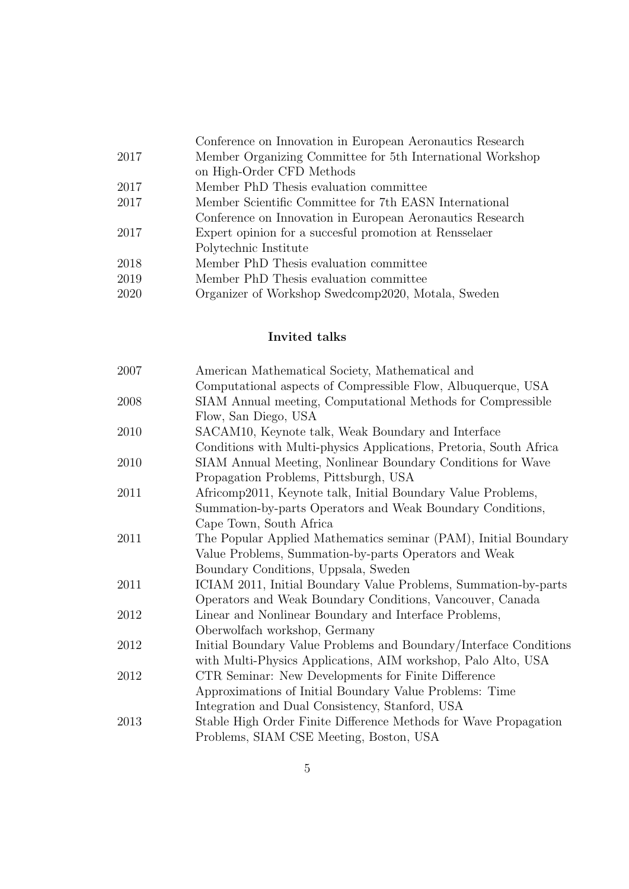|      | Conference on Innovation in European Aeronautics Research  |
|------|------------------------------------------------------------|
| 2017 | Member Organizing Committee for 5th International Workshop |
|      | on High-Order CFD Methods                                  |
| 2017 | Member PhD Thesis evaluation committee                     |
| 2017 | Member Scientific Committee for 7th EASN International     |
|      | Conference on Innovation in European Aeronautics Research  |
| 2017 | Expert opinion for a succesful promotion at Rensselaer     |
|      | Polytechnic Institute                                      |
| 2018 | Member PhD Thesis evaluation committee                     |
| 2019 | Member PhD Thesis evaluation committee                     |
| 2020 | Organizer of Workshop Swedcomp2020, Motala, Sweden         |
|      |                                                            |

# Invited talks

| 2007 | American Mathematical Society, Mathematical and                    |
|------|--------------------------------------------------------------------|
|      | Computational aspects of Compressible Flow, Albuquerque, USA       |
| 2008 | SIAM Annual meeting, Computational Methods for Compressible        |
|      | Flow, San Diego, USA                                               |
| 2010 | SACAM10, Keynote talk, Weak Boundary and Interface                 |
|      | Conditions with Multi-physics Applications, Pretoria, South Africa |
| 2010 | SIAM Annual Meeting, Nonlinear Boundary Conditions for Wave        |
|      | Propagation Problems, Pittsburgh, USA                              |
| 2011 | Africomp2011, Keynote talk, Initial Boundary Value Problems,       |
|      | Summation-by-parts Operators and Weak Boundary Conditions,         |
|      | Cape Town, South Africa                                            |
| 2011 | The Popular Applied Mathematics seminar (PAM), Initial Boundary    |
|      | Value Problems, Summation-by-parts Operators and Weak              |
|      | Boundary Conditions, Uppsala, Sweden                               |
| 2011 | ICIAM 2011, Initial Boundary Value Problems, Summation-by-parts    |
|      | Operators and Weak Boundary Conditions, Vancouver, Canada          |
| 2012 | Linear and Nonlinear Boundary and Interface Problems,              |
|      | Oberwolfach workshop, Germany                                      |
| 2012 | Initial Boundary Value Problems and Boundary/Interface Conditions  |
|      | with Multi-Physics Applications, AIM workshop, Palo Alto, USA      |
| 2012 | CTR Seminar: New Developments for Finite Difference                |
|      | Approximations of Initial Boundary Value Problems: Time            |
|      | Integration and Dual Consistency, Stanford, USA                    |
| 2013 | Stable High Order Finite Difference Methods for Wave Propagation   |
|      | Problems, SIAM CSE Meeting, Boston, USA                            |
|      |                                                                    |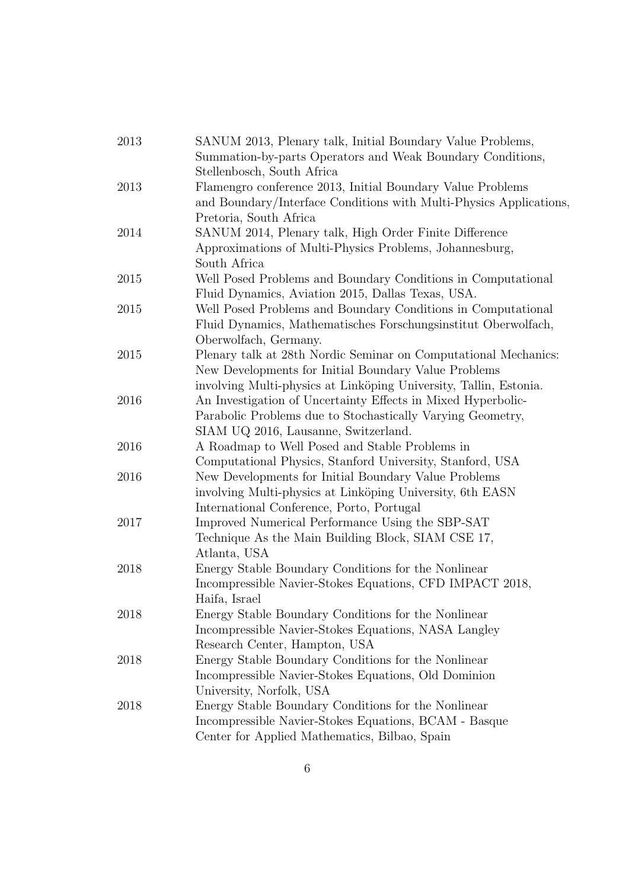| 2013 | SANUM 2013, Plenary talk, Initial Boundary Value Problems,         |
|------|--------------------------------------------------------------------|
|      | Summation-by-parts Operators and Weak Boundary Conditions,         |
|      | Stellenbosch, South Africa                                         |
| 2013 | Flamengro conference 2013, Initial Boundary Value Problems         |
|      | and Boundary/Interface Conditions with Multi-Physics Applications, |
|      | Pretoria, South Africa                                             |
| 2014 | SANUM 2014, Plenary talk, High Order Finite Difference             |
|      | Approximations of Multi-Physics Problems, Johannesburg,            |
|      | South Africa                                                       |
| 2015 | Well Posed Problems and Boundary Conditions in Computational       |
|      | Fluid Dynamics, Aviation 2015, Dallas Texas, USA.                  |
| 2015 | Well Posed Problems and Boundary Conditions in Computational       |
|      | Fluid Dynamics, Mathematisches Forschungsinstitut Oberwolfach,     |
|      | Oberwolfach, Germany.                                              |
| 2015 | Plenary talk at 28th Nordic Seminar on Computational Mechanics:    |
|      | New Developments for Initial Boundary Value Problems               |
|      | involving Multi-physics at Linköping University, Tallin, Estonia.  |
| 2016 | An Investigation of Uncertainty Effects in Mixed Hyperbolic-       |
|      | Parabolic Problems due to Stochastically Varying Geometry,         |
|      | SIAM UQ 2016, Lausanne, Switzerland.                               |
| 2016 | A Roadmap to Well Posed and Stable Problems in                     |
|      | Computational Physics, Stanford University, Stanford, USA          |
| 2016 | New Developments for Initial Boundary Value Problems               |
|      | involving Multi-physics at Linköping University, 6th EASN          |
|      | International Conference, Porto, Portugal                          |
| 2017 | Improved Numerical Performance Using the SBP-SAT                   |
|      | Technique As the Main Building Block, SIAM CSE 17,                 |
|      | Atlanta, USA                                                       |
| 2018 | Energy Stable Boundary Conditions for the Nonlinear                |
|      | Incompressible Navier-Stokes Equations, CFD IMPACT 2018,           |
|      | Haifa, Israel                                                      |
| 2018 | Energy Stable Boundary Conditions for the Nonlinear                |
|      | Incompressible Navier-Stokes Equations, NASA Langley               |
|      | Research Center, Hampton, USA                                      |
| 2018 | Energy Stable Boundary Conditions for the Nonlinear                |
|      | Incompressible Navier-Stokes Equations, Old Dominion               |
|      | University, Norfolk, USA                                           |
| 2018 | Energy Stable Boundary Conditions for the Nonlinear                |
|      | Incompressible Navier-Stokes Equations, BCAM - Basque              |
|      | Center for Applied Mathematics, Bilbao, Spain                      |
|      |                                                                    |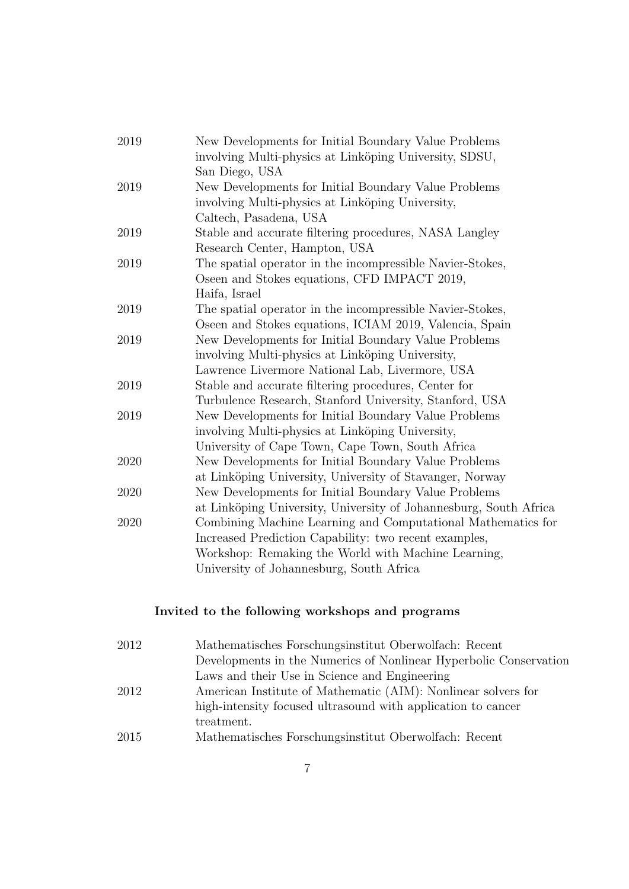| $2019\,$ | New Developments for Initial Boundary Value Problems              |
|----------|-------------------------------------------------------------------|
|          | involving Multi-physics at Linköping University, SDSU,            |
|          | San Diego, USA                                                    |
| 2019     | New Developments for Initial Boundary Value Problems              |
|          | involving Multi-physics at Linköping University,                  |
|          | Caltech, Pasadena, USA                                            |
| 2019     | Stable and accurate filtering procedures, NASA Langley            |
|          | Research Center, Hampton, USA                                     |
| 2019     | The spatial operator in the incompressible Navier-Stokes,         |
|          | Oseen and Stokes equations, CFD IMPACT 2019,                      |
|          | Haifa, Israel                                                     |
| 2019     | The spatial operator in the incompressible Navier-Stokes,         |
|          | Oseen and Stokes equations, ICIAM 2019, Valencia, Spain           |
| 2019     | New Developments for Initial Boundary Value Problems              |
|          | involving Multi-physics at Linköping University,                  |
|          | Lawrence Livermore National Lab, Livermore, USA                   |
| 2019     | Stable and accurate filtering procedures, Center for              |
|          | Turbulence Research, Stanford University, Stanford, USA           |
| 2019     | New Developments for Initial Boundary Value Problems              |
|          | involving Multi-physics at Linköping University,                  |
|          | University of Cape Town, Cape Town, South Africa                  |
| 2020     | New Developments for Initial Boundary Value Problems              |
|          | at Linköping University, University of Stavanger, Norway          |
| 2020     | New Developments for Initial Boundary Value Problems              |
|          | at Linköping University, University of Johannesburg, South Africa |
| 2020     | Combining Machine Learning and Computational Mathematics for      |
|          | Increased Prediction Capability: two recent examples,             |
|          | Workshop: Remaking the World with Machine Learning,               |
|          | University of Johannesburg, South Africa                          |
|          |                                                                   |

# Invited to the following workshops and programs

| 2012 | Mathematisches Forschungsinstitut Oberwolfach: Recent             |
|------|-------------------------------------------------------------------|
|      | Developments in the Numerics of Nonlinear Hyperbolic Conservation |
|      | Laws and their Use in Science and Engineering                     |
| 2012 | American Institute of Mathematic (AIM): Nonlinear solvers for     |
|      | high-intensity focused ultrasound with application to cancer      |
|      | treatment.                                                        |
| 2015 | Mathematisches Forschungsinstitut Oberwolfach: Recent             |
|      |                                                                   |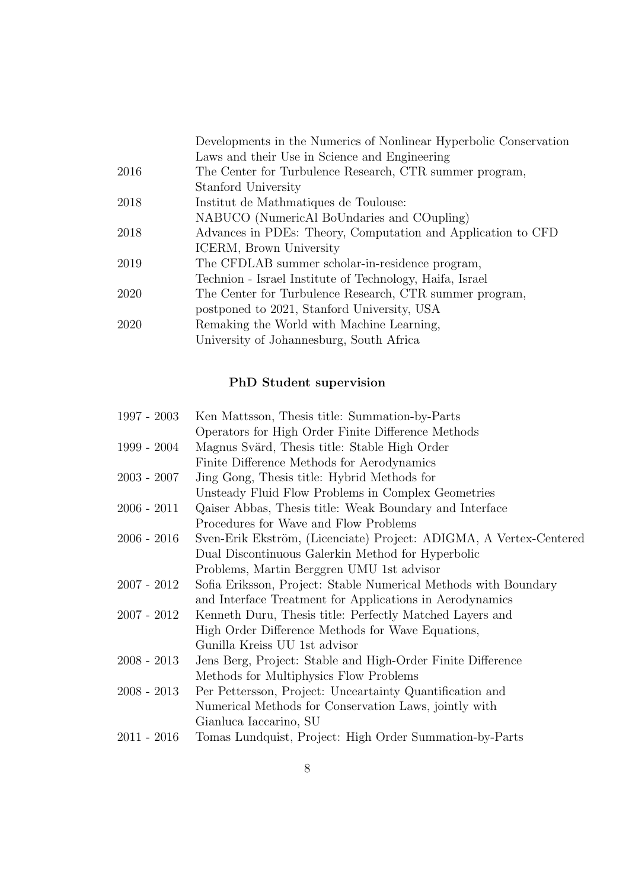|      | Developments in the Numerics of Nonlinear Hyperbolic Conservation |
|------|-------------------------------------------------------------------|
|      | Laws and their Use in Science and Engineering                     |
| 2016 | The Center for Turbulence Research, CTR summer program,           |
|      | Stanford University                                               |
| 2018 | Institut de Mathmatiques de Toulouse:                             |
|      | NABUCO (NumericAl BoUndaries and COupling)                        |
| 2018 | Advances in PDEs: Theory, Computation and Application to CFD      |
|      | ICERM, Brown University                                           |
| 2019 | The CFDLAB summer scholar-in-residence program,                   |
|      | Technion - Israel Institute of Technology, Haifa, Israel          |
| 2020 | The Center for Turbulence Research, CTR summer program,           |
|      | postponed to 2021, Stanford University, USA                       |
| 2020 | Remaking the World with Machine Learning,                         |
|      | University of Johannesburg, South Africa                          |
|      |                                                                   |

# PhD Student supervision

| 1997 - 2003   | Ken Mattsson, Thesis title: Summation-by-Parts                     |
|---------------|--------------------------------------------------------------------|
|               | Operators for High Order Finite Difference Methods                 |
| 1999 - 2004   | Magnus Svärd, Thesis title: Stable High Order                      |
|               | Finite Difference Methods for Aerodynamics                         |
| 2003 - 2007   | Jing Gong, Thesis title: Hybrid Methods for                        |
|               | Unsteady Fluid Flow Problems in Complex Geometries                 |
| $2006 - 2011$ | Qaiser Abbas, Thesis title: Weak Boundary and Interface            |
|               | Procedures for Wave and Flow Problems                              |
| 2006 - 2016   | Sven-Erik Ekström, (Licenciate) Project: ADIGMA, A Vertex-Centered |
|               | Dual Discontinuous Galerkin Method for Hyperbolic                  |
|               | Problems, Martin Berggren UMU 1st advisor                          |
| 2007 - 2012   | Sofia Eriksson, Project: Stable Numerical Methods with Boundary    |
|               | and Interface Treatment for Applications in Aerodynamics           |
| 2007 - 2012   | Kenneth Duru, Thesis title: Perfectly Matched Layers and           |
|               | High Order Difference Methods for Wave Equations,                  |
|               | Gunilla Kreiss UU 1st advisor                                      |
| 2008 - 2013   | Jens Berg, Project: Stable and High-Order Finite Difference        |
|               | Methods for Multiphysics Flow Problems                             |
| 2008 - 2013   | Per Pettersson, Project: Unceartainty Quantification and           |
|               | Numerical Methods for Conservation Laws, jointly with              |
|               | Gianluca Iaccarino, SU                                             |
| 2011 - 2016   | Tomas Lundquist, Project: High Order Summation-by-Parts            |
|               |                                                                    |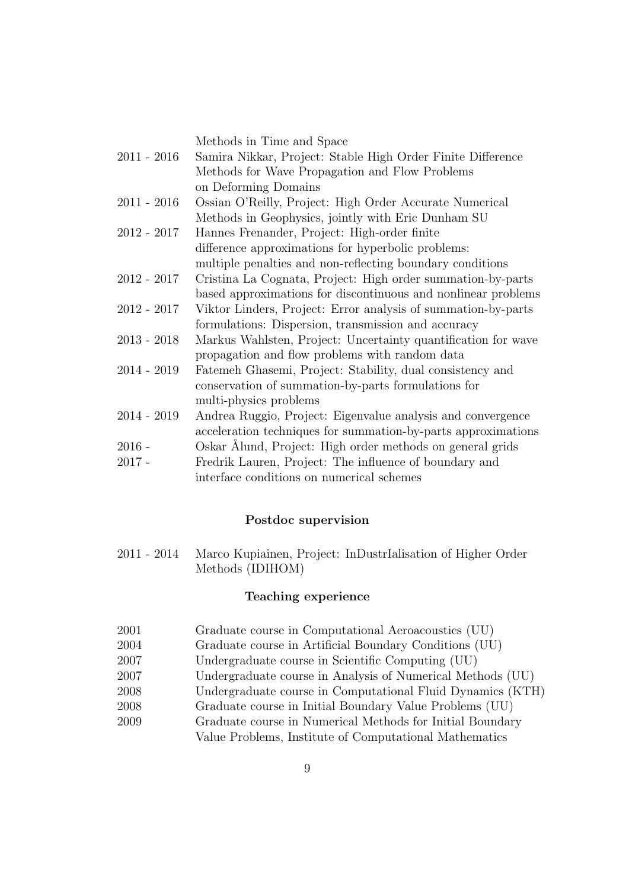Methods in Time and Space

- 2011 2016 Samira Nikkar, Project: Stable High Order Finite Difference Methods for Wave Propagation and Flow Problems on Deforming Domains 2011 - 2016 Ossian O'Reilly, Project: High Order Accurate Numerical
- Methods in Geophysics, jointly with Eric Dunham SU 2012 - 2017 Hannes Frenander, Project: High-order finite
- difference approximations for hyperbolic problems: multiple penalties and non-reflecting boundary conditions
- 2012 2017 Cristina La Cognata, Project: High order summation-by-parts based approximations for discontinuous and nonlinear problems
- 2012 2017 Viktor Linders, Project: Error analysis of summation-by-parts formulations: Dispersion, transmission and accuracy
- 2013 2018 Markus Wahlsten, Project: Uncertainty quantification for wave propagation and flow problems with random data
- 2014 2019 Fatemeh Ghasemi, Project: Stability, dual consistency and conservation of summation-by-parts formulations for multi-physics problems
- 2014 2019 Andrea Ruggio, Project: Eigenvalue analysis and convergence acceleration techniques for summation-by-parts approximations
- 2016 Oskar Álund, Project: High order methods on general grids 2017 - Fredrik Lauren, Project: The influence of boundary and
	- interface conditions on numerical schemes

## Postdoc supervision

2011 - 2014 Marco Kupiainen, Project: InDustrIalisation of Higher Order Methods (IDIHOM)

## Teaching experience

- 2001 Graduate course in Computational Aeroacoustics (UU)
- 2004 Graduate course in Artificial Boundary Conditions (UU)
- 2007 Undergraduate course in Scientific Computing (UU)
- 2007 Undergraduate course in Analysis of Numerical Methods (UU)
- 2008 Undergraduate course in Computational Fluid Dynamics (KTH)
- 2008 Graduate course in Initial Boundary Value Problems (UU)
- 2009 Graduate course in Numerical Methods for Initial Boundary Value Problems, Institute of Computational Mathematics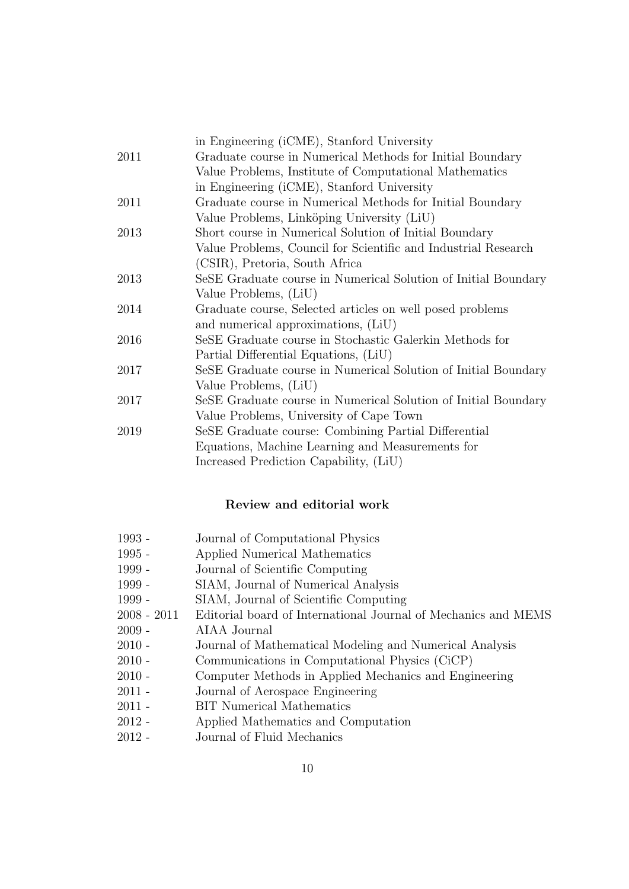|      | in Engineering (iCME), Stanford University                     |
|------|----------------------------------------------------------------|
| 2011 | Graduate course in Numerical Methods for Initial Boundary      |
|      | Value Problems, Institute of Computational Mathematics         |
|      | in Engineering (iCME), Stanford University                     |
| 2011 | Graduate course in Numerical Methods for Initial Boundary      |
|      | Value Problems, Linköping University (LiU)                     |
| 2013 | Short course in Numerical Solution of Initial Boundary         |
|      | Value Problems, Council for Scientific and Industrial Research |
|      | (CSIR), Pretoria, South Africa                                 |
| 2013 | SeSE Graduate course in Numerical Solution of Initial Boundary |
|      | Value Problems, (LiU)                                          |
| 2014 | Graduate course, Selected articles on well posed problems      |
|      | and numerical approximations, (LiU)                            |
| 2016 | SeSE Graduate course in Stochastic Galerkin Methods for        |
|      | Partial Differential Equations, (LiU)                          |
| 2017 | SeSE Graduate course in Numerical Solution of Initial Boundary |
|      | Value Problems, (LiU)                                          |
| 2017 | SeSE Graduate course in Numerical Solution of Initial Boundary |
|      | Value Problems, University of Cape Town                        |
| 2019 | SeSE Graduate course: Combining Partial Differential           |
|      | Equations, Machine Learning and Measurements for               |
|      | Increased Prediction Capability, (LiU)                         |

## Review and editorial work

- 1993 Journal of Computational Physics
- 1995 Applied Numerical Mathematics
- 1999 Journal of Scientific Computing
- 1999 SIAM, Journal of Numerical Analysis
- 1999 SIAM, Journal of Scientific Computing
- 2008 2011 Editorial board of International Journal of Mechanics and MEMS
- 2009 AIAA Journal
- 2010 Journal of Mathematical Modeling and Numerical Analysis
- 2010 Communications in Computational Physics (CiCP)
- 2010 Computer Methods in Applied Mechanics and Engineering
- 2011 Journal of Aerospace Engineering
- 2011 BIT Numerical Mathematics
- 2012 Applied Mathematics and Computation
- 2012 Journal of Fluid Mechanics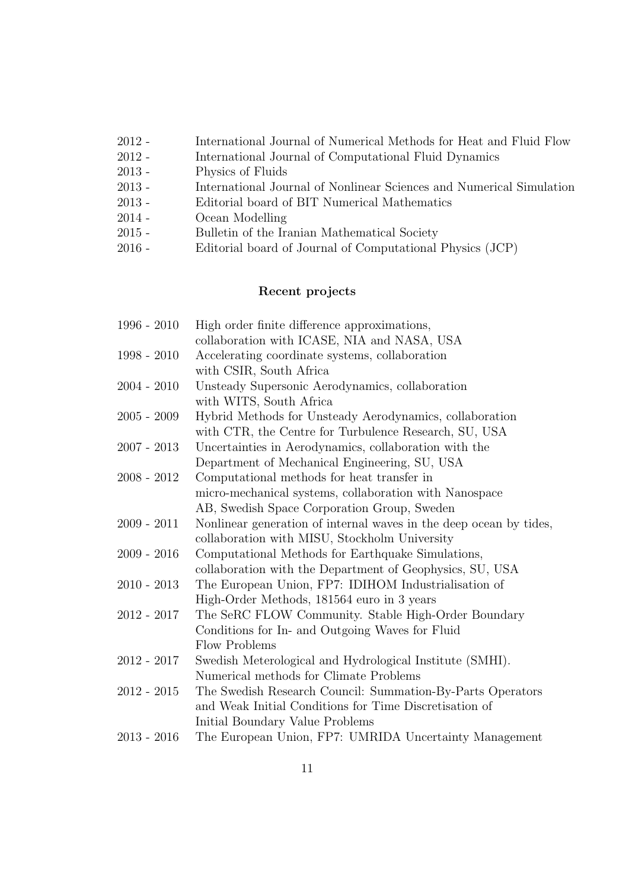| $2012 -$ | International Journal of Numerical Methods for Heat and Fluid Flow   |
|----------|----------------------------------------------------------------------|
| $2012 -$ | International Journal of Computational Fluid Dynamics                |
| $2013 -$ | Physics of Fluids                                                    |
| $2013 -$ | International Journal of Nonlinear Sciences and Numerical Simulation |
| $2013 -$ | Editorial board of BIT Numerical Mathematics                         |
| $2014 -$ | Ocean Modelling                                                      |
| $2015 -$ | Bulletin of the Iranian Mathematical Society                         |
| $2016 -$ | Editorial board of Journal of Computational Physics (JCP)            |
|          |                                                                      |

# Recent projects

| $1996 - 2010$ | High order finite difference approximations,                       |
|---------------|--------------------------------------------------------------------|
|               | collaboration with ICASE, NIA and NASA, USA                        |
| $1998 - 2010$ | Accelerating coordinate systems, collaboration                     |
|               | with CSIR, South Africa                                            |
| $2004 - 2010$ | Unsteady Supersonic Aerodynamics, collaboration                    |
|               | with WITS, South Africa                                            |
| $2005 - 2009$ | Hybrid Methods for Unsteady Aerodynamics, collaboration            |
|               | with CTR, the Centre for Turbulence Research, SU, USA              |
| $2007 - 2013$ | Uncertainties in Aerodynamics, collaboration with the              |
|               | Department of Mechanical Engineering, SU, USA                      |
| $2008 - 2012$ | Computational methods for heat transfer in                         |
|               | micro-mechanical systems, collaboration with Nanospace             |
|               | AB, Swedish Space Corporation Group, Sweden                        |
| $2009 - 2011$ | Nonlinear generation of internal waves in the deep ocean by tides, |
|               | collaboration with MISU, Stockholm University                      |
| $2009 - 2016$ | Computational Methods for Earthquake Simulations,                  |
|               | collaboration with the Department of Geophysics, SU, USA           |
| $2010 - 2013$ | The European Union, FP7: IDIHOM Industrialisation of               |
|               | High-Order Methods, 181564 euro in 3 years                         |
| $2012 - 2017$ | The SeRC FLOW Community. Stable High-Order Boundary                |
|               | Conditions for In- and Outgoing Waves for Fluid                    |
|               | Flow Problems                                                      |
| $2012 - 2017$ | Swedish Meterological and Hydrological Institute (SMHI).           |
|               | Numerical methods for Climate Problems                             |
| $2012 - 2015$ | The Swedish Research Council: Summation-By-Parts Operators         |
|               | and Weak Initial Conditions for Time Discretisation of             |
|               | Initial Boundary Value Problems                                    |
| $2013 - 2016$ | The European Union, FP7: UMRIDA Uncertainty Management             |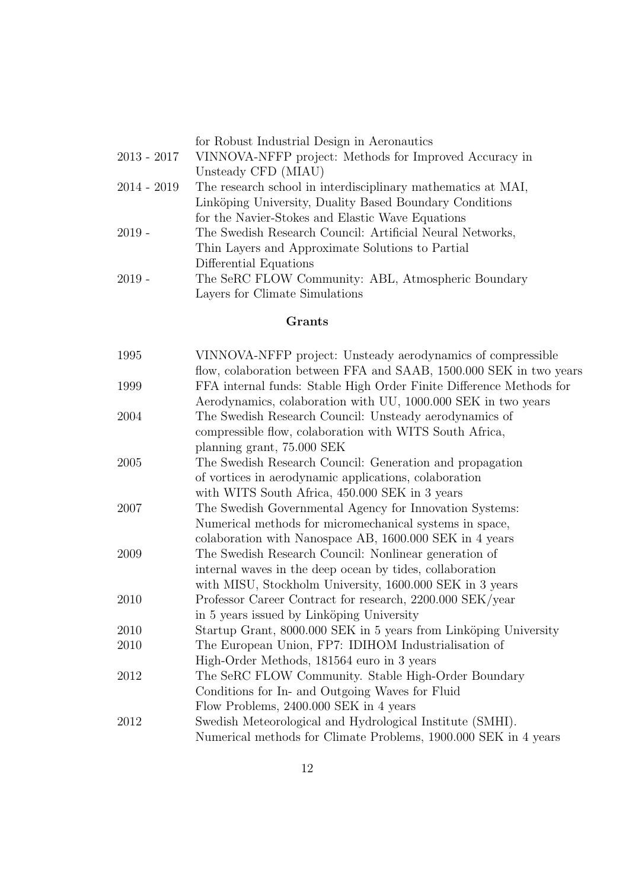for Robust Industrial Design in Aeronautics

- 2013 2017 VINNOVA-NFFP project: Methods for Improved Accuracy in Unsteady CFD (MIAU) 2014 - 2019 The research school in interdisciplinary mathematics at MAI, Linköping University, Duality Based Boundary Conditions for the Navier-Stokes and Elastic Wave Equations
- 2019 The Swedish Research Council: Artificial Neural Networks, Thin Layers and Approximate Solutions to Partial Differential Equations
- 2019 The SeRC FLOW Community: ABL, Atmospheric Boundary Layers for Climate Simulations

# Grants

| 1995 | VINNOVA-NFFP project: Unsteady aerodynamics of compressible         |
|------|---------------------------------------------------------------------|
|      | flow, colaboration between FFA and SAAB, 1500.000 SEK in two years  |
| 1999 | FFA internal funds: Stable High Order Finite Difference Methods for |
|      | Aerodynamics, colaboration with UU, 1000.000 SEK in two years       |
| 2004 | The Swedish Research Council: Unsteady aerodynamics of              |
|      | compressible flow, colaboration with WITS South Africa,             |
|      | planning grant, 75.000 SEK                                          |
| 2005 | The Swedish Research Council: Generation and propagation            |
|      | of vortices in aerodynamic applications, colaboration               |
|      | with WITS South Africa, 450.000 SEK in 3 years                      |
| 2007 | The Swedish Governmental Agency for Innovation Systems:             |
|      | Numerical methods for micromechanical systems in space,             |
|      | colaboration with Nanospace AB, 1600.000 SEK in 4 years             |
| 2009 | The Swedish Research Council: Nonlinear generation of               |
|      | internal waves in the deep ocean by tides, collaboration            |
|      | with MISU, Stockholm University, 1600.000 SEK in 3 years            |
| 2010 | Professor Career Contract for research, 2200.000 SEK/year           |
|      | in 5 years issued by Linköping University                           |
| 2010 | Startup Grant, 8000.000 SEK in 5 years from Linköping University    |
| 2010 | The European Union, FP7: IDIHOM Industrialisation of                |
|      | High-Order Methods, 181564 euro in 3 years                          |
| 2012 | The SeRC FLOW Community. Stable High-Order Boundary                 |
|      | Conditions for In- and Outgoing Waves for Fluid                     |
|      | Flow Problems, 2400.000 SEK in 4 years                              |
| 2012 | Swedish Meteorological and Hydrological Institute (SMHI).           |
|      | Numerical methods for Climate Problems, 1900.000 SEK in 4 years     |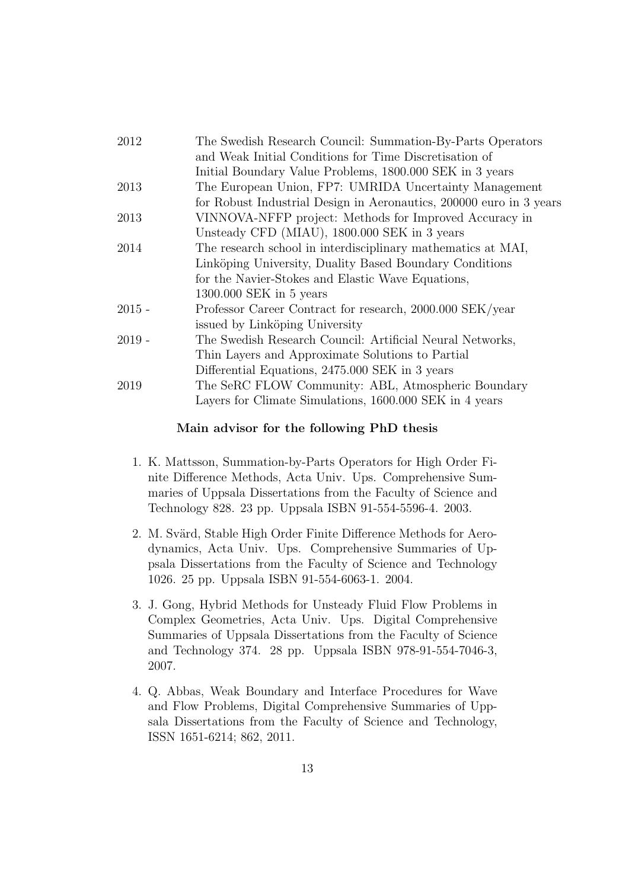| 2012     | The Swedish Research Council: Summation-By-Parts Operators          |
|----------|---------------------------------------------------------------------|
|          | and Weak Initial Conditions for Time Discretisation of              |
|          | Initial Boundary Value Problems, 1800.000 SEK in 3 years            |
| 2013     | The European Union, FP7: UMRIDA Uncertainty Management              |
|          | for Robust Industrial Design in Aeronautics, 200000 euro in 3 years |
| 2013     | VINNOVA-NFFP project: Methods for Improved Accuracy in              |
|          | Unsteady CFD (MIAU), 1800.000 SEK in 3 years                        |
| 2014     | The research school in interdisciplinary mathematics at MAI,        |
|          | Linköping University, Duality Based Boundary Conditions             |
|          | for the Navier-Stokes and Elastic Wave Equations,                   |
|          | 1300.000 SEK in 5 years                                             |
| $2015 -$ | Professor Career Contract for research, 2000.000 SEK/year           |
|          | issued by Linköping University                                      |
| $2019 -$ | The Swedish Research Council: Artificial Neural Networks,           |
|          | Thin Layers and Approximate Solutions to Partial                    |
|          | Differential Equations, 2475.000 SEK in 3 years                     |
| 2019     | The SeRC FLOW Community: ABL, Atmospheric Boundary                  |
|          | Layers for Climate Simulations, 1600.000 SEK in 4 years             |
|          |                                                                     |

#### Main advisor for the following PhD thesis

- 1. K. Mattsson, Summation-by-Parts Operators for High Order Finite Difference Methods, Acta Univ. Ups. Comprehensive Summaries of Uppsala Dissertations from the Faculty of Science and Technology 828. 23 pp. Uppsala ISBN 91-554-5596-4. 2003.
- 2. M. Svärd, Stable High Order Finite Difference Methods for Aerodynamics, Acta Univ. Ups. Comprehensive Summaries of Uppsala Dissertations from the Faculty of Science and Technology 1026. 25 pp. Uppsala ISBN 91-554-6063-1. 2004.
- 3. J. Gong, Hybrid Methods for Unsteady Fluid Flow Problems in Complex Geometries, Acta Univ. Ups. Digital Comprehensive Summaries of Uppsala Dissertations from the Faculty of Science and Technology 374. 28 pp. Uppsala ISBN 978-91-554-7046-3, 2007.
- 4. Q. Abbas, Weak Boundary and Interface Procedures for Wave and Flow Problems, Digital Comprehensive Summaries of Uppsala Dissertations from the Faculty of Science and Technology, ISSN 1651-6214; 862, 2011.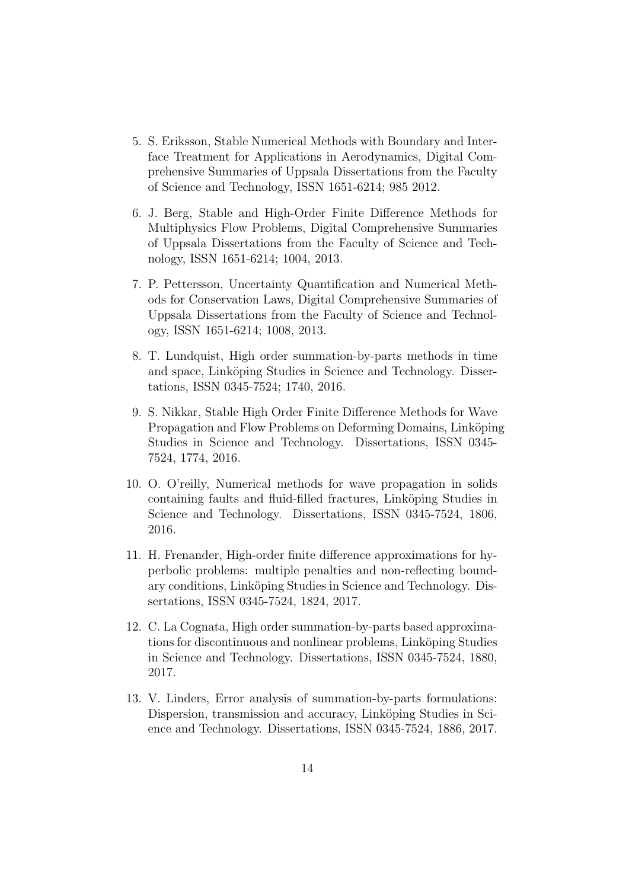- 5. S. Eriksson, Stable Numerical Methods with Boundary and Interface Treatment for Applications in Aerodynamics, Digital Comprehensive Summaries of Uppsala Dissertations from the Faculty of Science and Technology, ISSN 1651-6214; 985 2012.
- 6. J. Berg, Stable and High-Order Finite Difference Methods for Multiphysics Flow Problems, Digital Comprehensive Summaries of Uppsala Dissertations from the Faculty of Science and Technology, ISSN 1651-6214; 1004, 2013.
- 7. P. Pettersson, Uncertainty Quantification and Numerical Methods for Conservation Laws, Digital Comprehensive Summaries of Uppsala Dissertations from the Faculty of Science and Technology, ISSN 1651-6214; 1008, 2013.
- 8. T. Lundquist, High order summation-by-parts methods in time and space, Linköping Studies in Science and Technology. Dissertations, ISSN 0345-7524; 1740, 2016.
- 9. S. Nikkar, Stable High Order Finite Difference Methods for Wave Propagation and Flow Problems on Deforming Domains, Linköping Studies in Science and Technology. Dissertations, ISSN 0345- 7524, 1774, 2016.
- 10. O. O'reilly, Numerical methods for wave propagation in solids containing faults and fluid-filled fractures, Linköping Studies in Science and Technology. Dissertations, ISSN 0345-7524, 1806, 2016.
- 11. H. Frenander, High-order finite difference approximations for hyperbolic problems: multiple penalties and non-reflecting boundary conditions, Linköping Studies in Science and Technology. Dissertations, ISSN 0345-7524, 1824, 2017.
- 12. C. La Cognata, High order summation-by-parts based approximations for discontinuous and nonlinear problems, Linköping Studies in Science and Technology. Dissertations, ISSN 0345-7524, 1880, 2017.
- 13. V. Linders, Error analysis of summation-by-parts formulations: Dispersion, transmission and accuracy, Linköping Studies in Science and Technology. Dissertations, ISSN 0345-7524, 1886, 2017.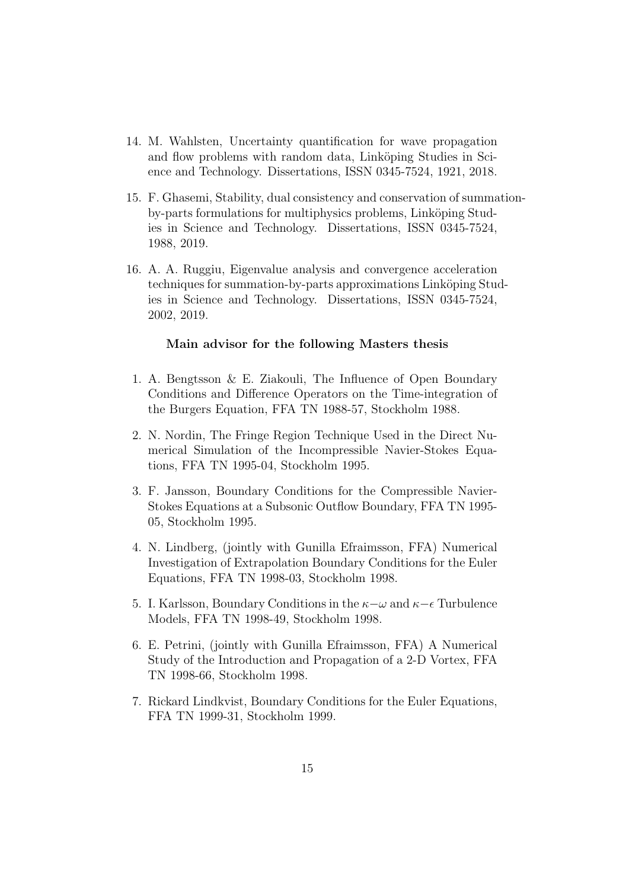- 14. M. Wahlsten, Uncertainty quantification for wave propagation and flow problems with random data, Linköping Studies in Science and Technology. Dissertations, ISSN 0345-7524, 1921, 2018.
- 15. F. Ghasemi, Stability, dual consistency and conservation of summationby-parts formulations for multiphysics problems, Linköping Studies in Science and Technology. Dissertations, ISSN 0345-7524, 1988, 2019.
- 16. A. A. Ruggiu, Eigenvalue analysis and convergence acceleration techniques for summation-by-parts approximations Linköping Studies in Science and Technology. Dissertations, ISSN 0345-7524, 2002, 2019.

#### Main advisor for the following Masters thesis

- 1. A. Bengtsson & E. Ziakouli, The Influence of Open Boundary Conditions and Difference Operators on the Time-integration of the Burgers Equation, FFA TN 1988-57, Stockholm 1988.
- 2. N. Nordin, The Fringe Region Technique Used in the Direct Numerical Simulation of the Incompressible Navier-Stokes Equations, FFA TN 1995-04, Stockholm 1995.
- 3. F. Jansson, Boundary Conditions for the Compressible Navier-Stokes Equations at a Subsonic Outflow Boundary, FFA TN 1995- 05, Stockholm 1995.
- 4. N. Lindberg, (jointly with Gunilla Efraimsson, FFA) Numerical Investigation of Extrapolation Boundary Conditions for the Euler Equations, FFA TN 1998-03, Stockholm 1998.
- 5. I. Karlsson, Boundary Conditions in the  $\kappa-\omega$  and  $\kappa-\epsilon$  Turbulence Models, FFA TN 1998-49, Stockholm 1998.
- 6. E. Petrini, (jointly with Gunilla Efraimsson, FFA) A Numerical Study of the Introduction and Propagation of a 2-D Vortex, FFA TN 1998-66, Stockholm 1998.
- 7. Rickard Lindkvist, Boundary Conditions for the Euler Equations, FFA TN 1999-31, Stockholm 1999.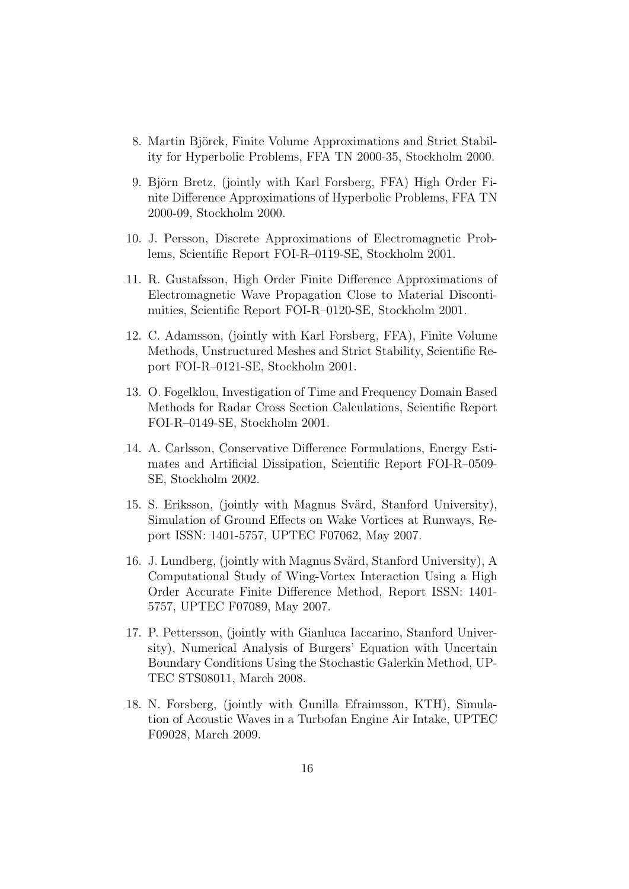- 8. Martin Björck, Finite Volume Approximations and Strict Stability for Hyperbolic Problems, FFA TN 2000-35, Stockholm 2000.
- 9. Björn Bretz, (jointly with Karl Forsberg, FFA) High Order Finite Difference Approximations of Hyperbolic Problems, FFA TN 2000-09, Stockholm 2000.
- 10. J. Persson, Discrete Approximations of Electromagnetic Problems, Scientific Report FOI-R–0119-SE, Stockholm 2001.
- 11. R. Gustafsson, High Order Finite Difference Approximations of Electromagnetic Wave Propagation Close to Material Discontinuities, Scientific Report FOI-R–0120-SE, Stockholm 2001.
- 12. C. Adamsson, (jointly with Karl Forsberg, FFA), Finite Volume Methods, Unstructured Meshes and Strict Stability, Scientific Report FOI-R–0121-SE, Stockholm 2001.
- 13. O. Fogelklou, Investigation of Time and Frequency Domain Based Methods for Radar Cross Section Calculations, Scientific Report FOI-R–0149-SE, Stockholm 2001.
- 14. A. Carlsson, Conservative Difference Formulations, Energy Estimates and Artificial Dissipation, Scientific Report FOI-R–0509- SE, Stockholm 2002.
- 15. S. Eriksson, (jointly with Magnus Svärd, Stanford University), Simulation of Ground Effects on Wake Vortices at Runways, Report ISSN: 1401-5757, UPTEC F07062, May 2007.
- 16. J. Lundberg, (jointly with Magnus Svärd, Stanford University), A Computational Study of Wing-Vortex Interaction Using a High Order Accurate Finite Difference Method, Report ISSN: 1401- 5757, UPTEC F07089, May 2007.
- 17. P. Pettersson, (jointly with Gianluca Iaccarino, Stanford University), Numerical Analysis of Burgers' Equation with Uncertain Boundary Conditions Using the Stochastic Galerkin Method, UP-TEC STS08011, March 2008.
- 18. N. Forsberg, (jointly with Gunilla Efraimsson, KTH), Simulation of Acoustic Waves in a Turbofan Engine Air Intake, UPTEC F09028, March 2009.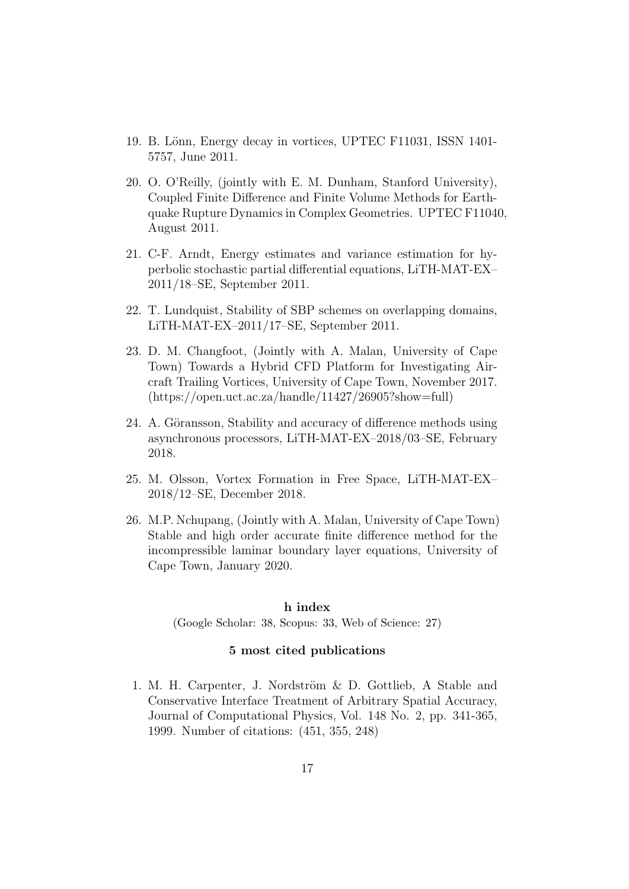- 19. B. Lönn, Energy decay in vortices, UPTEC F11031, ISSN 1401-5757, June 2011.
- 20. O. O'Reilly, (jointly with E. M. Dunham, Stanford University), Coupled Finite Difference and Finite Volume Methods for Earthquake Rupture Dynamics in Complex Geometries. UPTEC F11040, August 2011.
- 21. C-F. Arndt, Energy estimates and variance estimation for hyperbolic stochastic partial differential equations, LiTH-MAT-EX– 2011/18–SE, September 2011.
- 22. T. Lundquist, Stability of SBP schemes on overlapping domains, LiTH-MAT-EX–2011/17–SE, September 2011.
- 23. D. M. Changfoot, (Jointly with A. Malan, University of Cape Town) Towards a Hybrid CFD Platform for Investigating Aircraft Trailing Vortices, University of Cape Town, November 2017. (https://open.uct.ac.za/handle/11427/26905?show=full)
- 24. A. Göransson, Stability and accuracy of difference methods using asynchronous processors, LiTH-MAT-EX–2018/03–SE, February 2018.
- 25. M. Olsson, Vortex Formation in Free Space, LiTH-MAT-EX– 2018/12–SE, December 2018.
- 26. M.P. Nchupang, (Jointly with A. Malan, University of Cape Town) Stable and high order accurate finite difference method for the incompressible laminar boundary layer equations, University of Cape Town, January 2020.

#### h index

(Google Scholar: 38, Scopus: 33, Web of Science: 27)

## 5 most cited publications

1. M. H. Carpenter, J. Nordström  $& D.$  Gottlieb, A Stable and Conservative Interface Treatment of Arbitrary Spatial Accuracy, Journal of Computational Physics, Vol. 148 No. 2, pp. 341-365, 1999. Number of citations: (451, 355, 248)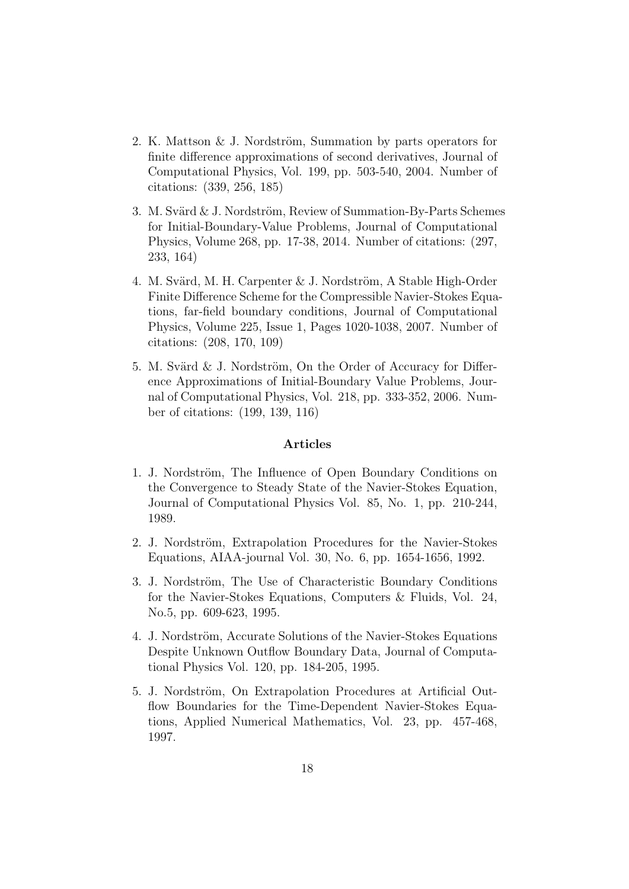- 2. K. Mattson  $&$  J. Nordström, Summation by parts operators for finite difference approximations of second derivatives, Journal of Computational Physics, Vol. 199, pp. 503-540, 2004. Number of citations: (339, 256, 185)
- 3. M. Svärd  $\&$  J. Nordström, Review of Summation-By-Parts Schemes for Initial-Boundary-Value Problems, Journal of Computational Physics, Volume 268, pp. 17-38, 2014. Number of citations: (297, 233, 164)
- 4. M. Svärd, M. H. Carpenter  $& J.$  Nordström, A Stable High-Order Finite Difference Scheme for the Compressible Navier-Stokes Equations, far-field boundary conditions, Journal of Computational Physics, Volume 225, Issue 1, Pages 1020-1038, 2007. Number of citations: (208, 170, 109)
- 5. M. Svärd  $&$  J. Nordström, On the Order of Accuracy for Difference Approximations of Initial-Boundary Value Problems, Journal of Computational Physics, Vol. 218, pp. 333-352, 2006. Number of citations: (199, 139, 116)

#### Articles

- 1. J. Nordström, The Influence of Open Boundary Conditions on the Convergence to Steady State of the Navier-Stokes Equation, Journal of Computational Physics Vol. 85, No. 1, pp. 210-244, 1989.
- 2. J. Nordström, Extrapolation Procedures for the Navier-Stokes Equations, AIAA-journal Vol. 30, No. 6, pp. 1654-1656, 1992.
- 3. J. Nordström, The Use of Characteristic Boundary Conditions for the Navier-Stokes Equations, Computers & Fluids, Vol. 24, No.5, pp. 609-623, 1995.
- 4. J. Nordström, Accurate Solutions of the Navier-Stokes Equations Despite Unknown Outflow Boundary Data, Journal of Computational Physics Vol. 120, pp. 184-205, 1995.
- 5. J. Nordström, On Extrapolation Procedures at Artificial Outflow Boundaries for the Time-Dependent Navier-Stokes Equations, Applied Numerical Mathematics, Vol. 23, pp. 457-468, 1997.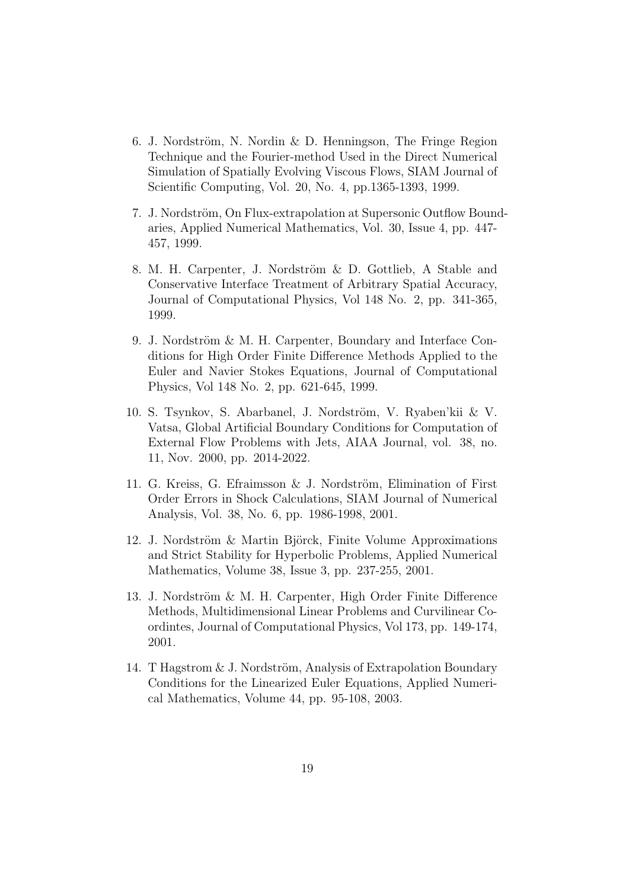- 6. J. Nordström, N. Nordin & D. Henningson, The Fringe Region Technique and the Fourier-method Used in the Direct Numerical Simulation of Spatially Evolving Viscous Flows, SIAM Journal of Scientific Computing, Vol. 20, No. 4, pp.1365-1393, 1999.
- 7. J. Nordström, On Flux-extrapolation at Supersonic Outflow Boundaries, Applied Numerical Mathematics, Vol. 30, Issue 4, pp. 447- 457, 1999.
- 8. M. H. Carpenter, J. Nordström & D. Gottlieb, A Stable and Conservative Interface Treatment of Arbitrary Spatial Accuracy, Journal of Computational Physics, Vol 148 No. 2, pp. 341-365, 1999.
- 9. J. Nordström  $&$  M. H. Carpenter, Boundary and Interface Conditions for High Order Finite Difference Methods Applied to the Euler and Navier Stokes Equations, Journal of Computational Physics, Vol 148 No. 2, pp. 621-645, 1999.
- 10. S. Tsynkov, S. Abarbanel, J. Nordström, V. Ryaben'kii & V. Vatsa, Global Artificial Boundary Conditions for Computation of External Flow Problems with Jets, AIAA Journal, vol. 38, no. 11, Nov. 2000, pp. 2014-2022.
- 11. G. Kreiss, G. Efraimsson  $\&$  J. Nordström, Elimination of First Order Errors in Shock Calculations, SIAM Journal of Numerical Analysis, Vol. 38, No. 6, pp. 1986-1998, 2001.
- 12. J. Nordström & Martin Björck, Finite Volume Approximations and Strict Stability for Hyperbolic Problems, Applied Numerical Mathematics, Volume 38, Issue 3, pp. 237-255, 2001.
- 13. J. Nordström & M. H. Carpenter, High Order Finite Difference Methods, Multidimensional Linear Problems and Curvilinear Coordintes, Journal of Computational Physics, Vol 173, pp. 149-174, 2001.
- 14. T Hagstrom  $& J.$  Nordström, Analysis of Extrapolation Boundary Conditions for the Linearized Euler Equations, Applied Numerical Mathematics, Volume 44, pp. 95-108, 2003.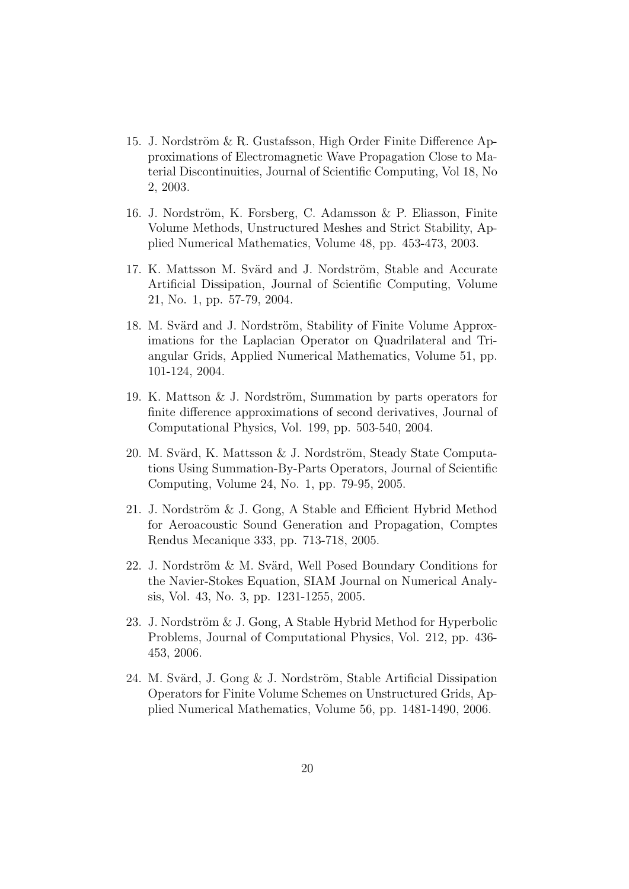- 15. J. Nordström & R. Gustafsson, High Order Finite Difference Approximations of Electromagnetic Wave Propagation Close to Material Discontinuities, Journal of Scientific Computing, Vol 18, No 2, 2003.
- 16. J. Nordström, K. Forsberg, C. Adamsson & P. Eliasson, Finite Volume Methods, Unstructured Meshes and Strict Stability, Applied Numerical Mathematics, Volume 48, pp. 453-473, 2003.
- 17. K. Mattsson M. Svärd and J. Nordström, Stable and Accurate Artificial Dissipation, Journal of Scientific Computing, Volume 21, No. 1, pp. 57-79, 2004.
- 18. M. Svärd and J. Nordström, Stability of Finite Volume Approximations for the Laplacian Operator on Quadrilateral and Triangular Grids, Applied Numerical Mathematics, Volume 51, pp. 101-124, 2004.
- 19. K. Mattson  $&$  J. Nordström, Summation by parts operators for finite difference approximations of second derivatives, Journal of Computational Physics, Vol. 199, pp. 503-540, 2004.
- 20. M. Svärd, K. Mattsson & J. Nordström, Steady State Computations Using Summation-By-Parts Operators, Journal of Scientific Computing, Volume 24, No. 1, pp. 79-95, 2005.
- 21. J. Nordström  $&$  J. Gong, A Stable and Efficient Hybrid Method for Aeroacoustic Sound Generation and Propagation, Comptes Rendus Mecanique 333, pp. 713-718, 2005.
- 22. J. Nordström & M. Svärd, Well Posed Boundary Conditions for the Navier-Stokes Equation, SIAM Journal on Numerical Analysis, Vol. 43, No. 3, pp. 1231-1255, 2005.
- 23. J. Nordström  $&$  J. Gong, A Stable Hybrid Method for Hyperbolic Problems, Journal of Computational Physics, Vol. 212, pp. 436- 453, 2006.
- 24. M. Svärd, J. Gong & J. Nordström, Stable Artificial Dissipation Operators for Finite Volume Schemes on Unstructured Grids, Applied Numerical Mathematics, Volume 56, pp. 1481-1490, 2006.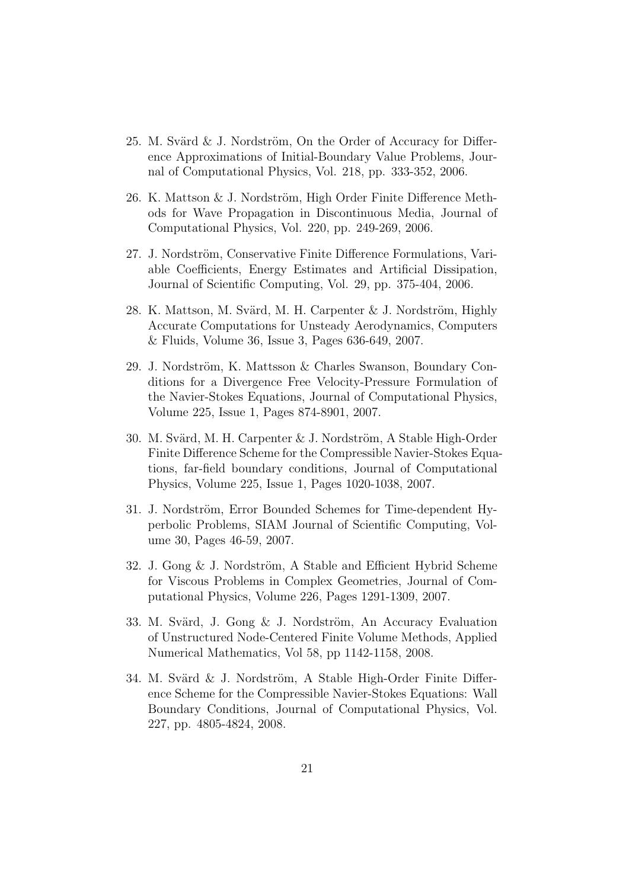- 25. M. Svärd  $\&$  J. Nordström, On the Order of Accuracy for Difference Approximations of Initial-Boundary Value Problems, Journal of Computational Physics, Vol. 218, pp. 333-352, 2006.
- 26. K. Mattson  $&$  J. Nordström, High Order Finite Difference Methods for Wave Propagation in Discontinuous Media, Journal of Computational Physics, Vol. 220, pp. 249-269, 2006.
- 27. J. Nordström, Conservative Finite Difference Formulations, Variable Coefficients, Energy Estimates and Artificial Dissipation, Journal of Scientific Computing, Vol. 29, pp. 375-404, 2006.
- 28. K. Mattson, M. Svärd, M. H. Carpenter  $& J.$  Nordström, Highly Accurate Computations for Unsteady Aerodynamics, Computers & Fluids, Volume 36, Issue 3, Pages 636-649, 2007.
- 29. J. Nordström, K. Mattsson & Charles Swanson, Boundary Conditions for a Divergence Free Velocity-Pressure Formulation of the Navier-Stokes Equations, Journal of Computational Physics, Volume 225, Issue 1, Pages 874-8901, 2007.
- 30. M. Svärd, M. H. Carpenter & J. Nordström, A Stable High-Order Finite Difference Scheme for the Compressible Navier-Stokes Equations, far-field boundary conditions, Journal of Computational Physics, Volume 225, Issue 1, Pages 1020-1038, 2007.
- 31. J. Nordström, Error Bounded Schemes for Time-dependent Hyperbolic Problems, SIAM Journal of Scientific Computing, Volume 30, Pages 46-59, 2007.
- 32. J. Gong  $&$  J. Nordström, A Stable and Efficient Hybrid Scheme for Viscous Problems in Complex Geometries, Journal of Computational Physics, Volume 226, Pages 1291-1309, 2007.
- 33. M. Svärd, J. Gong  $&$  J. Nordström, An Accuracy Evaluation of Unstructured Node-Centered Finite Volume Methods, Applied Numerical Mathematics, Vol 58, pp 1142-1158, 2008.
- 34. M. Svärd  $\&$  J. Nordström, A Stable High-Order Finite Difference Scheme for the Compressible Navier-Stokes Equations: Wall Boundary Conditions, Journal of Computational Physics, Vol. 227, pp. 4805-4824, 2008.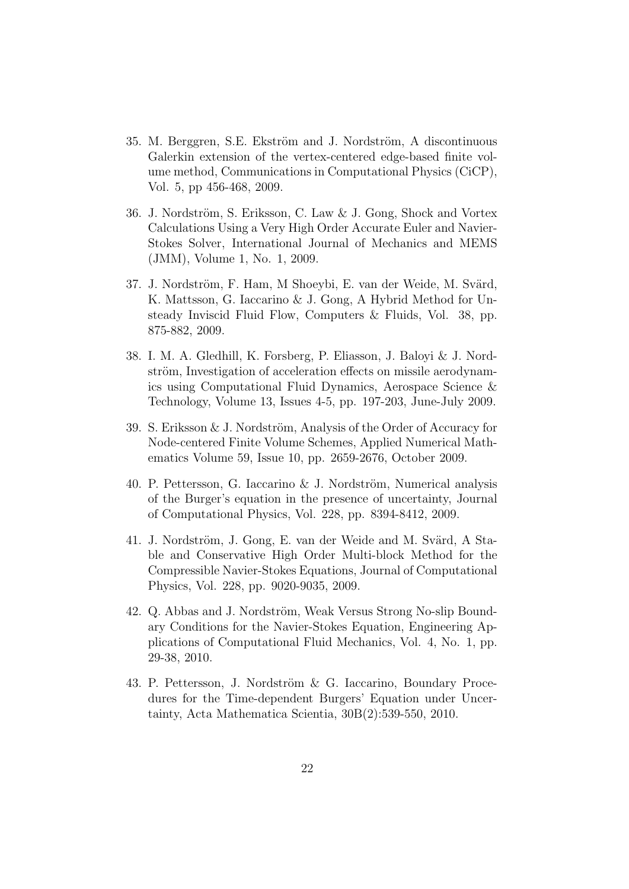- 35. M. Berggren, S.E. Ekström and J. Nordström, A discontinuous Galerkin extension of the vertex-centered edge-based finite volume method, Communications in Computational Physics (CiCP), Vol. 5, pp 456-468, 2009.
- 36. J. Nordström, S. Eriksson, C. Law & J. Gong, Shock and Vortex Calculations Using a Very High Order Accurate Euler and Navier-Stokes Solver, International Journal of Mechanics and MEMS (JMM), Volume 1, No. 1, 2009.
- 37. J. Nordström, F. Ham, M Shoeybi, E. van der Weide, M. Svärd, K. Mattsson, G. Iaccarino & J. Gong, A Hybrid Method for Unsteady Inviscid Fluid Flow, Computers & Fluids, Vol. 38, pp. 875-882, 2009.
- 38. I. M. A. Gledhill, K. Forsberg, P. Eliasson, J. Baloyi & J. Nordström, Investigation of acceleration effects on missile aerodynamics using Computational Fluid Dynamics, Aerospace Science & Technology, Volume 13, Issues 4-5, pp. 197-203, June-July 2009.
- 39. S. Eriksson  $& J.$  Nordström, Analysis of the Order of Accuracy for Node-centered Finite Volume Schemes, Applied Numerical Mathematics Volume 59, Issue 10, pp. 2659-2676, October 2009.
- 40. P. Pettersson, G. Iaccarino  $& J.$  Nordström, Numerical analysis of the Burger's equation in the presence of uncertainty, Journal of Computational Physics, Vol. 228, pp. 8394-8412, 2009.
- 41. J. Nordström, J. Gong, E. van der Weide and M. Svärd, A Stable and Conservative High Order Multi-block Method for the Compressible Navier-Stokes Equations, Journal of Computational Physics, Vol. 228, pp. 9020-9035, 2009.
- 42. Q. Abbas and J. Nordström, Weak Versus Strong No-slip Boundary Conditions for the Navier-Stokes Equation, Engineering Applications of Computational Fluid Mechanics, Vol. 4, No. 1, pp. 29-38, 2010.
- 43. P. Pettersson, J. Nordström & G. Iaccarino, Boundary Procedures for the Time-dependent Burgers' Equation under Uncertainty, Acta Mathematica Scientia, 30B(2):539-550, 2010.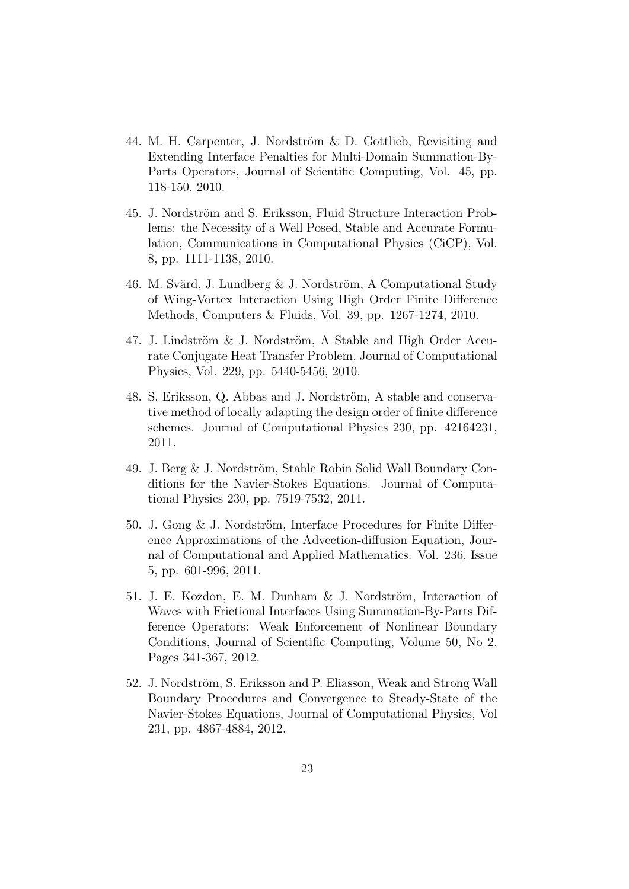- 44. M. H. Carpenter, J. Nordström & D. Gottlieb, Revisiting and Extending Interface Penalties for Multi-Domain Summation-By-Parts Operators, Journal of Scientific Computing, Vol. 45, pp. 118-150, 2010.
- 45. J. Nordström and S. Eriksson, Fluid Structure Interaction Problems: the Necessity of a Well Posed, Stable and Accurate Formulation, Communications in Computational Physics (CiCP), Vol. 8, pp. 1111-1138, 2010.
- 46. M. Svärd, J. Lundberg  $&$  J. Nordström, A Computational Study of Wing-Vortex Interaction Using High Order Finite Difference Methods, Computers & Fluids, Vol. 39, pp. 1267-1274, 2010.
- 47. J. Lindström  $&$  J. Nordström, A Stable and High Order Accurate Conjugate Heat Transfer Problem, Journal of Computational Physics, Vol. 229, pp. 5440-5456, 2010.
- 48. S. Eriksson, Q. Abbas and J. Nordström, A stable and conservative method of locally adapting the design order of finite difference schemes. Journal of Computational Physics 230, pp. 42164231, 2011.
- 49. J. Berg  $&$  J. Nordström, Stable Robin Solid Wall Boundary Conditions for the Navier-Stokes Equations. Journal of Computational Physics 230, pp. 7519-7532, 2011.
- 50. J. Gong  $\&$  J. Nordström, Interface Procedures for Finite Difference Approximations of the Advection-diffusion Equation, Journal of Computational and Applied Mathematics. Vol. 236, Issue 5, pp. 601-996, 2011.
- 51. J. E. Kozdon, E. M. Dunham & J. Nordström, Interaction of Waves with Frictional Interfaces Using Summation-By-Parts Difference Operators: Weak Enforcement of Nonlinear Boundary Conditions, Journal of Scientific Computing, Volume 50, No 2, Pages 341-367, 2012.
- 52. J. Nordström, S. Eriksson and P. Eliasson, Weak and Strong Wall Boundary Procedures and Convergence to Steady-State of the Navier-Stokes Equations, Journal of Computational Physics, Vol 231, pp. 4867-4884, 2012.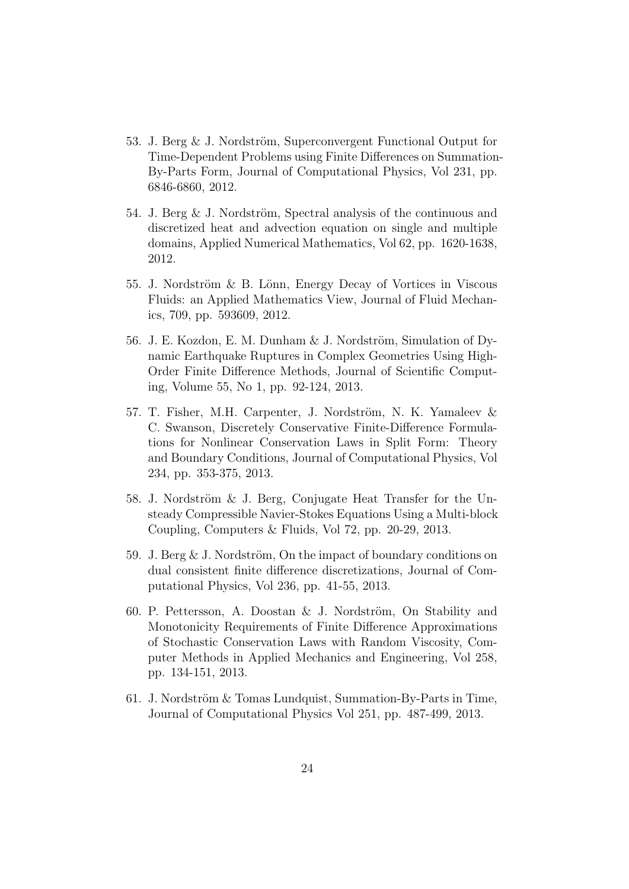- 53. J. Berg  $&$  J. Nordström, Superconvergent Functional Output for Time-Dependent Problems using Finite Differences on Summation-By-Parts Form, Journal of Computational Physics, Vol 231, pp. 6846-6860, 2012.
- 54. J. Berg  $&$  J. Nordström, Spectral analysis of the continuous and discretized heat and advection equation on single and multiple domains, Applied Numerical Mathematics, Vol 62, pp. 1620-1638, 2012.
- 55. J. Nordström & B. Lönn, Energy Decay of Vortices in Viscous Fluids: an Applied Mathematics View, Journal of Fluid Mechanics, 709, pp. 593609, 2012.
- 56. J. E. Kozdon, E. M. Dunham & J. Nordström, Simulation of Dynamic Earthquake Ruptures in Complex Geometries Using High-Order Finite Difference Methods, Journal of Scientific Computing, Volume 55, No 1, pp. 92-124, 2013.
- 57. T. Fisher, M.H. Carpenter, J. Nordström, N. K. Yamaleev & C. Swanson, Discretely Conservative Finite-Difference Formulations for Nonlinear Conservation Laws in Split Form: Theory and Boundary Conditions, Journal of Computational Physics, Vol 234, pp. 353-375, 2013.
- 58. J. Nordström  $\&$  J. Berg, Conjugate Heat Transfer for the Unsteady Compressible Navier-Stokes Equations Using a Multi-block Coupling, Computers & Fluids, Vol 72, pp. 20-29, 2013.
- 59. J. Berg & J. Nordström, On the impact of boundary conditions on dual consistent finite difference discretizations, Journal of Computational Physics, Vol 236, pp. 41-55, 2013.
- 60. P. Pettersson, A. Doostan  $\&$  J. Nordström, On Stability and Monotonicity Requirements of Finite Difference Approximations of Stochastic Conservation Laws with Random Viscosity, Computer Methods in Applied Mechanics and Engineering, Vol 258, pp. 134-151, 2013.
- 61. J. Nordström  $&$  Tomas Lundquist, Summation-By-Parts in Time, Journal of Computational Physics Vol 251, pp. 487-499, 2013.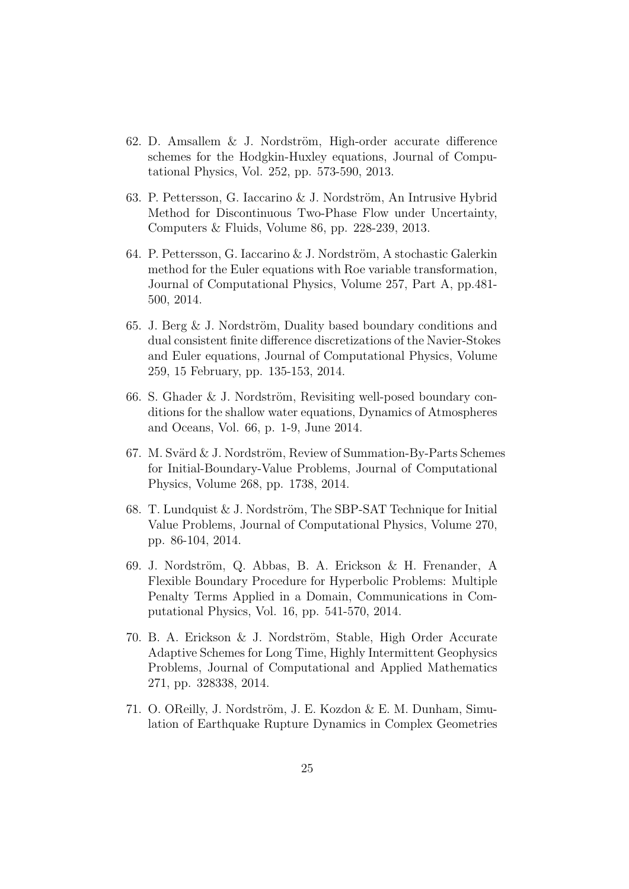- 62. D. Amsallem  $&$  J. Nordström, High-order accurate difference schemes for the Hodgkin-Huxley equations, Journal of Computational Physics, Vol. 252, pp. 573-590, 2013.
- 63. P. Pettersson, G. Iaccarino & J. Nordström, An Intrusive Hybrid Method for Discontinuous Two-Phase Flow under Uncertainty, Computers & Fluids, Volume 86, pp. 228-239, 2013.
- 64. P. Pettersson, G. Iaccarino & J. Nordström, A stochastic Galerkin method for the Euler equations with Roe variable transformation, Journal of Computational Physics, Volume 257, Part A, pp.481- 500, 2014.
- 65. J. Berg  $\&$  J. Nordström, Duality based boundary conditions and dual consistent finite difference discretizations of the Navier-Stokes and Euler equations, Journal of Computational Physics, Volume 259, 15 February, pp. 135-153, 2014.
- 66. S. Ghader  $&$  J. Nordström, Revisiting well-posed boundary conditions for the shallow water equations, Dynamics of Atmospheres and Oceans, Vol. 66, p. 1-9, June 2014.
- 67. M. Svärd  $& J.$  Nordström, Review of Summation-By-Parts Schemes for Initial-Boundary-Value Problems, Journal of Computational Physics, Volume 268, pp. 1738, 2014.
- 68. T. Lundquist  $& J.$  Nordström, The SBP-SAT Technique for Initial Value Problems, Journal of Computational Physics, Volume 270, pp. 86-104, 2014.
- 69. J. Nordström, Q. Abbas, B. A. Erickson & H. Frenander, A Flexible Boundary Procedure for Hyperbolic Problems: Multiple Penalty Terms Applied in a Domain, Communications in Computational Physics, Vol. 16, pp. 541-570, 2014.
- 70. B. A. Erickson & J. Nordström, Stable, High Order Accurate Adaptive Schemes for Long Time, Highly Intermittent Geophysics Problems, Journal of Computational and Applied Mathematics 271, pp. 328338, 2014.
- 71. O. OReilly, J. Nordström, J. E. Kozdon & E. M. Dunham, Simulation of Earthquake Rupture Dynamics in Complex Geometries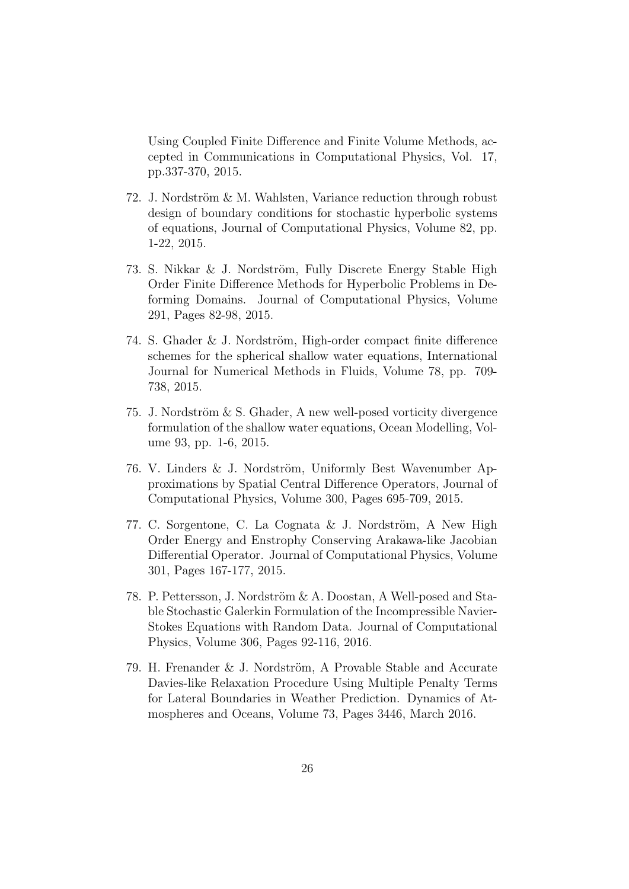Using Coupled Finite Difference and Finite Volume Methods, accepted in Communications in Computational Physics, Vol. 17, pp.337-370, 2015.

- 72. J. Nordström  $& M.$  Wahlsten, Variance reduction through robust design of boundary conditions for stochastic hyperbolic systems of equations, Journal of Computational Physics, Volume 82, pp. 1-22, 2015.
- 73. S. Nikkar & J. Nordström, Fully Discrete Energy Stable High Order Finite Difference Methods for Hyperbolic Problems in Deforming Domains. Journal of Computational Physics, Volume 291, Pages 82-98, 2015.
- 74. S. Ghader  $&$  J. Nordström, High-order compact finite difference schemes for the spherical shallow water equations, International Journal for Numerical Methods in Fluids, Volume 78, pp. 709- 738, 2015.
- 75. J. Nordström  $&$  S. Ghader, A new well-posed vorticity divergence formulation of the shallow water equations, Ocean Modelling, Volume 93, pp. 1-6, 2015.
- 76. V. Linders & J. Nordström, Uniformly Best Wavenumber Approximations by Spatial Central Difference Operators, Journal of Computational Physics, Volume 300, Pages 695-709, 2015.
- 77. C. Sorgentone, C. La Cognata  $\&$  J. Nordström, A New High Order Energy and Enstrophy Conserving Arakawa-like Jacobian Differential Operator. Journal of Computational Physics, Volume 301, Pages 167-177, 2015.
- 78. P. Pettersson, J. Nordström & A. Doostan, A Well-posed and Stable Stochastic Galerkin Formulation of the Incompressible Navier-Stokes Equations with Random Data. Journal of Computational Physics, Volume 306, Pages 92-116, 2016.
- 79. H. Frenander  $&$  J. Nordström, A Provable Stable and Accurate Davies-like Relaxation Procedure Using Multiple Penalty Terms for Lateral Boundaries in Weather Prediction. Dynamics of Atmospheres and Oceans, Volume 73, Pages 3446, March 2016.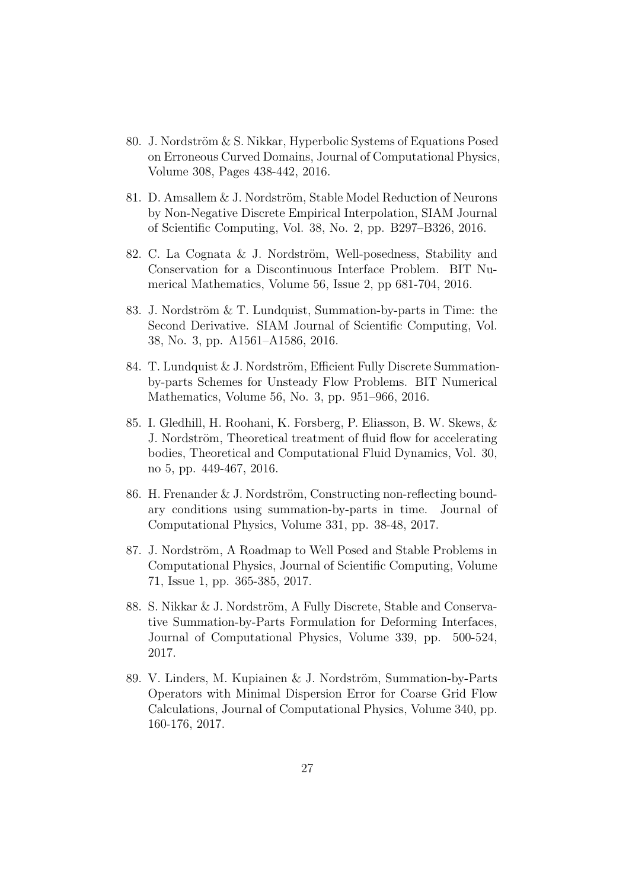- 80. J. Nordström  $& S.$  Nikkar, Hyperbolic Systems of Equations Posed on Erroneous Curved Domains, Journal of Computational Physics, Volume 308, Pages 438-442, 2016.
- 81. D. Amsallem  $&$  J. Nordström, Stable Model Reduction of Neurons by Non-Negative Discrete Empirical Interpolation, SIAM Journal of Scientific Computing, Vol. 38, No. 2, pp. B297–B326, 2016.
- 82. C. La Cognata & J. Nordström, Well-posedness, Stability and Conservation for a Discontinuous Interface Problem. BIT Numerical Mathematics, Volume 56, Issue 2, pp 681-704, 2016.
- 83. J. Nordström  $&\mathcal{T}$ . Lundquist, Summation-by-parts in Time: the Second Derivative. SIAM Journal of Scientific Computing, Vol. 38, No. 3, pp. A1561–A1586, 2016.
- 84. T. Lundquist & J. Nordström, Efficient Fully Discrete Summationby-parts Schemes for Unsteady Flow Problems. BIT Numerical Mathematics, Volume 56, No. 3, pp. 951–966, 2016.
- 85. I. Gledhill, H. Roohani, K. Forsberg, P. Eliasson, B. W. Skews, & J. Nordström, Theoretical treatment of fluid flow for accelerating bodies, Theoretical and Computational Fluid Dynamics, Vol. 30, no 5, pp. 449-467, 2016.
- 86. H. Frenander  $& J.$  Nordström, Constructing non-reflecting boundary conditions using summation-by-parts in time. Journal of Computational Physics, Volume 331, pp. 38-48, 2017.
- 87. J. Nordström, A Roadmap to Well Posed and Stable Problems in Computational Physics, Journal of Scientific Computing, Volume 71, Issue 1, pp. 365-385, 2017.
- 88. S. Nikkar & J. Nordström, A Fully Discrete, Stable and Conservative Summation-by-Parts Formulation for Deforming Interfaces, Journal of Computational Physics, Volume 339, pp. 500-524, 2017.
- 89. V. Linders, M. Kupiainen & J. Nordström, Summation-by-Parts Operators with Minimal Dispersion Error for Coarse Grid Flow Calculations, Journal of Computational Physics, Volume 340, pp. 160-176, 2017.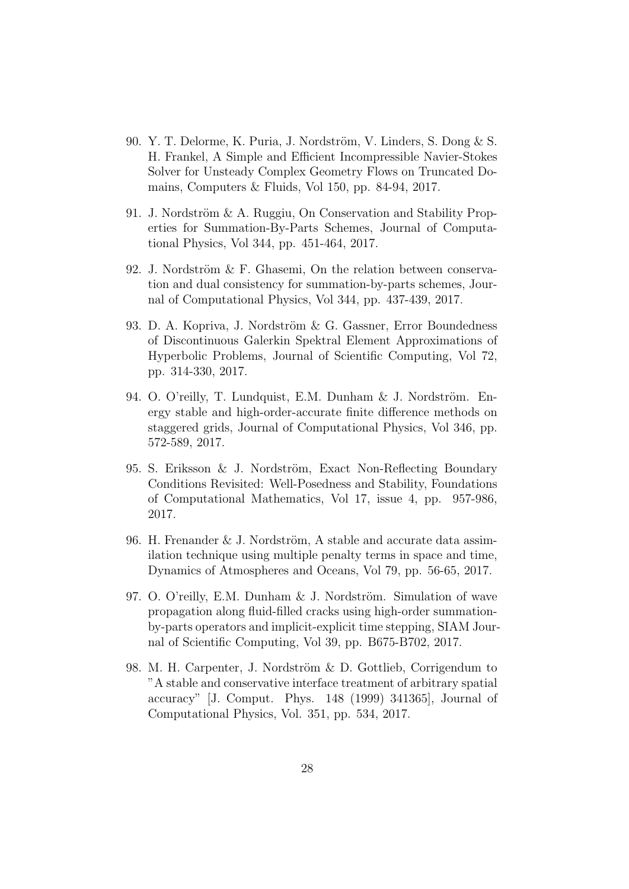- 90. Y. T. Delorme, K. Puria, J. Nordström, V. Linders, S. Dong  $\&$  S. H. Frankel, A Simple and Efficient Incompressible Navier-Stokes Solver for Unsteady Complex Geometry Flows on Truncated Domains, Computers & Fluids, Vol 150, pp. 84-94, 2017.
- 91. J. Nordström & A. Ruggiu, On Conservation and Stability Properties for Summation-By-Parts Schemes, Journal of Computational Physics, Vol 344, pp. 451-464, 2017.
- 92. J. Nordström & F. Ghasemi, On the relation between conservation and dual consistency for summation-by-parts schemes, Journal of Computational Physics, Vol 344, pp. 437-439, 2017.
- 93. D. A. Kopriva, J. Nordström & G. Gassner, Error Boundedness of Discontinuous Galerkin Spektral Element Approximations of Hyperbolic Problems, Journal of Scientific Computing, Vol 72, pp. 314-330, 2017.
- 94. O. O'reilly, T. Lundquist, E.M. Dunham & J. Nordström. Energy stable and high-order-accurate finite difference methods on staggered grids, Journal of Computational Physics, Vol 346, pp. 572-589, 2017.
- 95. S. Eriksson & J. Nordström, Exact Non-Reflecting Boundary Conditions Revisited: Well-Posedness and Stability, Foundations of Computational Mathematics, Vol 17, issue 4, pp. 957-986, 2017.
- 96. H. Frenander  $&$  J. Nordström, A stable and accurate data assimilation technique using multiple penalty terms in space and time, Dynamics of Atmospheres and Oceans, Vol 79, pp. 56-65, 2017.
- 97. O. O'reilly, E.M. Dunham  $&$  J. Nordström. Simulation of wave propagation along fluid-filled cracks using high-order summationby-parts operators and implicit-explicit time stepping, SIAM Journal of Scientific Computing, Vol 39, pp. B675-B702, 2017.
- 98. M. H. Carpenter, J. Nordström & D. Gottlieb, Corrigendum to "A stable and conservative interface treatment of arbitrary spatial accuracy" [J. Comput. Phys. 148 (1999) 341365], Journal of Computational Physics, Vol. 351, pp. 534, 2017.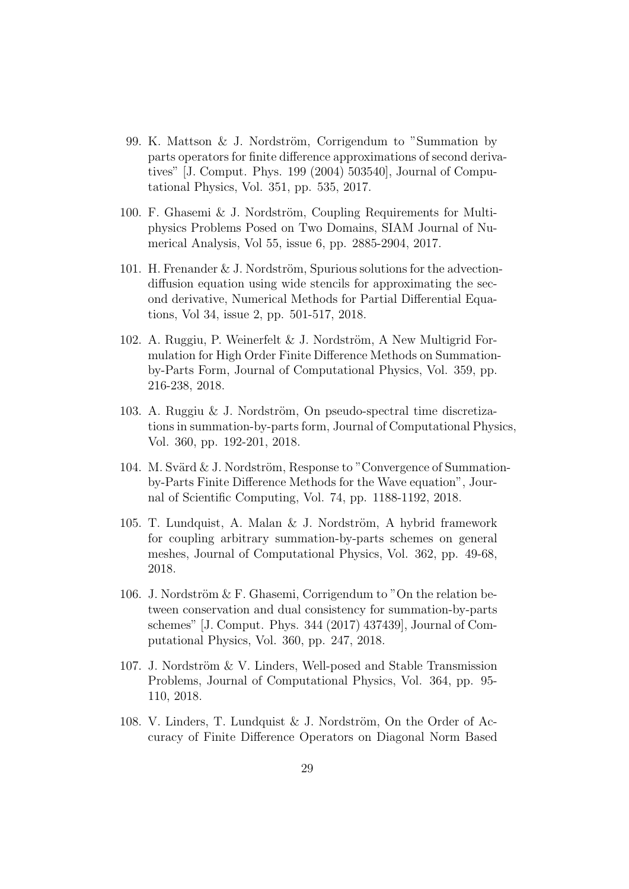- 99. K. Mattson  $&$  J. Nordström, Corrigendum to "Summation by parts operators for finite difference approximations of second derivatives" [J. Comput. Phys. 199 (2004) 503540], Journal of Computational Physics, Vol. 351, pp. 535, 2017.
- 100. F. Ghasemi  $&$  J. Nordström, Coupling Requirements for Multiphysics Problems Posed on Two Domains, SIAM Journal of Numerical Analysis, Vol 55, issue 6, pp. 2885-2904, 2017.
- 101. H. Frenander & J. Nordström, Spurious solutions for the advectiondiffusion equation using wide stencils for approximating the second derivative, Numerical Methods for Partial Differential Equations, Vol 34, issue 2, pp. 501-517, 2018.
- 102. A. Ruggiu, P. Weinerfelt & J. Nordström, A New Multigrid Formulation for High Order Finite Difference Methods on Summationby-Parts Form, Journal of Computational Physics, Vol. 359, pp. 216-238, 2018.
- 103. A. Ruggiu & J. Nordström, On pseudo-spectral time discretizations in summation-by-parts form, Journal of Computational Physics, Vol. 360, pp. 192-201, 2018.
- 104. M. Svärd  $& J.$  Nordström, Response to "Convergence of Summationby-Parts Finite Difference Methods for the Wave equation", Journal of Scientific Computing, Vol. 74, pp. 1188-1192, 2018.
- 105. T. Lundquist, A. Malan & J. Nordström, A hybrid framework for coupling arbitrary summation-by-parts schemes on general meshes, Journal of Computational Physics, Vol. 362, pp. 49-68, 2018.
- 106. J. Nordström  $&$  F. Ghasemi, Corrigendum to "On the relation between conservation and dual consistency for summation-by-parts schemes" [J. Comput. Phys. 344 (2017) 437439], Journal of Computational Physics, Vol. 360, pp. 247, 2018.
- 107. J. Nordström  $&\vee$ . Linders, Well-posed and Stable Transmission Problems, Journal of Computational Physics, Vol. 364, pp. 95- 110, 2018.
- 108. V. Linders, T. Lundquist & J. Nordström, On the Order of Accuracy of Finite Difference Operators on Diagonal Norm Based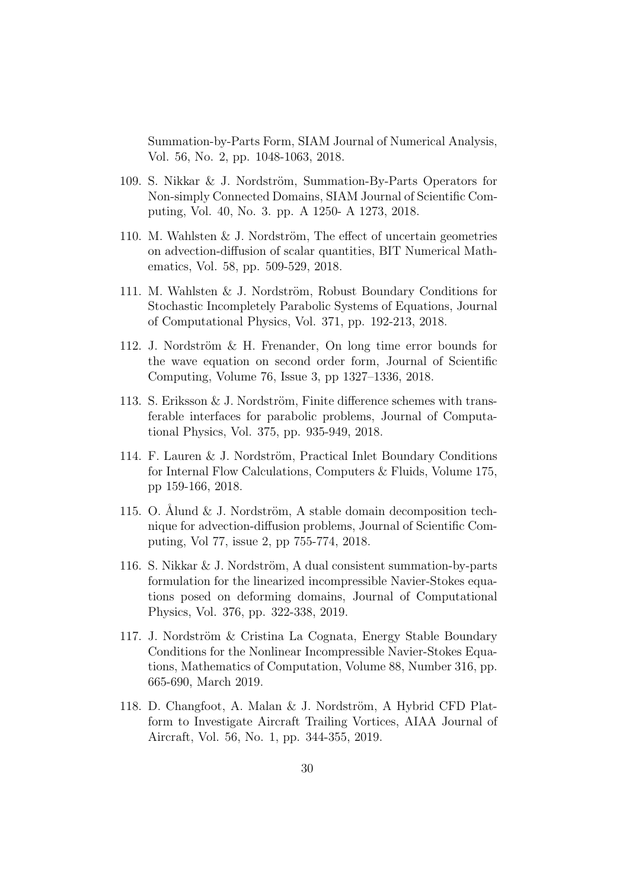Summation-by-Parts Form, SIAM Journal of Numerical Analysis, Vol. 56, No. 2, pp. 1048-1063, 2018.

- 109. S. Nikkar & J. Nordström, Summation-By-Parts Operators for Non-simply Connected Domains, SIAM Journal of Scientific Computing, Vol. 40, No. 3. pp. A 1250- A 1273, 2018.
- 110. M. Wahlsten  $&$  J. Nordström, The effect of uncertain geometries on advection-diffusion of scalar quantities, BIT Numerical Mathematics, Vol. 58, pp. 509-529, 2018.
- 111. M. Wahlsten & J. Nordström, Robust Boundary Conditions for Stochastic Incompletely Parabolic Systems of Equations, Journal of Computational Physics, Vol. 371, pp. 192-213, 2018.
- 112. J. Nordström  $\&$  H. Frenander, On long time error bounds for the wave equation on second order form, Journal of Scientific Computing, Volume 76, Issue 3, pp 1327–1336, 2018.
- 113. S. Eriksson  $& J.$  Nordström, Finite difference schemes with transferable interfaces for parabolic problems, Journal of Computational Physics, Vol. 375, pp. 935-949, 2018.
- 114. F. Lauren & J. Nordström, Practical Inlet Boundary Conditions for Internal Flow Calculations, Computers & Fluids, Volume 175, pp 159-166, 2018.
- 115. O. Ålund  $&$  J. Nordström, A stable domain decomposition technique for advection-diffusion problems, Journal of Scientific Computing, Vol 77, issue 2, pp 755-774, 2018.
- 116. S. Nikkar  $&$  J. Nordström, A dual consistent summation-by-parts formulation for the linearized incompressible Navier-Stokes equations posed on deforming domains, Journal of Computational Physics, Vol. 376, pp. 322-338, 2019.
- 117. J. Nordström & Cristina La Cognata, Energy Stable Boundary Conditions for the Nonlinear Incompressible Navier-Stokes Equations, Mathematics of Computation, Volume 88, Number 316, pp. 665-690, March 2019.
- 118. D. Changfoot, A. Malan & J. Nordström, A Hybrid CFD Platform to Investigate Aircraft Trailing Vortices, AIAA Journal of Aircraft, Vol. 56, No. 1, pp. 344-355, 2019.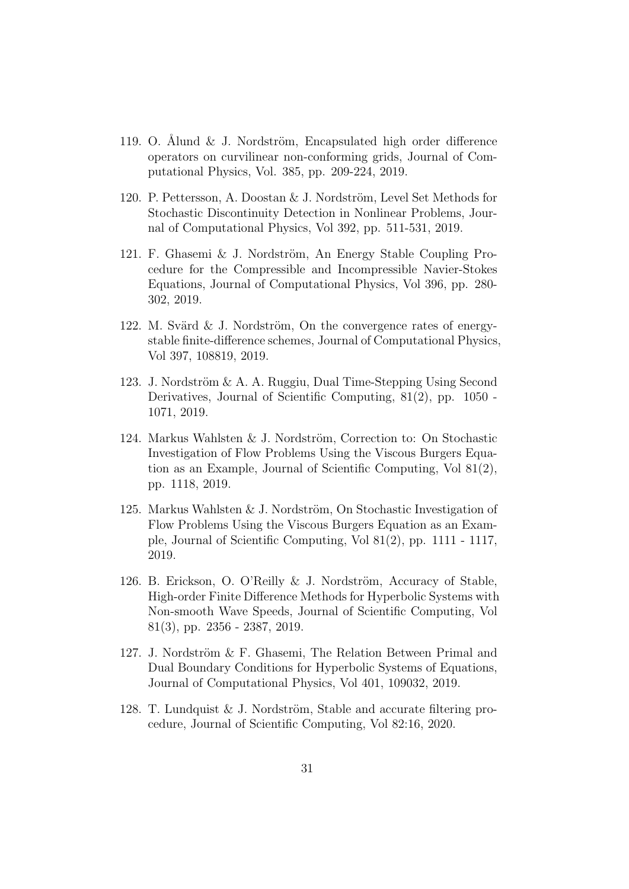- 119. O. Álund & J. Nordström, Encapsulated high order difference operators on curvilinear non-conforming grids, Journal of Computational Physics, Vol. 385, pp. 209-224, 2019.
- 120. P. Pettersson, A. Doostan  $\&$  J. Nordström, Level Set Methods for Stochastic Discontinuity Detection in Nonlinear Problems, Journal of Computational Physics, Vol 392, pp. 511-531, 2019.
- 121. F. Ghasemi & J. Nordström, An Energy Stable Coupling Procedure for the Compressible and Incompressible Navier-Stokes Equations, Journal of Computational Physics, Vol 396, pp. 280- 302, 2019.
- 122. M. Svärd  $\&$  J. Nordström, On the convergence rates of energystable finite-difference schemes, Journal of Computational Physics, Vol 397, 108819, 2019.
- 123. J. Nordström  $\&$  A. A. Ruggiu, Dual Time-Stepping Using Second Derivatives, Journal of Scientific Computing, 81(2), pp. 1050 - 1071, 2019.
- 124. Markus Wahlsten & J. Nordström, Correction to: On Stochastic Investigation of Flow Problems Using the Viscous Burgers Equation as an Example, Journal of Scientific Computing, Vol 81(2), pp. 1118, 2019.
- 125. Markus Wahlsten & J. Nordström, On Stochastic Investigation of Flow Problems Using the Viscous Burgers Equation as an Example, Journal of Scientific Computing, Vol 81(2), pp. 1111 - 1117, 2019.
- 126. B. Erickson, O. O'Reilly & J. Nordström, Accuracy of Stable, High-order Finite Difference Methods for Hyperbolic Systems with Non-smooth Wave Speeds, Journal of Scientific Computing, Vol 81(3), pp. 2356 - 2387, 2019.
- 127. J. Nordström  $&$  F. Ghasemi, The Relation Between Primal and Dual Boundary Conditions for Hyperbolic Systems of Equations, Journal of Computational Physics, Vol 401, 109032, 2019.
- 128. T. Lundquist & J. Nordström, Stable and accurate filtering procedure, Journal of Scientific Computing, Vol 82:16, 2020.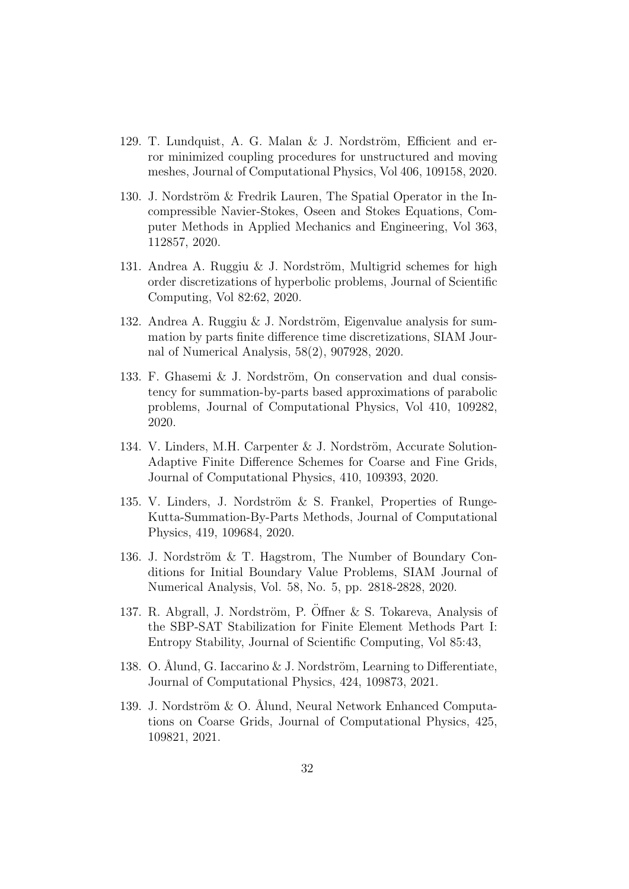- 129. T. Lundquist, A. G. Malan & J. Nordström, Efficient and error minimized coupling procedures for unstructured and moving meshes, Journal of Computational Physics, Vol 406, 109158, 2020.
- 130. J. Nordström  $&$  Fredrik Lauren, The Spatial Operator in the Incompressible Navier-Stokes, Oseen and Stokes Equations, Computer Methods in Applied Mechanics and Engineering, Vol 363, 112857, 2020.
- 131. Andrea A. Ruggiu & J. Nordström, Multigrid schemes for high order discretizations of hyperbolic problems, Journal of Scientific Computing, Vol 82:62, 2020.
- 132. Andrea A. Ruggiu & J. Nordström, Eigenvalue analysis for summation by parts finite difference time discretizations, SIAM Journal of Numerical Analysis, 58(2), 907928, 2020.
- 133. F. Ghasemi  $&$  J. Nordström, On conservation and dual consistency for summation-by-parts based approximations of parabolic problems, Journal of Computational Physics, Vol 410, 109282, 2020.
- 134. V. Linders, M.H. Carpenter & J. Nordström, Accurate Solution-Adaptive Finite Difference Schemes for Coarse and Fine Grids, Journal of Computational Physics, 410, 109393, 2020.
- 135. V. Linders, J. Nordström  $\&$  S. Frankel, Properties of Runge-Kutta-Summation-By-Parts Methods, Journal of Computational Physics, 419, 109684, 2020.
- 136. J. Nordström & T. Hagstrom, The Number of Boundary Conditions for Initial Boundary Value Problems, SIAM Journal of Numerical Analysis, Vol. 58, No. 5, pp. 2818-2828, 2020.
- 137. R. Abgrall, J. Nordström, P. Öffner & S. Tokareva, Analysis of the SBP-SAT Stabilization for Finite Element Methods Part I: Entropy Stability, Journal of Scientific Computing, Vol 85:43,
- 138. O. Ålund, G. Iaccarino & J. Nordström, Learning to Differentiate, Journal of Computational Physics, 424, 109873, 2021.
- 139. J. Nordström & O. Ålund, Neural Network Enhanced Computations on Coarse Grids, Journal of Computational Physics, 425, 109821, 2021.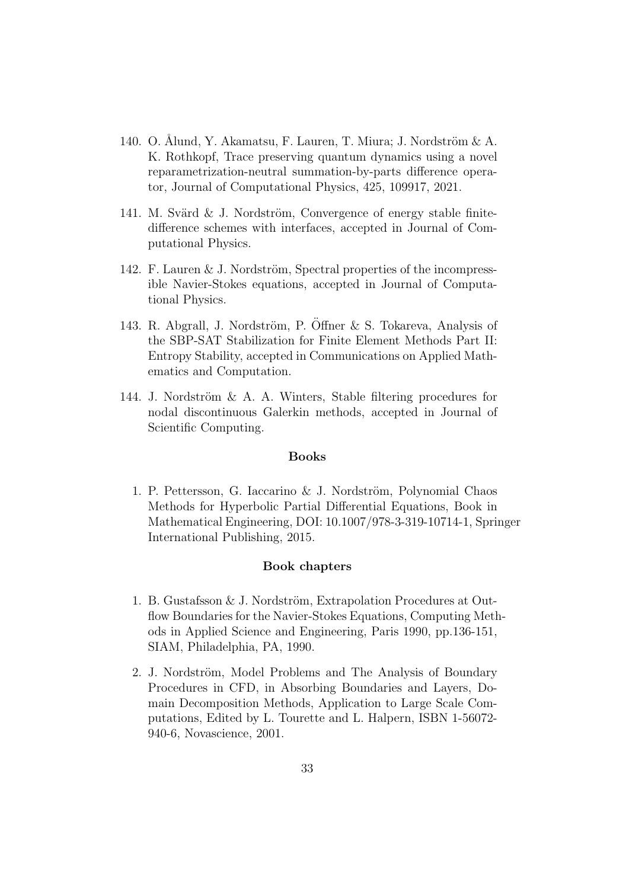- 140. O. Ålund, Y. Akamatsu, F. Lauren, T. Miura; J. Nordström & A. K. Rothkopf, Trace preserving quantum dynamics using a novel reparametrization-neutral summation-by-parts difference operator, Journal of Computational Physics, 425, 109917, 2021.
- 141. M. Svärd  $&$  J. Nordström, Convergence of energy stable finitedifference schemes with interfaces, accepted in Journal of Computational Physics.
- 142. F. Lauren  $&$  J. Nordström, Spectral properties of the incompressible Navier-Stokes equations, accepted in Journal of Computational Physics.
- 143. R. Abgrall, J. Nordström, P. Öffner & S. Tokareva, Analysis of the SBP-SAT Stabilization for Finite Element Methods Part II: Entropy Stability, accepted in Communications on Applied Mathematics and Computation.
- 144. J. Nordström  $\&$  A. A. Winters, Stable filtering procedures for nodal discontinuous Galerkin methods, accepted in Journal of Scientific Computing.

### Books

1. P. Pettersson, G. Iaccarino & J. Nordström, Polynomial Chaos Methods for Hyperbolic Partial Differential Equations, Book in Mathematical Engineering, DOI: 10.1007/978-3-319-10714-1, Springer International Publishing, 2015.

#### Book chapters

- 1. B. Gustafsson  $& J.$  Nordström, Extrapolation Procedures at Outflow Boundaries for the Navier-Stokes Equations, Computing Methods in Applied Science and Engineering, Paris 1990, pp.136-151, SIAM, Philadelphia, PA, 1990.
- 2. J. Nordström, Model Problems and The Analysis of Boundary Procedures in CFD, in Absorbing Boundaries and Layers, Domain Decomposition Methods, Application to Large Scale Computations, Edited by L. Tourette and L. Halpern, ISBN 1-56072- 940-6, Novascience, 2001.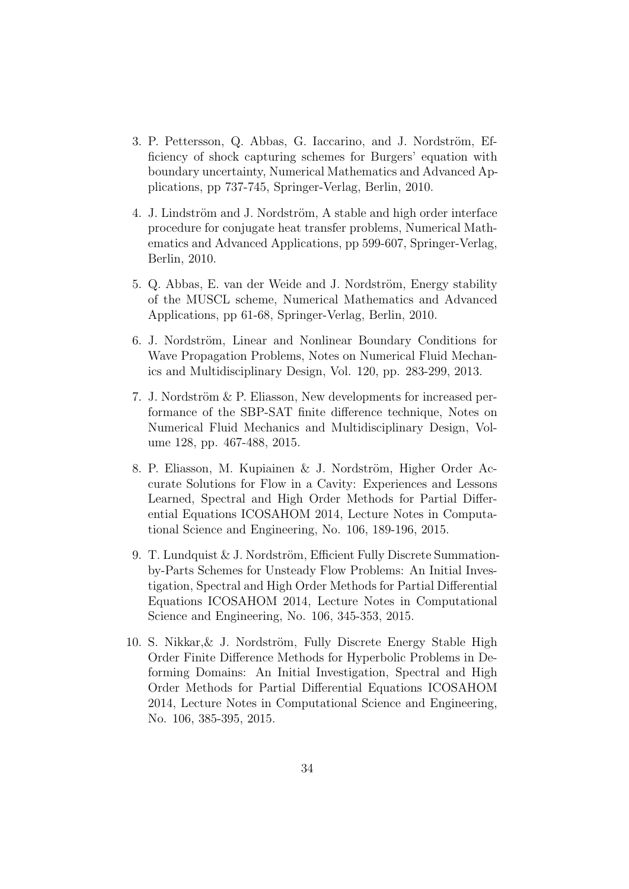- 3. P. Pettersson, Q. Abbas, G. Iaccarino, and J. Nordström, Efficiency of shock capturing schemes for Burgers' equation with boundary uncertainty, Numerical Mathematics and Advanced Applications, pp 737-745, Springer-Verlag, Berlin, 2010.
- 4. J. Lindström and J. Nordström, A stable and high order interface procedure for conjugate heat transfer problems, Numerical Mathematics and Advanced Applications, pp 599-607, Springer-Verlag, Berlin, 2010.
- 5. Q. Abbas, E. van der Weide and J. Nordström, Energy stability of the MUSCL scheme, Numerical Mathematics and Advanced Applications, pp 61-68, Springer-Verlag, Berlin, 2010.
- 6. J. Nordström, Linear and Nonlinear Boundary Conditions for Wave Propagation Problems, Notes on Numerical Fluid Mechanics and Multidisciplinary Design, Vol. 120, pp. 283-299, 2013.
- 7. J. Nordström  $&$  P. Eliasson, New developments for increased performance of the SBP-SAT finite difference technique, Notes on Numerical Fluid Mechanics and Multidisciplinary Design, Volume 128, pp. 467-488, 2015.
- 8. P. Eliasson, M. Kupiainen & J. Nordström, Higher Order Accurate Solutions for Flow in a Cavity: Experiences and Lessons Learned, Spectral and High Order Methods for Partial Differential Equations ICOSAHOM 2014, Lecture Notes in Computational Science and Engineering, No. 106, 189-196, 2015.
- 9. T. Lundquist  $& J.$  Nordström, Efficient Fully Discrete Summationby-Parts Schemes for Unsteady Flow Problems: An Initial Investigation, Spectral and High Order Methods for Partial Differential Equations ICOSAHOM 2014, Lecture Notes in Computational Science and Engineering, No. 106, 345-353, 2015.
- $10.$  S. Nikkar, & J. Nordström, Fully Discrete Energy Stable High Order Finite Difference Methods for Hyperbolic Problems in Deforming Domains: An Initial Investigation, Spectral and High Order Methods for Partial Differential Equations ICOSAHOM 2014, Lecture Notes in Computational Science and Engineering, No. 106, 385-395, 2015.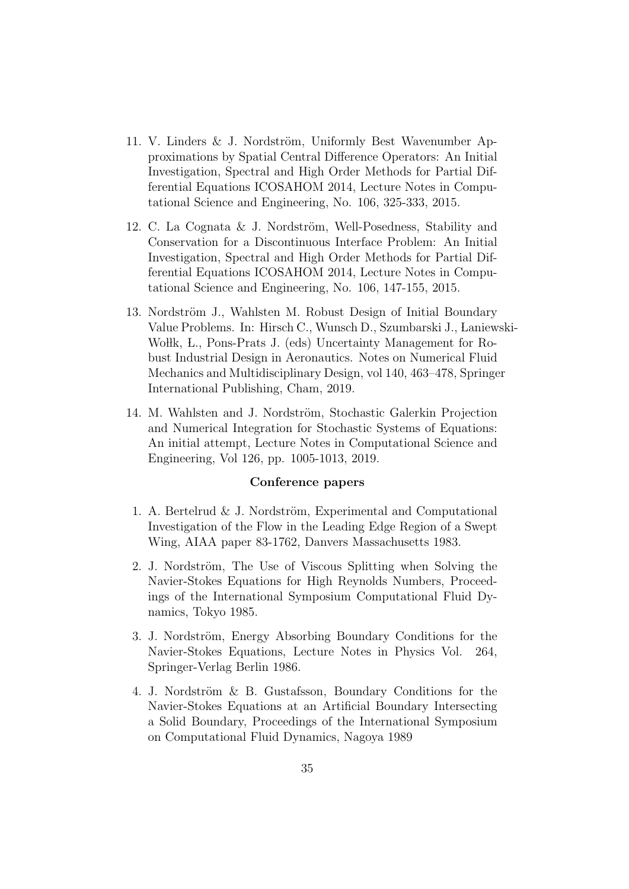- 11. V. Linders & J. Nordström, Uniformly Best Wavenumber Approximations by Spatial Central Difference Operators: An Initial Investigation, Spectral and High Order Methods for Partial Differential Equations ICOSAHOM 2014, Lecture Notes in Computational Science and Engineering, No. 106, 325-333, 2015.
- 12. C. La Cognata & J. Nordström, Well-Posedness, Stability and Conservation for a Discontinuous Interface Problem: An Initial Investigation, Spectral and High Order Methods for Partial Differential Equations ICOSAHOM 2014, Lecture Notes in Computational Science and Engineering, No. 106, 147-155, 2015.
- 13. Nordström J., Wahlsten M. Robust Design of Initial Boundary Value Problems. In: Hirsch C., Wunsch D., Szumbarski J., Laniewski-Wollk, L., Pons-Prats J. (eds) Uncertainty Management for Robust Industrial Design in Aeronautics. Notes on Numerical Fluid Mechanics and Multidisciplinary Design, vol 140, 463–478, Springer International Publishing, Cham, 2019.
- 14. M. Wahlsten and J. Nordström, Stochastic Galerkin Projection and Numerical Integration for Stochastic Systems of Equations: An initial attempt, Lecture Notes in Computational Science and Engineering, Vol 126, pp. 1005-1013, 2019.

#### Conference papers

- 1. A. Bertelrud & J. Nordström, Experimental and Computational Investigation of the Flow in the Leading Edge Region of a Swept Wing, AIAA paper 83-1762, Danvers Massachusetts 1983.
- 2. J. Nordström, The Use of Viscous Splitting when Solving the Navier-Stokes Equations for High Reynolds Numbers, Proceedings of the International Symposium Computational Fluid Dynamics, Tokyo 1985.
- 3. J. Nordström, Energy Absorbing Boundary Conditions for the Navier-Stokes Equations, Lecture Notes in Physics Vol. 264, Springer-Verlag Berlin 1986.
- 4. J. Nordström & B. Gustafsson, Boundary Conditions for the Navier-Stokes Equations at an Artificial Boundary Intersecting a Solid Boundary, Proceedings of the International Symposium on Computational Fluid Dynamics, Nagoya 1989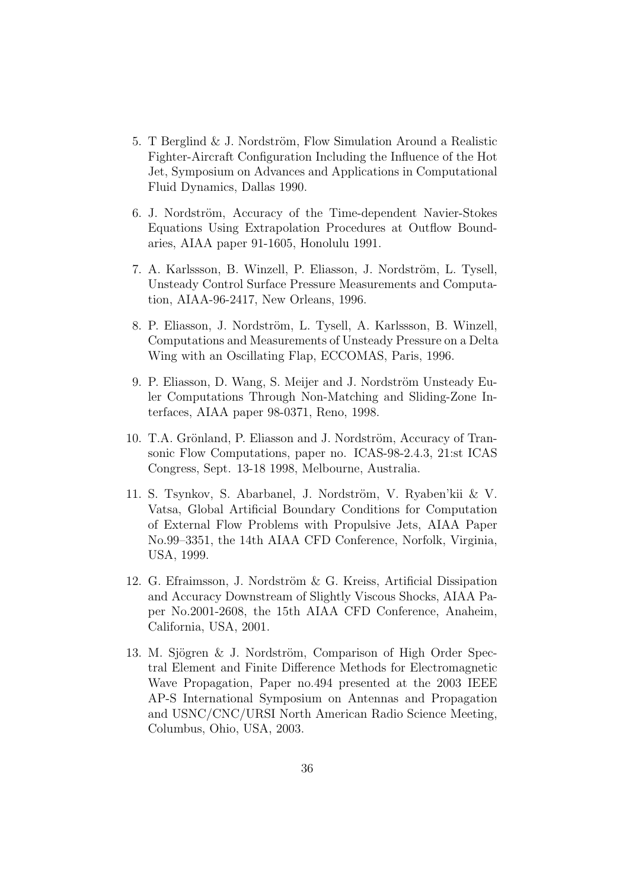- 5. T Berglind  $&$  J. Nordström, Flow Simulation Around a Realistic Fighter-Aircraft Configuration Including the Influence of the Hot Jet, Symposium on Advances and Applications in Computational Fluid Dynamics, Dallas 1990.
- 6. J. Nordström, Accuracy of the Time-dependent Navier-Stokes Equations Using Extrapolation Procedures at Outflow Boundaries, AIAA paper 91-1605, Honolulu 1991.
- 7. A. Karlssson, B. Winzell, P. Eliasson, J. Nordström, L. Tysell, Unsteady Control Surface Pressure Measurements and Computation, AIAA-96-2417, New Orleans, 1996.
- 8. P. Eliasson, J. Nordström, L. Tysell, A. Karlssson, B. Winzell, Computations and Measurements of Unsteady Pressure on a Delta Wing with an Oscillating Flap, ECCOMAS, Paris, 1996.
- 9. P. Eliasson, D. Wang, S. Meijer and J. Nordström Unsteady Euler Computations Through Non-Matching and Sliding-Zone Interfaces, AIAA paper 98-0371, Reno, 1998.
- 10. T.A. Grönland, P. Eliasson and J. Nordström, Accuracy of Transonic Flow Computations, paper no. ICAS-98-2.4.3, 21:st ICAS Congress, Sept. 13-18 1998, Melbourne, Australia.
- 11. S. Tsynkov, S. Abarbanel, J. Nordström, V. Ryaben'kii & V. Vatsa, Global Artificial Boundary Conditions for Computation of External Flow Problems with Propulsive Jets, AIAA Paper No.99–3351, the 14th AIAA CFD Conference, Norfolk, Virginia, USA, 1999.
- 12. G. Efraimsson, J. Nordström & G. Kreiss, Artificial Dissipation and Accuracy Downstream of Slightly Viscous Shocks, AIAA Paper No.2001-2608, the 15th AIAA CFD Conference, Anaheim, California, USA, 2001.
- 13. M. Sjögren & J. Nordström, Comparison of High Order Spectral Element and Finite Difference Methods for Electromagnetic Wave Propagation, Paper no.494 presented at the 2003 IEEE AP-S International Symposium on Antennas and Propagation and USNC/CNC/URSI North American Radio Science Meeting, Columbus, Ohio, USA, 2003.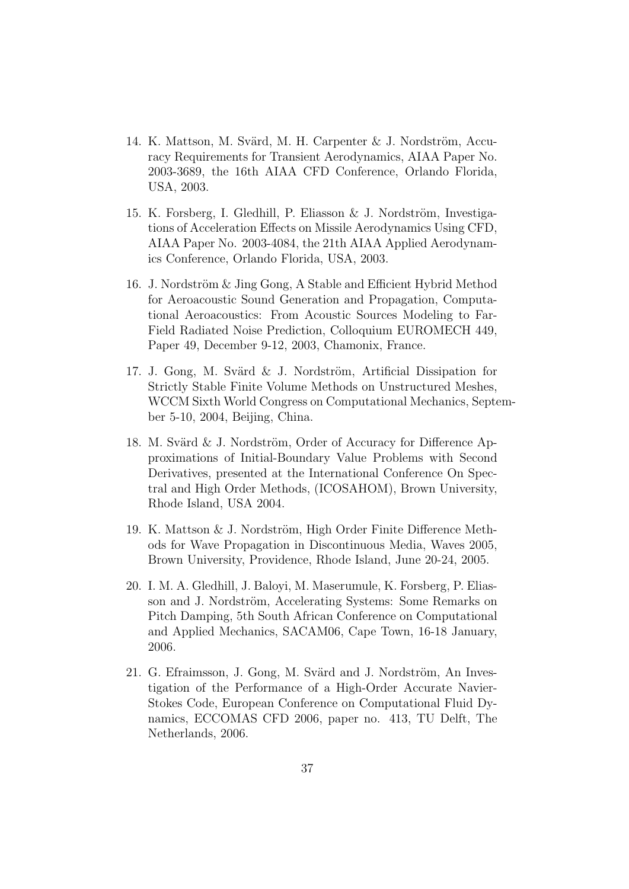- 14. K. Mattson, M. Svärd, M. H. Carpenter  $& J.$  Nordström, Accuracy Requirements for Transient Aerodynamics, AIAA Paper No. 2003-3689, the 16th AIAA CFD Conference, Orlando Florida, USA, 2003.
- 15. K. Forsberg, I. Gledhill, P. Eliasson  $\&$  J. Nordström, Investigations of Acceleration Effects on Missile Aerodynamics Using CFD, AIAA Paper No. 2003-4084, the 21th AIAA Applied Aerodynamics Conference, Orlando Florida, USA, 2003.
- 16. J. Nordström  $\&$  Jing Gong, A Stable and Efficient Hybrid Method for Aeroacoustic Sound Generation and Propagation, Computational Aeroacoustics: From Acoustic Sources Modeling to Far-Field Radiated Noise Prediction, Colloquium EUROMECH 449, Paper 49, December 9-12, 2003, Chamonix, France.
- 17. J. Gong, M. Svärd  $\&$  J. Nordström, Artificial Dissipation for Strictly Stable Finite Volume Methods on Unstructured Meshes, WCCM Sixth World Congress on Computational Mechanics, September 5-10, 2004, Beijing, China.
- 18. M. Svärd  $\&$  J. Nordström, Order of Accuracy for Difference Approximations of Initial-Boundary Value Problems with Second Derivatives, presented at the International Conference On Spectral and High Order Methods, (ICOSAHOM), Brown University, Rhode Island, USA 2004.
- 19. K. Mattson  $&$  J. Nordström, High Order Finite Difference Methods for Wave Propagation in Discontinuous Media, Waves 2005, Brown University, Providence, Rhode Island, June 20-24, 2005.
- 20. I. M. A. Gledhill, J. Baloyi, M. Maserumule, K. Forsberg, P. Eliasson and J. Nordström, Accelerating Systems: Some Remarks on Pitch Damping, 5th South African Conference on Computational and Applied Mechanics, SACAM06, Cape Town, 16-18 January, 2006.
- 21. G. Efraimsson, J. Gong, M. Svärd and J. Nordström, An Investigation of the Performance of a High-Order Accurate Navier-Stokes Code, European Conference on Computational Fluid Dynamics, ECCOMAS CFD 2006, paper no. 413, TU Delft, The Netherlands, 2006.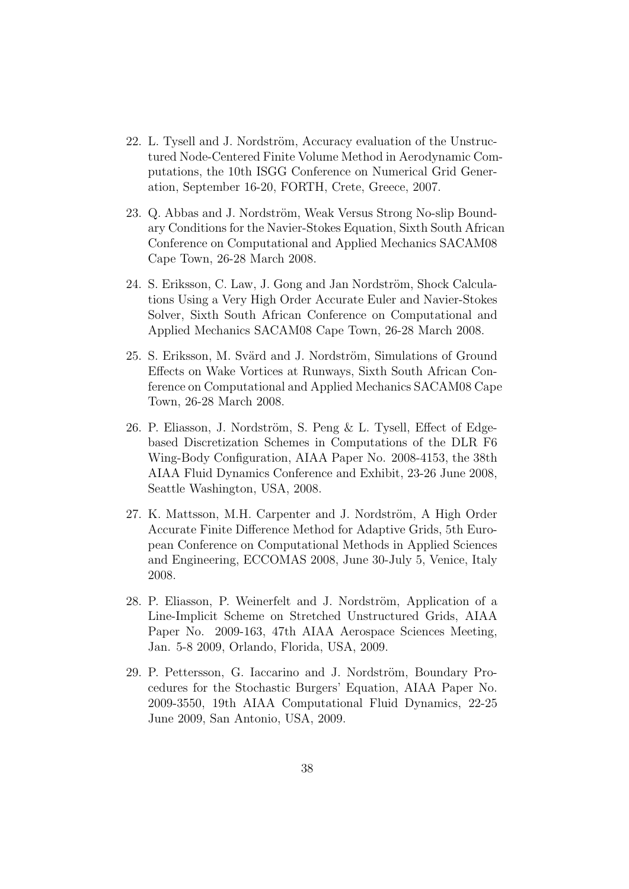- 22. L. Tysell and J. Nordström, Accuracy evaluation of the Unstructured Node-Centered Finite Volume Method in Aerodynamic Computations, the 10th ISGG Conference on Numerical Grid Generation, September 16-20, FORTH, Crete, Greece, 2007.
- 23. Q. Abbas and J. Nordström, Weak Versus Strong No-slip Boundary Conditions for the Navier-Stokes Equation, Sixth South African Conference on Computational and Applied Mechanics SACAM08 Cape Town, 26-28 March 2008.
- 24. S. Eriksson, C. Law, J. Gong and Jan Nordström, Shock Calculations Using a Very High Order Accurate Euler and Navier-Stokes Solver, Sixth South African Conference on Computational and Applied Mechanics SACAM08 Cape Town, 26-28 March 2008.
- 25. S. Eriksson, M. Svärd and J. Nordström, Simulations of Ground Effects on Wake Vortices at Runways, Sixth South African Conference on Computational and Applied Mechanics SACAM08 Cape Town, 26-28 March 2008.
- 26. P. Eliasson, J. Nordström, S. Peng  $\&$  L. Tysell, Effect of Edgebased Discretization Schemes in Computations of the DLR F6 Wing-Body Configuration, AIAA Paper No. 2008-4153, the 38th AIAA Fluid Dynamics Conference and Exhibit, 23-26 June 2008, Seattle Washington, USA, 2008.
- 27. K. Mattsson, M.H. Carpenter and J. Nordström, A High Order Accurate Finite Difference Method for Adaptive Grids, 5th European Conference on Computational Methods in Applied Sciences and Engineering, ECCOMAS 2008, June 30-July 5, Venice, Italy 2008.
- 28. P. Eliasson, P. Weinerfelt and J. Nordström, Application of a Line-Implicit Scheme on Stretched Unstructured Grids, AIAA Paper No. 2009-163, 47th AIAA Aerospace Sciences Meeting, Jan. 5-8 2009, Orlando, Florida, USA, 2009.
- 29. P. Pettersson, G. Iaccarino and J. Nordström, Boundary Procedures for the Stochastic Burgers' Equation, AIAA Paper No. 2009-3550, 19th AIAA Computational Fluid Dynamics, 22-25 June 2009, San Antonio, USA, 2009.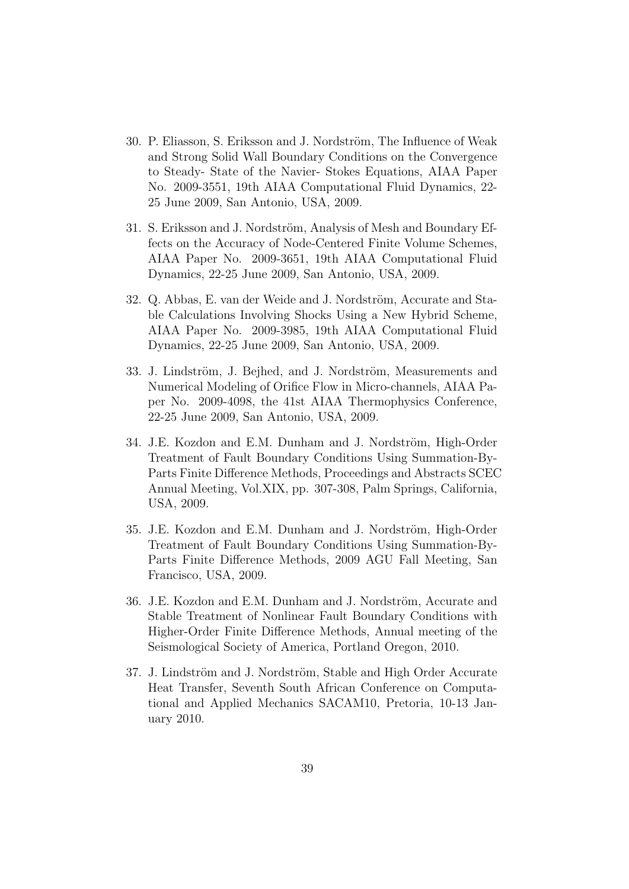- 30. P. Eliasson, S. Eriksson and J. Nordström, The Influence of Weak and Strong Solid Wall Boundary Conditions on the Convergence to Steady- State of the Navier- Stokes Equations, AIAA Paper No. 2009-3551, 19th AIAA Computational Fluid Dynamics, 22- 25 June 2009, San Antonio, USA, 2009.
- 31. S. Eriksson and J. Nordström, Analysis of Mesh and Boundary Effects on the Accuracy of Node-Centered Finite Volume Schemes, AIAA Paper No. 2009-3651, 19th AIAA Computational Fluid Dynamics, 22-25 June 2009, San Antonio, USA, 2009.
- 32. Q. Abbas, E. van der Weide and J. Nordström, Accurate and Stable Calculations Involving Shocks Using a New Hybrid Scheme, AIAA Paper No. 2009-3985, 19th AIAA Computational Fluid Dynamics, 22-25 June 2009, San Antonio, USA, 2009.
- 33. J. Lindström, J. Bejhed, and J. Nordström, Measurements and Numerical Modeling of Orifice Flow in Micro-channels, AIAA Paper No. 2009-4098, the 41st AIAA Thermophysics Conference, 22-25 June 2009, San Antonio, USA, 2009.
- 34. J.E. Kozdon and E.M. Dunham and J. Nordström, High-Order Treatment of Fault Boundary Conditions Using Summation-By-Parts Finite Difference Methods, Proceedings and Abstracts SCEC Annual Meeting, Vol.XIX, pp. 307-308, Palm Springs, California, USA, 2009.
- 35. J.E. Kozdon and E.M. Dunham and J. Nordström, High-Order Treatment of Fault Boundary Conditions Using Summation-By-Parts Finite Difference Methods, 2009 AGU Fall Meeting, San Francisco, USA, 2009.
- 36. J.E. Kozdon and E.M. Dunham and J. Nordström, Accurate and Stable Treatment of Nonlinear Fault Boundary Conditions with Higher-Order Finite Difference Methods, Annual meeting of the Seismological Society of America, Portland Oregon, 2010.
- 37. J. Lindström and J. Nordström, Stable and High Order Accurate Heat Transfer, Seventh South African Conference on Computational and Applied Mechanics SACAM10, Pretoria, 10-13 January 2010.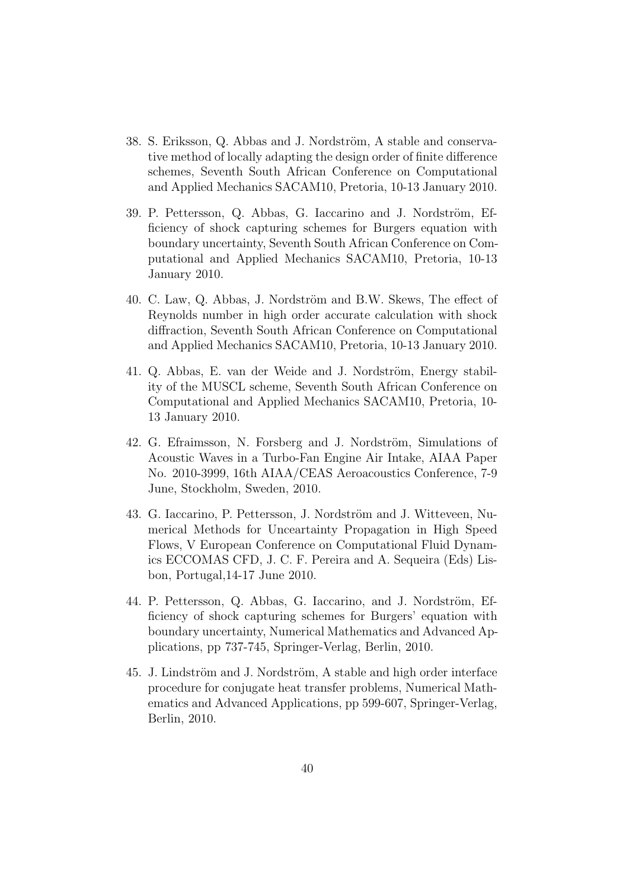- 38. S. Eriksson, Q. Abbas and J. Nordström, A stable and conservative method of locally adapting the design order of finite difference schemes, Seventh South African Conference on Computational and Applied Mechanics SACAM10, Pretoria, 10-13 January 2010.
- 39. P. Pettersson, Q. Abbas, G. Iaccarino and J. Nordström, Efficiency of shock capturing schemes for Burgers equation with boundary uncertainty, Seventh South African Conference on Computational and Applied Mechanics SACAM10, Pretoria, 10-13 January 2010.
- 40. C. Law, Q. Abbas, J. Nordström and B.W. Skews, The effect of Reynolds number in high order accurate calculation with shock diffraction, Seventh South African Conference on Computational and Applied Mechanics SACAM10, Pretoria, 10-13 January 2010.
- 41. Q. Abbas, E. van der Weide and J. Nordström, Energy stability of the MUSCL scheme, Seventh South African Conference on Computational and Applied Mechanics SACAM10, Pretoria, 10- 13 January 2010.
- 42. G. Efraimsson, N. Forsberg and J. Nordström, Simulations of Acoustic Waves in a Turbo-Fan Engine Air Intake, AIAA Paper No. 2010-3999, 16th AIAA/CEAS Aeroacoustics Conference, 7-9 June, Stockholm, Sweden, 2010.
- 43. G. Iaccarino, P. Pettersson, J. Nordström and J. Witteveen, Numerical Methods for Unceartainty Propagation in High Speed Flows, V European Conference on Computational Fluid Dynamics ECCOMAS CFD, J. C. F. Pereira and A. Sequeira (Eds) Lisbon, Portugal,14-17 June 2010.
- 44. P. Pettersson, Q. Abbas, G. Iaccarino, and J. Nordström, Efficiency of shock capturing schemes for Burgers' equation with boundary uncertainty, Numerical Mathematics and Advanced Applications, pp 737-745, Springer-Verlag, Berlin, 2010.
- 45. J. Lindström and J. Nordström, A stable and high order interface procedure for conjugate heat transfer problems, Numerical Mathematics and Advanced Applications, pp 599-607, Springer-Verlag, Berlin, 2010.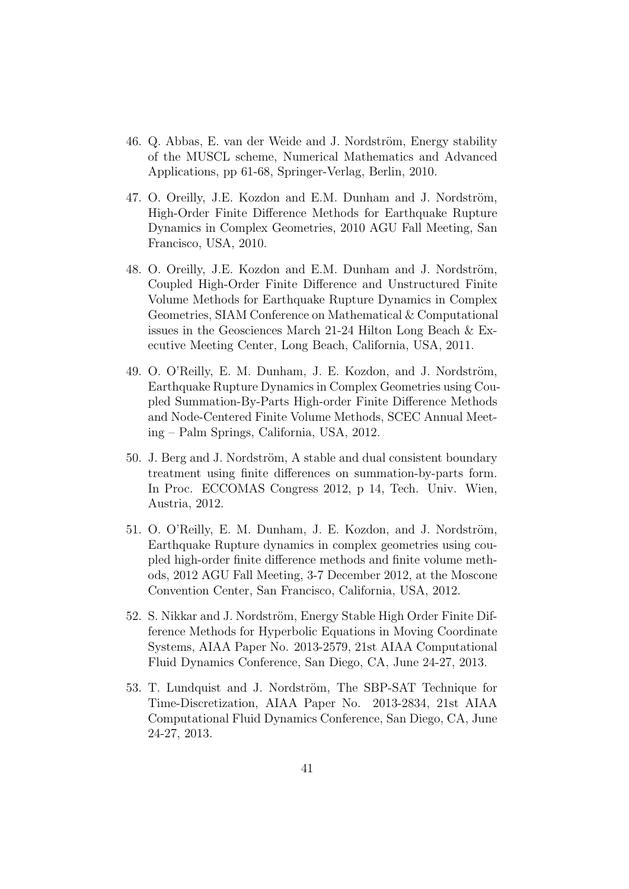- 46. Q. Abbas, E. van der Weide and J. Nordström, Energy stability of the MUSCL scheme, Numerical Mathematics and Advanced Applications, pp 61-68, Springer-Verlag, Berlin, 2010.
- 47. O. Oreilly, J.E. Kozdon and E.M. Dunham and J. Nordström, High-Order Finite Difference Methods for Earthquake Rupture Dynamics in Complex Geometries, 2010 AGU Fall Meeting, San Francisco, USA, 2010.
- 48. O. Oreilly, J.E. Kozdon and E.M. Dunham and J. Nordström, Coupled High-Order Finite Difference and Unstructured Finite Volume Methods for Earthquake Rupture Dynamics in Complex Geometries, SIAM Conference on Mathematical & Computational issues in the Geosciences March 21-24 Hilton Long Beach & Executive Meeting Center, Long Beach, California, USA, 2011.
- 49. O. O'Reilly, E. M. Dunham, J. E. Kozdon, and J. Nordström, Earthquake Rupture Dynamics in Complex Geometries using Coupled Summation-By-Parts High-order Finite Difference Methods and Node-Centered Finite Volume Methods, SCEC Annual Meeting – Palm Springs, California, USA, 2012.
- 50. J. Berg and J. Nordström, A stable and dual consistent boundary treatment using finite differences on summation-by-parts form. In Proc. ECCOMAS Congress 2012, p 14, Tech. Univ. Wien, Austria, 2012.
- 51. O. O'Reilly, E. M. Dunham, J. E. Kozdon, and J. Nordström, Earthquake Rupture dynamics in complex geometries using coupled high-order finite difference methods and finite volume methods, 2012 AGU Fall Meeting, 3-7 December 2012, at the Moscone Convention Center, San Francisco, California, USA, 2012.
- 52. S. Nikkar and J. Nordström, Energy Stable High Order Finite Difference Methods for Hyperbolic Equations in Moving Coordinate Systems, AIAA Paper No. 2013-2579, 21st AIAA Computational Fluid Dynamics Conference, San Diego, CA, June 24-27, 2013.
- 53. T. Lundquist and J. Nordström, The SBP-SAT Technique for Time-Discretization, AIAA Paper No. 2013-2834, 21st AIAA Computational Fluid Dynamics Conference, San Diego, CA, June 24-27, 2013.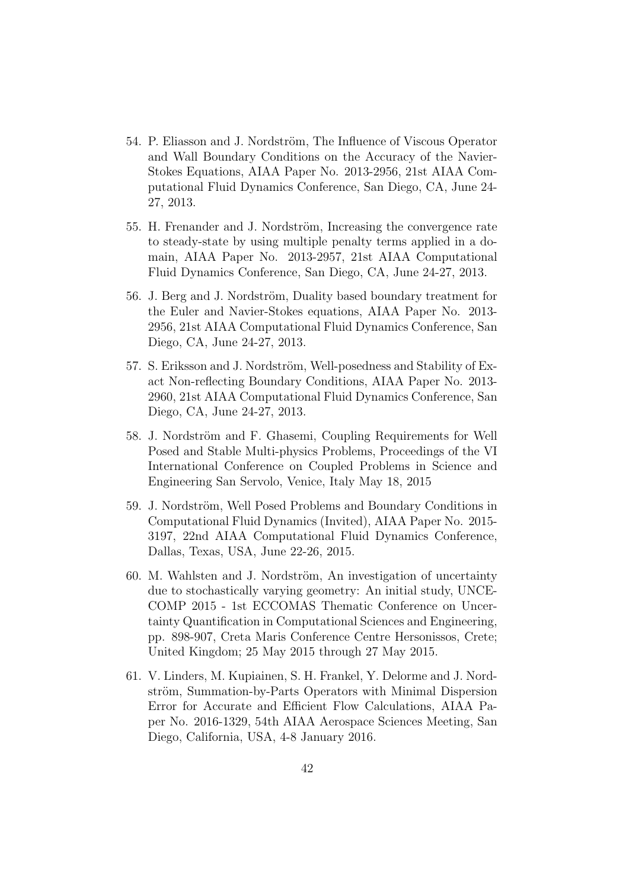- 54. P. Eliasson and J. Nordström, The Influence of Viscous Operator and Wall Boundary Conditions on the Accuracy of the Navier-Stokes Equations, AIAA Paper No. 2013-2956, 21st AIAA Computational Fluid Dynamics Conference, San Diego, CA, June 24- 27, 2013.
- 55. H. Frenander and J. Nordström, Increasing the convergence rate to steady-state by using multiple penalty terms applied in a domain, AIAA Paper No. 2013-2957, 21st AIAA Computational Fluid Dynamics Conference, San Diego, CA, June 24-27, 2013.
- 56. J. Berg and J. Nordström, Duality based boundary treatment for the Euler and Navier-Stokes equations, AIAA Paper No. 2013- 2956, 21st AIAA Computational Fluid Dynamics Conference, San Diego, CA, June 24-27, 2013.
- 57. S. Eriksson and J. Nordström, Well-posedness and Stability of Exact Non-reflecting Boundary Conditions, AIAA Paper No. 2013- 2960, 21st AIAA Computational Fluid Dynamics Conference, San Diego, CA, June 24-27, 2013.
- 58. J. Nordström and F. Ghasemi, Coupling Requirements for Well Posed and Stable Multi-physics Problems, Proceedings of the VI International Conference on Coupled Problems in Science and Engineering San Servolo, Venice, Italy May 18, 2015
- 59. J. Nordström, Well Posed Problems and Boundary Conditions in Computational Fluid Dynamics (Invited), AIAA Paper No. 2015- 3197, 22nd AIAA Computational Fluid Dynamics Conference, Dallas, Texas, USA, June 22-26, 2015.
- 60. M. Wahlsten and J. Nordström, An investigation of uncertainty due to stochastically varying geometry: An initial study, UNCE-COMP 2015 - 1st ECCOMAS Thematic Conference on Uncertainty Quantification in Computational Sciences and Engineering, pp. 898-907, Creta Maris Conference Centre Hersonissos, Crete; United Kingdom; 25 May 2015 through 27 May 2015.
- 61. V. Linders, M. Kupiainen, S. H. Frankel, Y. Delorme and J. Nordström, Summation-by-Parts Operators with Minimal Dispersion Error for Accurate and Efficient Flow Calculations, AIAA Paper No. 2016-1329, 54th AIAA Aerospace Sciences Meeting, San Diego, California, USA, 4-8 January 2016.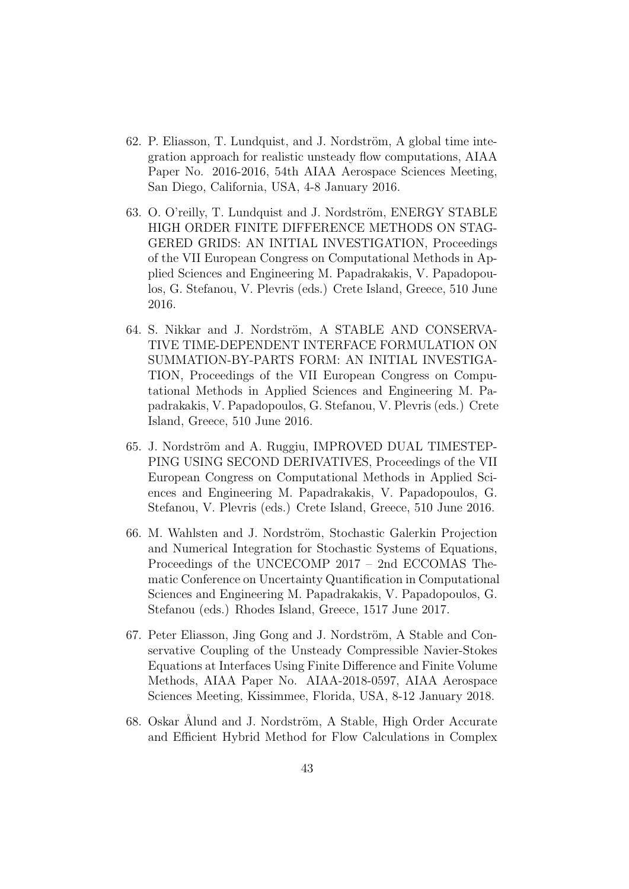- 62. P. Eliasson, T. Lundquist, and J. Nordström, A global time integration approach for realistic unsteady flow computations, AIAA Paper No. 2016-2016, 54th AIAA Aerospace Sciences Meeting, San Diego, California, USA, 4-8 January 2016.
- 63. O. O'reilly, T. Lundquist and J. Nordström, ENERGY STABLE HIGH ORDER FINITE DIFFERENCE METHODS ON STAG-GERED GRIDS: AN INITIAL INVESTIGATION, Proceedings of the VII European Congress on Computational Methods in Applied Sciences and Engineering M. Papadrakakis, V. Papadopoulos, G. Stefanou, V. Plevris (eds.) Crete Island, Greece, 510 June 2016.
- 64. S. Nikkar and J. Nordström, A STABLE AND CONSERVA-TIVE TIME-DEPENDENT INTERFACE FORMULATION ON SUMMATION-BY-PARTS FORM: AN INITIAL INVESTIGA-TION, Proceedings of the VII European Congress on Computational Methods in Applied Sciences and Engineering M. Papadrakakis, V. Papadopoulos, G. Stefanou, V. Plevris (eds.) Crete Island, Greece, 510 June 2016.
- 65. J. Nordström and A. Ruggiu, IMPROVED DUAL TIMESTEP-PING USING SECOND DERIVATIVES, Proceedings of the VII European Congress on Computational Methods in Applied Sciences and Engineering M. Papadrakakis, V. Papadopoulos, G. Stefanou, V. Plevris (eds.) Crete Island, Greece, 510 June 2016.
- 66. M. Wahlsten and J. Nordström, Stochastic Galerkin Projection and Numerical Integration for Stochastic Systems of Equations, Proceedings of the UNCECOMP 2017 – 2nd ECCOMAS Thematic Conference on Uncertainty Quantification in Computational Sciences and Engineering M. Papadrakakis, V. Papadopoulos, G. Stefanou (eds.) Rhodes Island, Greece, 1517 June 2017.
- 67. Peter Eliasson, Jing Gong and J. Nordström, A Stable and Conservative Coupling of the Unsteady Compressible Navier-Stokes Equations at Interfaces Using Finite Difference and Finite Volume Methods, AIAA Paper No. AIAA-2018-0597, AIAA Aerospace Sciences Meeting, Kissimmee, Florida, USA, 8-12 January 2018.
- 68. Oskar Ålund and J. Nordström, A Stable, High Order Accurate and Efficient Hybrid Method for Flow Calculations in Complex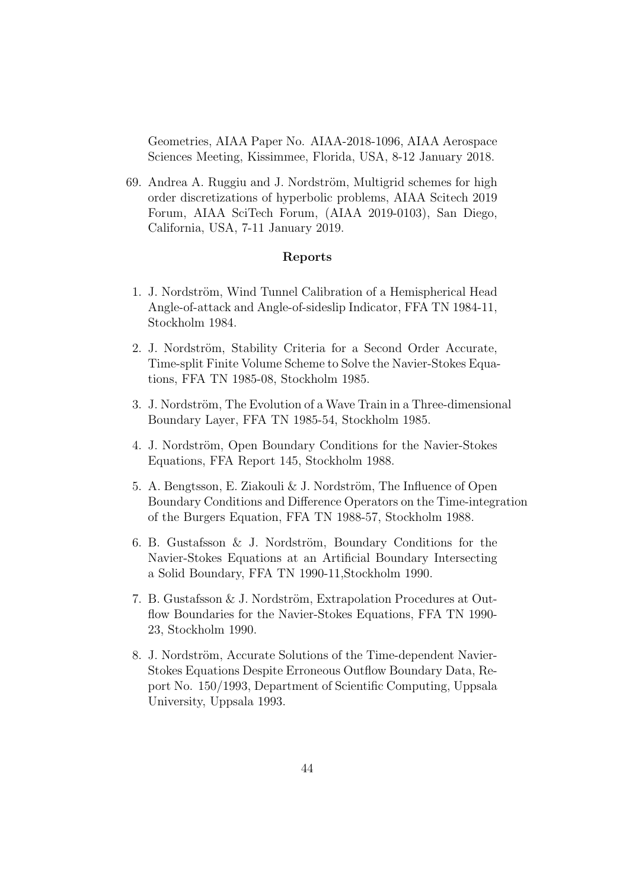Geometries, AIAA Paper No. AIAA-2018-1096, AIAA Aerospace Sciences Meeting, Kissimmee, Florida, USA, 8-12 January 2018.

69. Andrea A. Ruggiu and J. Nordström, Multigrid schemes for high order discretizations of hyperbolic problems, AIAA Scitech 2019 Forum, AIAA SciTech Forum, (AIAA 2019-0103), San Diego, California, USA, 7-11 January 2019.

#### Reports

- 1. J. Nordström, Wind Tunnel Calibration of a Hemispherical Head Angle-of-attack and Angle-of-sideslip Indicator, FFA TN 1984-11, Stockholm 1984.
- 2. J. Nordström, Stability Criteria for a Second Order Accurate, Time-split Finite Volume Scheme to Solve the Navier-Stokes Equations, FFA TN 1985-08, Stockholm 1985.
- 3. J. Nordström, The Evolution of a Wave Train in a Three-dimensional Boundary Layer, FFA TN 1985-54, Stockholm 1985.
- 4. J. Nordström, Open Boundary Conditions for the Navier-Stokes Equations, FFA Report 145, Stockholm 1988.
- 5. A. Bengtsson, E. Ziakouli  $& J.$  Nordström, The Influence of Open Boundary Conditions and Difference Operators on the Time-integration of the Burgers Equation, FFA TN 1988-57, Stockholm 1988.
- 6. B. Gustafsson  $&$  J. Nordström, Boundary Conditions for the Navier-Stokes Equations at an Artificial Boundary Intersecting a Solid Boundary, FFA TN 1990-11,Stockholm 1990.
- 7. B. Gustafsson & J. Nordström, Extrapolation Procedures at Outflow Boundaries for the Navier-Stokes Equations, FFA TN 1990-23, Stockholm 1990.
- 8. J. Nordström, Accurate Solutions of the Time-dependent Navier-Stokes Equations Despite Erroneous Outflow Boundary Data, Report No. 150/1993, Department of Scientific Computing, Uppsala University, Uppsala 1993.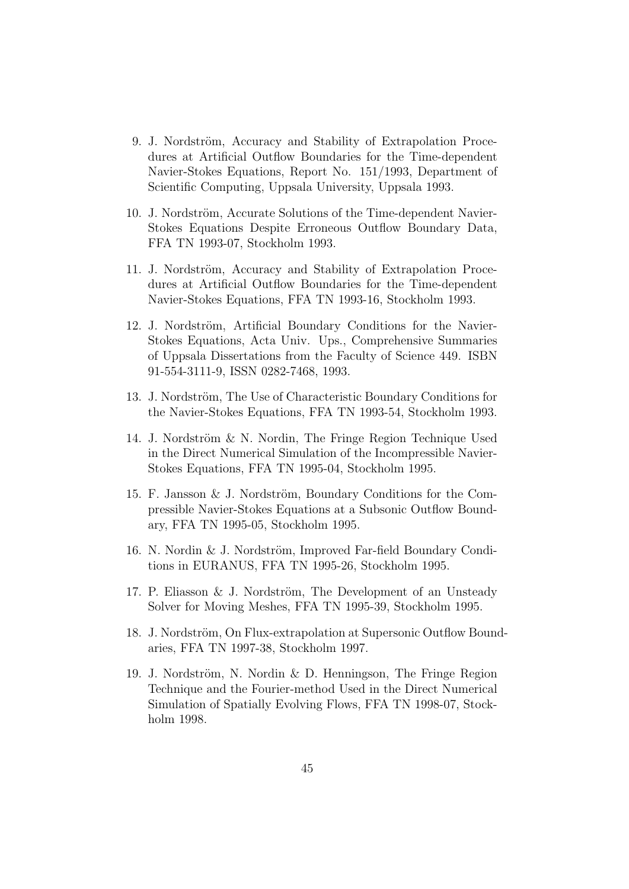- 9. J. Nordström, Accuracy and Stability of Extrapolation Procedures at Artificial Outflow Boundaries for the Time-dependent Navier-Stokes Equations, Report No. 151/1993, Department of Scientific Computing, Uppsala University, Uppsala 1993.
- 10. J. Nordström, Accurate Solutions of the Time-dependent Navier-Stokes Equations Despite Erroneous Outflow Boundary Data, FFA TN 1993-07, Stockholm 1993.
- 11. J. Nordström, Accuracy and Stability of Extrapolation Procedures at Artificial Outflow Boundaries for the Time-dependent Navier-Stokes Equations, FFA TN 1993-16, Stockholm 1993.
- 12. J. Nordström, Artificial Boundary Conditions for the Navier-Stokes Equations, Acta Univ. Ups., Comprehensive Summaries of Uppsala Dissertations from the Faculty of Science 449. ISBN 91-554-3111-9, ISSN 0282-7468, 1993.
- 13. J. Nordström, The Use of Characteristic Boundary Conditions for the Navier-Stokes Equations, FFA TN 1993-54, Stockholm 1993.
- 14. J. Nordström & N. Nordin, The Fringe Region Technique Used in the Direct Numerical Simulation of the Incompressible Navier-Stokes Equations, FFA TN 1995-04, Stockholm 1995.
- 15. F. Jansson & J. Nordström, Boundary Conditions for the Compressible Navier-Stokes Equations at a Subsonic Outflow Boundary, FFA TN 1995-05, Stockholm 1995.
- 16. N. Nordin  $& J.$  Nordström, Improved Far-field Boundary Conditions in EURANUS, FFA TN 1995-26, Stockholm 1995.
- 17. P. Eliasson & J. Nordström, The Development of an Unsteady Solver for Moving Meshes, FFA TN 1995-39, Stockholm 1995.
- 18. J. Nordström, On Flux-extrapolation at Supersonic Outflow Boundaries, FFA TN 1997-38, Stockholm 1997.
- 19. J. Nordström, N. Nordin & D. Henningson, The Fringe Region Technique and the Fourier-method Used in the Direct Numerical Simulation of Spatially Evolving Flows, FFA TN 1998-07, Stockholm 1998.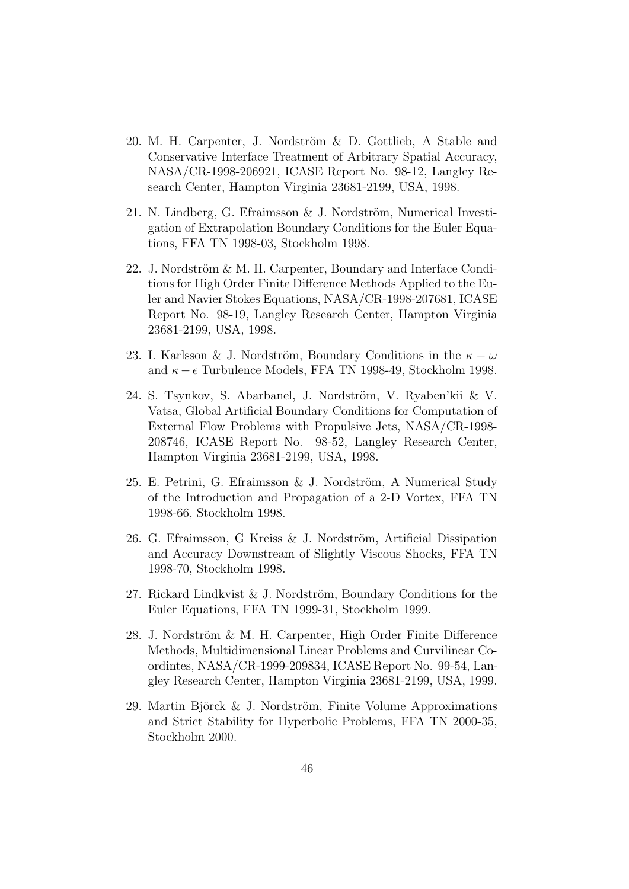- 20. M. H. Carpenter, J. Nordström & D. Gottlieb, A Stable and Conservative Interface Treatment of Arbitrary Spatial Accuracy, NASA/CR-1998-206921, ICASE Report No. 98-12, Langley Research Center, Hampton Virginia 23681-2199, USA, 1998.
- 21. N. Lindberg, G. Efraimsson  $\&$  J. Nordström, Numerical Investigation of Extrapolation Boundary Conditions for the Euler Equations, FFA TN 1998-03, Stockholm 1998.
- 22. J. Nordström & M. H. Carpenter, Boundary and Interface Conditions for High Order Finite Difference Methods Applied to the Euler and Navier Stokes Equations, NASA/CR-1998-207681, ICASE Report No. 98-19, Langley Research Center, Hampton Virginia 23681-2199, USA, 1998.
- 23. I. Karlsson & J. Nordström, Boundary Conditions in the  $\kappa \omega$ and  $\kappa - \epsilon$  Turbulence Models, FFA TN 1998-49, Stockholm 1998.
- 24. S. Tsynkov, S. Abarbanel, J. Nordström, V. Ryaben'kii & V. Vatsa, Global Artificial Boundary Conditions for Computation of External Flow Problems with Propulsive Jets, NASA/CR-1998- 208746, ICASE Report No. 98-52, Langley Research Center, Hampton Virginia 23681-2199, USA, 1998.
- 25. E. Petrini, G. Efraimsson & J. Nordström, A Numerical Study of the Introduction and Propagation of a 2-D Vortex, FFA TN 1998-66, Stockholm 1998.
- 26. G. Efraimsson, G Kreiss  $\&$  J. Nordström, Artificial Dissipation and Accuracy Downstream of Slightly Viscous Shocks, FFA TN 1998-70, Stockholm 1998.
- 27. Rickard Lindkvist & J. Nordström, Boundary Conditions for the Euler Equations, FFA TN 1999-31, Stockholm 1999.
- 28. J. Nordström & M. H. Carpenter, High Order Finite Difference Methods, Multidimensional Linear Problems and Curvilinear Coordintes, NASA/CR-1999-209834, ICASE Report No. 99-54, Langley Research Center, Hampton Virginia 23681-2199, USA, 1999.
- 29. Martin Björck & J. Nordström, Finite Volume Approximations and Strict Stability for Hyperbolic Problems, FFA TN 2000-35, Stockholm 2000.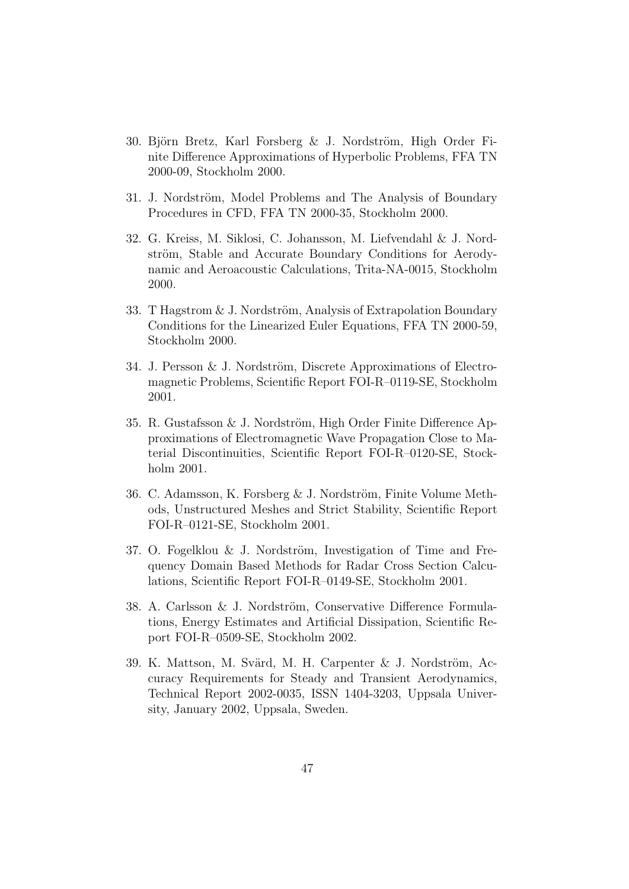- 30. Björn Bretz, Karl Forsberg & J. Nordström, High Order Finite Difference Approximations of Hyperbolic Problems, FFA TN 2000-09, Stockholm 2000.
- 31. J. Nordström, Model Problems and The Analysis of Boundary Procedures in CFD, FFA TN 2000-35, Stockholm 2000.
- 32. G. Kreiss, M. Siklosi, C. Johansson, M. Liefvendahl & J. Nordström, Stable and Accurate Boundary Conditions for Aerodynamic and Aeroacoustic Calculations, Trita-NA-0015, Stockholm 2000.
- 33. T Hagstrom & J. Nordström, Analysis of Extrapolation Boundary Conditions for the Linearized Euler Equations, FFA TN 2000-59, Stockholm 2000.
- 34. J. Persson  $&$  J. Nordström, Discrete Approximations of Electromagnetic Problems, Scientific Report FOI-R–0119-SE, Stockholm 2001.
- 35. R. Gustafsson & J. Nordström, High Order Finite Difference Approximations of Electromagnetic Wave Propagation Close to Material Discontinuities, Scientific Report FOI-R–0120-SE, Stockholm 2001.
- 36. C. Adamsson, K. Forsberg & J. Nordström, Finite Volume Methods, Unstructured Meshes and Strict Stability, Scientific Report FOI-R–0121-SE, Stockholm 2001.
- 37. O. Fogelklou  $&$  J. Nordström, Investigation of Time and Frequency Domain Based Methods for Radar Cross Section Calculations, Scientific Report FOI-R–0149-SE, Stockholm 2001.
- 38. A. Carlsson & J. Nordström, Conservative Difference Formulations, Energy Estimates and Artificial Dissipation, Scientific Report FOI-R–0509-SE, Stockholm 2002.
- 39. K. Mattson, M. Svärd, M. H. Carpenter & J. Nordström, Accuracy Requirements for Steady and Transient Aerodynamics, Technical Report 2002-0035, ISSN 1404-3203, Uppsala University, January 2002, Uppsala, Sweden.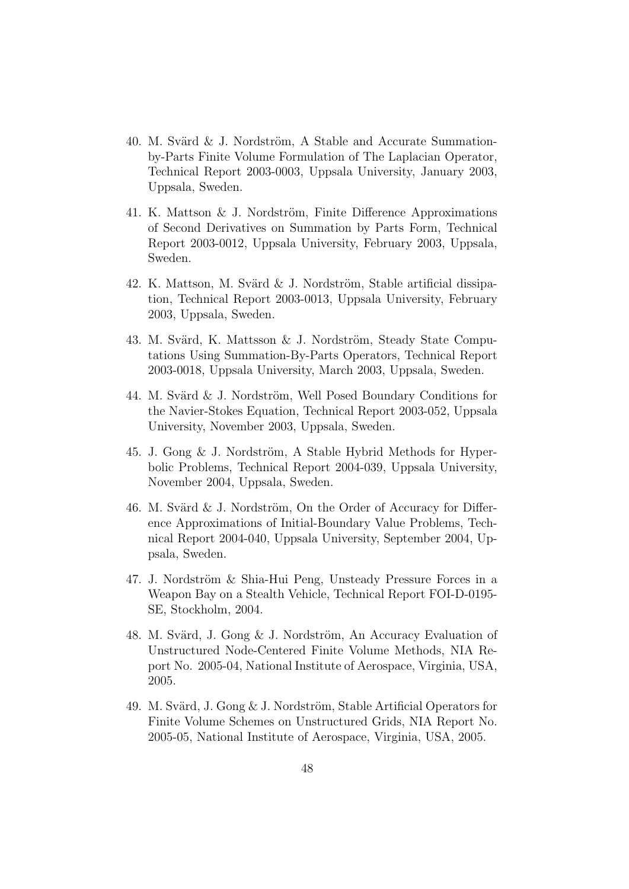- 40. M. Svärd & J. Nordström, A Stable and Accurate Summationby-Parts Finite Volume Formulation of The Laplacian Operator, Technical Report 2003-0003, Uppsala University, January 2003, Uppsala, Sweden.
- 41. K. Mattson & J. Nordström, Finite Difference Approximations of Second Derivatives on Summation by Parts Form, Technical Report 2003-0012, Uppsala University, February 2003, Uppsala, Sweden.
- 42. K. Mattson, M. Svärd  $\&$  J. Nordström, Stable artificial dissipation, Technical Report 2003-0013, Uppsala University, February 2003, Uppsala, Sweden.
- 43. M. Svärd, K. Mattsson & J. Nordström, Steady State Computations Using Summation-By-Parts Operators, Technical Report 2003-0018, Uppsala University, March 2003, Uppsala, Sweden.
- 44. M. Svärd & J. Nordström, Well Posed Boundary Conditions for the Navier-Stokes Equation, Technical Report 2003-052, Uppsala University, November 2003, Uppsala, Sweden.
- 45. J. Gong  $&$  J. Nordström, A Stable Hybrid Methods for Hyperbolic Problems, Technical Report 2004-039, Uppsala University, November 2004, Uppsala, Sweden.
- 46. M. Svärd  $& J.$  Nordström, On the Order of Accuracy for Difference Approximations of Initial-Boundary Value Problems, Technical Report 2004-040, Uppsala University, September 2004, Uppsala, Sweden.
- 47. J. Nordström & Shia-Hui Peng, Unsteady Pressure Forces in a Weapon Bay on a Stealth Vehicle, Technical Report FOI-D-0195- SE, Stockholm, 2004.
- 48. M. Svärd, J. Gong & J. Nordström, An Accuracy Evaluation of Unstructured Node-Centered Finite Volume Methods, NIA Report No. 2005-04, National Institute of Aerospace, Virginia, USA, 2005.
- 49. M. Svärd, J. Gong & J. Nordström, Stable Artificial Operators for Finite Volume Schemes on Unstructured Grids, NIA Report No. 2005-05, National Institute of Aerospace, Virginia, USA, 2005.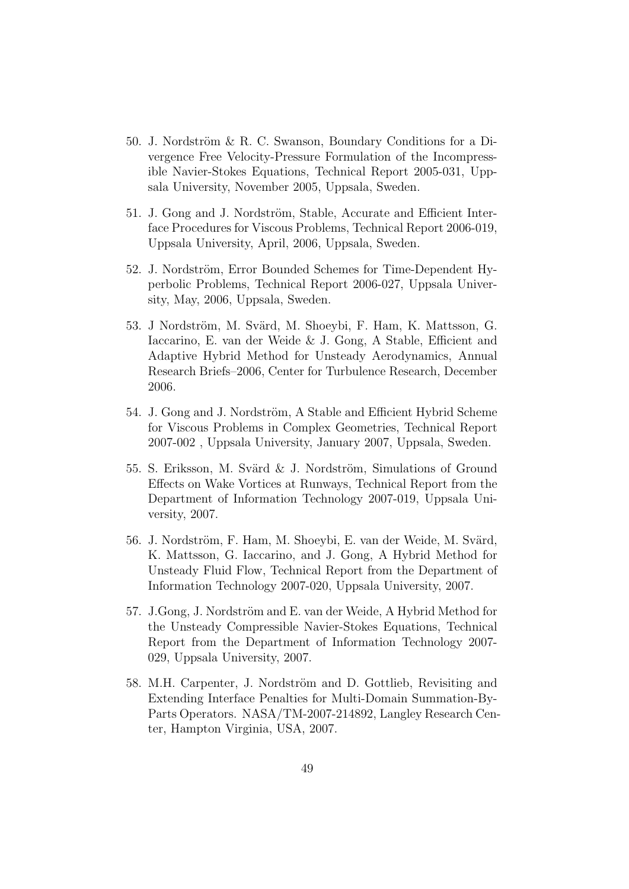- 50. J. Nordström & R. C. Swanson, Boundary Conditions for a Divergence Free Velocity-Pressure Formulation of the Incompressible Navier-Stokes Equations, Technical Report 2005-031, Uppsala University, November 2005, Uppsala, Sweden.
- 51. J. Gong and J. Nordström, Stable, Accurate and Efficient Interface Procedures for Viscous Problems, Technical Report 2006-019, Uppsala University, April, 2006, Uppsala, Sweden.
- 52. J. Nordström, Error Bounded Schemes for Time-Dependent Hyperbolic Problems, Technical Report 2006-027, Uppsala University, May, 2006, Uppsala, Sweden.
- 53. J Nordström, M. Svärd, M. Shoeybi, F. Ham, K. Mattsson, G. Iaccarino, E. van der Weide & J. Gong, A Stable, Efficient and Adaptive Hybrid Method for Unsteady Aerodynamics, Annual Research Briefs–2006, Center for Turbulence Research, December 2006.
- 54. J. Gong and J. Nordström, A Stable and Efficient Hybrid Scheme for Viscous Problems in Complex Geometries, Technical Report 2007-002 , Uppsala University, January 2007, Uppsala, Sweden.
- 55. S. Eriksson, M. Svärd & J. Nordström, Simulations of Ground Effects on Wake Vortices at Runways, Technical Report from the Department of Information Technology 2007-019, Uppsala University, 2007.
- 56. J. Nordström, F. Ham, M. Shoeybi, E. van der Weide, M. Svärd, K. Mattsson, G. Iaccarino, and J. Gong, A Hybrid Method for Unsteady Fluid Flow, Technical Report from the Department of Information Technology 2007-020, Uppsala University, 2007.
- 57. J.Gong, J. Nordström and E. van der Weide, A Hybrid Method for the Unsteady Compressible Navier-Stokes Equations, Technical Report from the Department of Information Technology 2007- 029, Uppsala University, 2007.
- 58. M.H. Carpenter, J. Nordström and D. Gottlieb, Revisiting and Extending Interface Penalties for Multi-Domain Summation-By-Parts Operators. NASA/TM-2007-214892, Langley Research Center, Hampton Virginia, USA, 2007.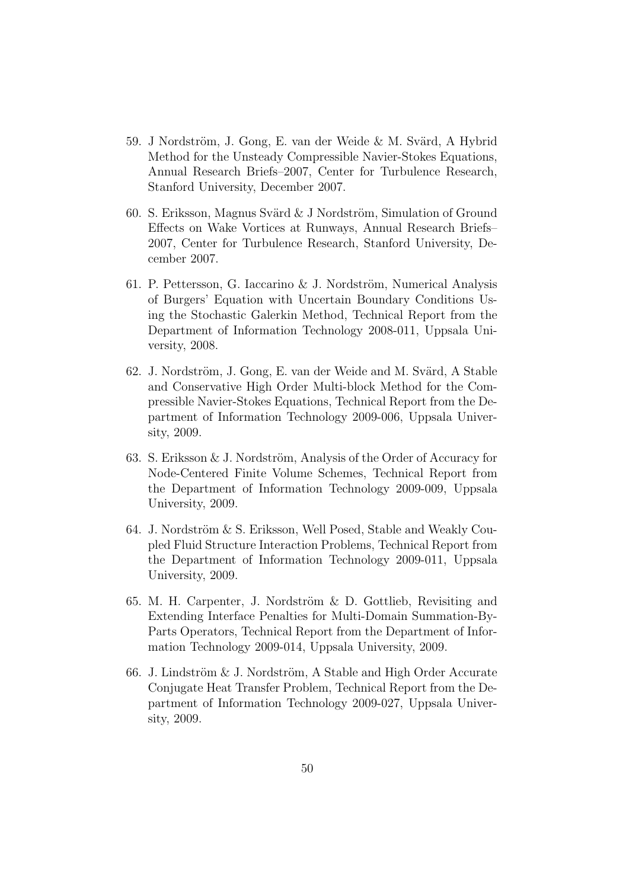- 59. J Nordström, J. Gong, E. van der Weide & M. Svärd, A Hybrid Method for the Unsteady Compressible Navier-Stokes Equations, Annual Research Briefs–2007, Center for Turbulence Research, Stanford University, December 2007.
- 60. S. Eriksson, Magnus Svärd  $&$  J Nordström, Simulation of Ground Effects on Wake Vortices at Runways, Annual Research Briefs– 2007, Center for Turbulence Research, Stanford University, December 2007.
- 61. P. Pettersson, G. Iaccarino  $\&$  J. Nordström, Numerical Analysis of Burgers' Equation with Uncertain Boundary Conditions Using the Stochastic Galerkin Method, Technical Report from the Department of Information Technology 2008-011, Uppsala University, 2008.
- 62. J. Nordström, J. Gong, E. van der Weide and M. Svärd, A Stable and Conservative High Order Multi-block Method for the Compressible Navier-Stokes Equations, Technical Report from the Department of Information Technology 2009-006, Uppsala University, 2009.
- 63. S. Eriksson  $& J.$  Nordström, Analysis of the Order of Accuracy for Node-Centered Finite Volume Schemes, Technical Report from the Department of Information Technology 2009-009, Uppsala University, 2009.
- 64. J. Nordström  $& S.$  Eriksson, Well Posed, Stable and Weakly Coupled Fluid Structure Interaction Problems, Technical Report from the Department of Information Technology 2009-011, Uppsala University, 2009.
- 65. M. H. Carpenter, J. Nordström  $&$  D. Gottlieb, Revisiting and Extending Interface Penalties for Multi-Domain Summation-By-Parts Operators, Technical Report from the Department of Information Technology 2009-014, Uppsala University, 2009.
- 66. J. Lindström  $&$  J. Nordström, A Stable and High Order Accurate Conjugate Heat Transfer Problem, Technical Report from the Department of Information Technology 2009-027, Uppsala University, 2009.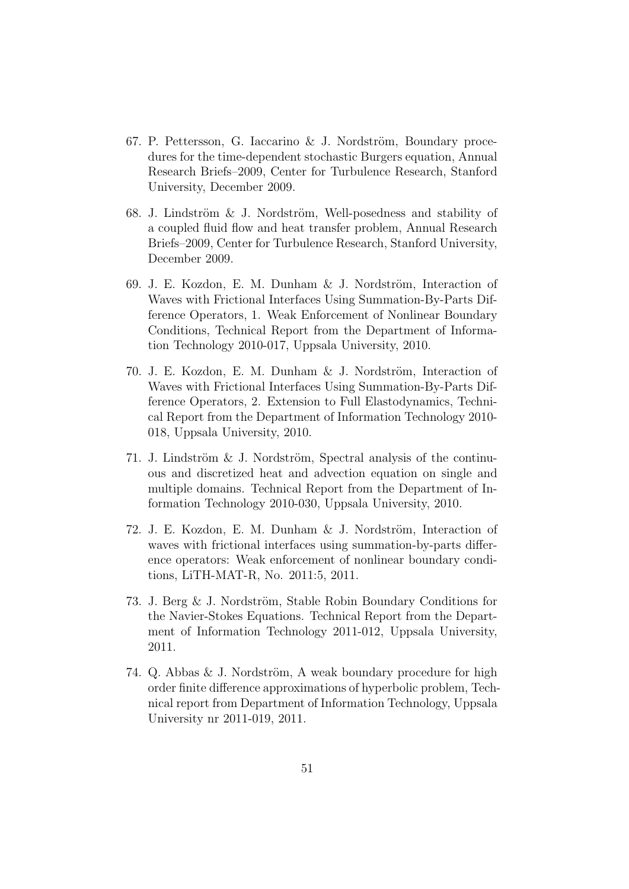- 67. P. Pettersson, G. Iaccarino & J. Nordström, Boundary procedures for the time-dependent stochastic Burgers equation, Annual Research Briefs–2009, Center for Turbulence Research, Stanford University, December 2009.
- 68. J. Lindström  $&$  J. Nordström, Well-posedness and stability of a coupled fluid flow and heat transfer problem, Annual Research Briefs–2009, Center for Turbulence Research, Stanford University, December 2009.
- 69. J. E. Kozdon, E. M. Dunham & J. Nordström, Interaction of Waves with Frictional Interfaces Using Summation-By-Parts Difference Operators, 1. Weak Enforcement of Nonlinear Boundary Conditions, Technical Report from the Department of Information Technology 2010-017, Uppsala University, 2010.
- 70. J. E. Kozdon, E. M. Dunham & J. Nordström, Interaction of Waves with Frictional Interfaces Using Summation-By-Parts Difference Operators, 2. Extension to Full Elastodynamics, Technical Report from the Department of Information Technology 2010- 018, Uppsala University, 2010.
- 71. J. Lindström  $&$  J. Nordström, Spectral analysis of the continuous and discretized heat and advection equation on single and multiple domains. Technical Report from the Department of Information Technology 2010-030, Uppsala University, 2010.
- 72. J. E. Kozdon, E. M. Dunham  $\&$  J. Nordström, Interaction of waves with frictional interfaces using summation-by-parts difference operators: Weak enforcement of nonlinear boundary conditions, LiTH-MAT-R, No. 2011:5, 2011.
- 73. J. Berg  $&$  J. Nordström, Stable Robin Boundary Conditions for the Navier-Stokes Equations. Technical Report from the Department of Information Technology 2011-012, Uppsala University, 2011.
- 74. Q. Abbas  $& J.$  Nordström, A weak boundary procedure for high order finite difference approximations of hyperbolic problem, Technical report from Department of Information Technology, Uppsala University nr 2011-019, 2011.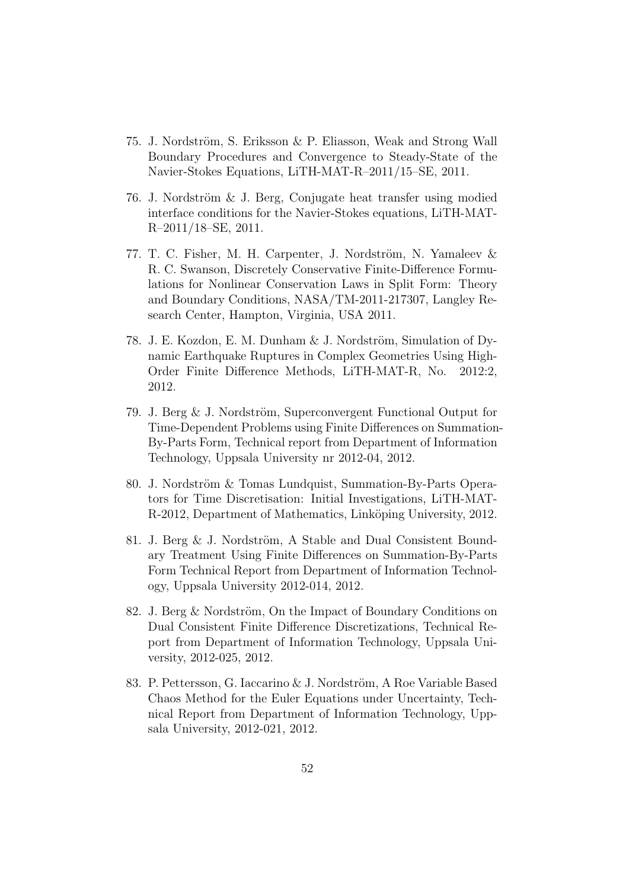- 75. J. Nordström, S. Eriksson & P. Eliasson, Weak and Strong Wall Boundary Procedures and Convergence to Steady-State of the Navier-Stokes Equations, LiTH-MAT-R–2011/15–SE, 2011.
- 76. J. Nordström  $&$  J. Berg, Conjugate heat transfer using modied interface conditions for the Navier-Stokes equations, LiTH-MAT-R–2011/18–SE, 2011.
- 77. T. C. Fisher, M. H. Carpenter, J. Nordström, N. Yamaleev & R. C. Swanson, Discretely Conservative Finite-Difference Formulations for Nonlinear Conservation Laws in Split Form: Theory and Boundary Conditions, NASA/TM-2011-217307, Langley Research Center, Hampton, Virginia, USA 2011.
- 78. J. E. Kozdon, E. M. Dunham & J. Nordström, Simulation of Dynamic Earthquake Ruptures in Complex Geometries Using High-Order Finite Difference Methods, LiTH-MAT-R, No. 2012:2, 2012.
- 79. J. Berg  $&$  J. Nordström, Superconvergent Functional Output for Time-Dependent Problems using Finite Differences on Summation-By-Parts Form, Technical report from Department of Information Technology, Uppsala University nr 2012-04, 2012.
- 80. J. Nordström & Tomas Lundquist, Summation-By-Parts Operators for Time Discretisation: Initial Investigations, LiTH-MAT-R-2012, Department of Mathematics, Linköping University, 2012.
- 81. J. Berg & J. Nordström, A Stable and Dual Consistent Boundary Treatment Using Finite Differences on Summation-By-Parts Form Technical Report from Department of Information Technology, Uppsala University 2012-014, 2012.
- 82. J. Berg & Nordström, On the Impact of Boundary Conditions on Dual Consistent Finite Difference Discretizations, Technical Report from Department of Information Technology, Uppsala University, 2012-025, 2012.
- 83. P. Pettersson, G. Iaccarino & J. Nordström, A Roe Variable Based Chaos Method for the Euler Equations under Uncertainty, Technical Report from Department of Information Technology, Uppsala University, 2012-021, 2012.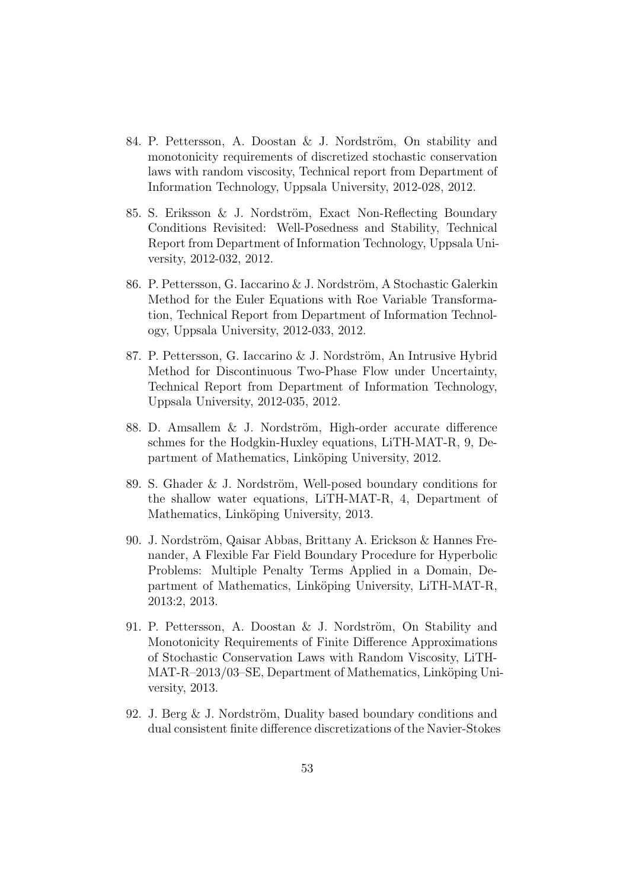- 84. P. Pettersson, A. Doostan & J. Nordström, On stability and monotonicity requirements of discretized stochastic conservation laws with random viscosity, Technical report from Department of Information Technology, Uppsala University, 2012-028, 2012.
- 85. S. Eriksson & J. Nordström, Exact Non-Reflecting Boundary Conditions Revisited: Well-Posedness and Stability, Technical Report from Department of Information Technology, Uppsala University, 2012-032, 2012.
- 86. P. Pettersson, G. Iaccarino & J. Nordström, A Stochastic Galerkin Method for the Euler Equations with Roe Variable Transformation, Technical Report from Department of Information Technology, Uppsala University, 2012-033, 2012.
- 87. P. Pettersson, G. Iaccarino & J. Nordström, An Intrusive Hybrid Method for Discontinuous Two-Phase Flow under Uncertainty, Technical Report from Department of Information Technology, Uppsala University, 2012-035, 2012.
- 88. D. Amsallem & J. Nordström, High-order accurate difference schmes for the Hodgkin-Huxley equations, LiTH-MAT-R, 9, Department of Mathematics, Linköping University, 2012.
- 89. S. Ghader  $&$  J. Nordström, Well-posed boundary conditions for the shallow water equations, LiTH-MAT-R, 4, Department of Mathematics, Linköping University, 2013.
- 90. J. Nordström, Qaisar Abbas, Brittany A. Erickson & Hannes Frenander, A Flexible Far Field Boundary Procedure for Hyperbolic Problems: Multiple Penalty Terms Applied in a Domain, Department of Mathematics, Linköping University, LiTH-MAT-R, 2013:2, 2013.
- 91. P. Pettersson, A. Doostan  $&$  J. Nordström, On Stability and Monotonicity Requirements of Finite Difference Approximations of Stochastic Conservation Laws with Random Viscosity, LiTH-MAT-R–2013/03–SE, Department of Mathematics, Linköping University, 2013.
- 92. J. Berg  $\&$  J. Nordström, Duality based boundary conditions and dual consistent finite difference discretizations of the Navier-Stokes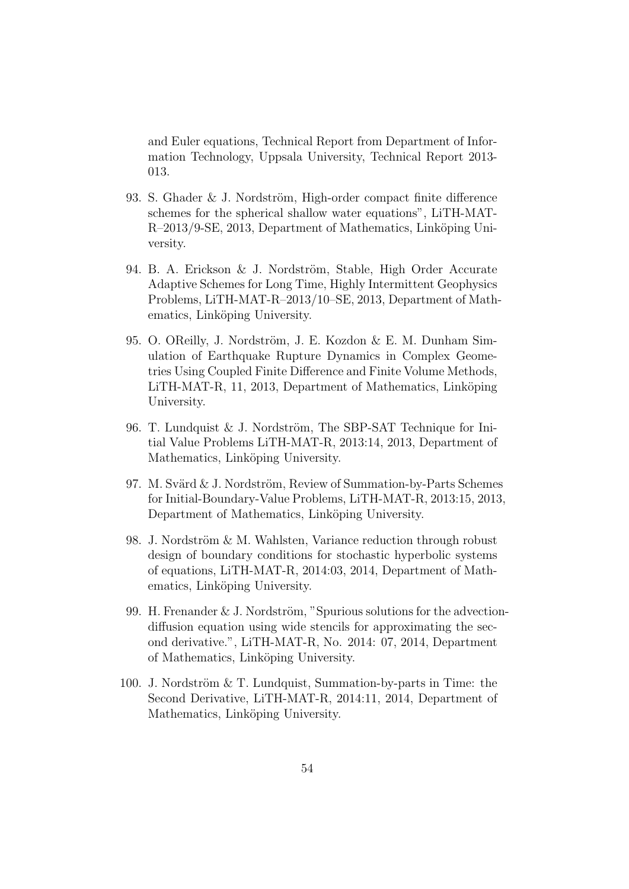and Euler equations, Technical Report from Department of Information Technology, Uppsala University, Technical Report 2013- 013.

- 93. S. Ghader & J. Nordström, High-order compact finite difference schemes for the spherical shallow water equations", LiTH-MAT-R–2013/9-SE, 2013, Department of Mathematics, Linköping University.
- 94. B. A. Erickson & J. Nordström, Stable, High Order Accurate Adaptive Schemes for Long Time, Highly Intermittent Geophysics Problems, LiTH-MAT-R–2013/10–SE, 2013, Department of Mathematics, Linköping University.
- 95. O. OReilly, J. Nordström, J. E. Kozdon & E. M. Dunham Simulation of Earthquake Rupture Dynamics in Complex Geometries Using Coupled Finite Difference and Finite Volume Methods, LITH-MAT-R, 11, 2013, Department of Mathematics, Linköping University.
- 96. T. Lundquist & J. Nordström, The SBP-SAT Technique for Initial Value Problems LiTH-MAT-R, 2013:14, 2013, Department of Mathematics, Linköping University.
- 97. M. Svärd  $& J.$  Nordström, Review of Summation-by-Parts Schemes for Initial-Boundary-Value Problems, LiTH-MAT-R, 2013:15, 2013, Department of Mathematics, Linköping University.
- 98. J. Nordström  $&$  M. Wahlsten, Variance reduction through robust design of boundary conditions for stochastic hyperbolic systems of equations, LiTH-MAT-R, 2014:03, 2014, Department of Mathematics, Linköping University.
- 99. H. Frenander & J. Nordström, "Spurious solutions for the advectiondiffusion equation using wide stencils for approximating the second derivative.", LiTH-MAT-R, No. 2014: 07, 2014, Department of Mathematics, Linköping University.
- 100. J. Nordström  $&\mathcal{T}$ . Lundquist, Summation-by-parts in Time: the Second Derivative, LiTH-MAT-R, 2014:11, 2014, Department of Mathematics, Linköping University.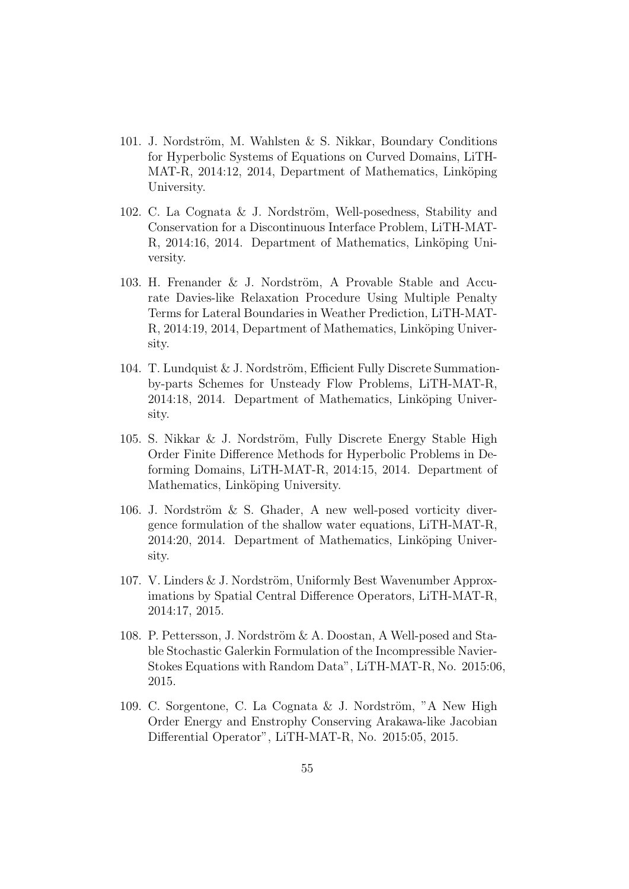- 101. J. Nordström, M. Wahlsten & S. Nikkar, Boundary Conditions for Hyperbolic Systems of Equations on Curved Domains, LiTH-MAT-R, 2014:12, 2014, Department of Mathematics, Linköping University.
- 102. C. La Cognata & J. Nordström, Well-posedness, Stability and Conservation for a Discontinuous Interface Problem, LiTH-MAT-R, 2014:16, 2014. Department of Mathematics, Linköping University.
- 103. H. Frenander  $&$  J. Nordström, A Provable Stable and Accurate Davies-like Relaxation Procedure Using Multiple Penalty Terms for Lateral Boundaries in Weather Prediction, LiTH-MAT-R, 2014:19, 2014, Department of Mathematics, Linköping University.
- 104. T. Lundquist  $& J.$  Nordström, Efficient Fully Discrete Summationby-parts Schemes for Unsteady Flow Problems, LiTH-MAT-R, 2014:18, 2014. Department of Mathematics, Linköping University.
- 105. S. Nikkar & J. Nordström, Fully Discrete Energy Stable High Order Finite Difference Methods for Hyperbolic Problems in Deforming Domains, LiTH-MAT-R, 2014:15, 2014. Department of Mathematics, Linköping University.
- 106. J. Nordström  $&$  S. Ghader, A new well-posed vorticity divergence formulation of the shallow water equations, LiTH-MAT-R, 2014:20, 2014. Department of Mathematics, Linköping University.
- $107.$  V. Linders  $& J.$  Nordström, Uniformly Best Wavenumber Approximations by Spatial Central Difference Operators, LiTH-MAT-R, 2014:17, 2015.
- 108. P. Pettersson, J. Nordström & A. Doostan, A Well-posed and Stable Stochastic Galerkin Formulation of the Incompressible Navier-Stokes Equations with Random Data", LiTH-MAT-R, No. 2015:06, 2015.
- 109. C. Sorgentone, C. La Cognata & J. Nordström, "A New High Order Energy and Enstrophy Conserving Arakawa-like Jacobian Differential Operator", LiTH-MAT-R, No. 2015:05, 2015.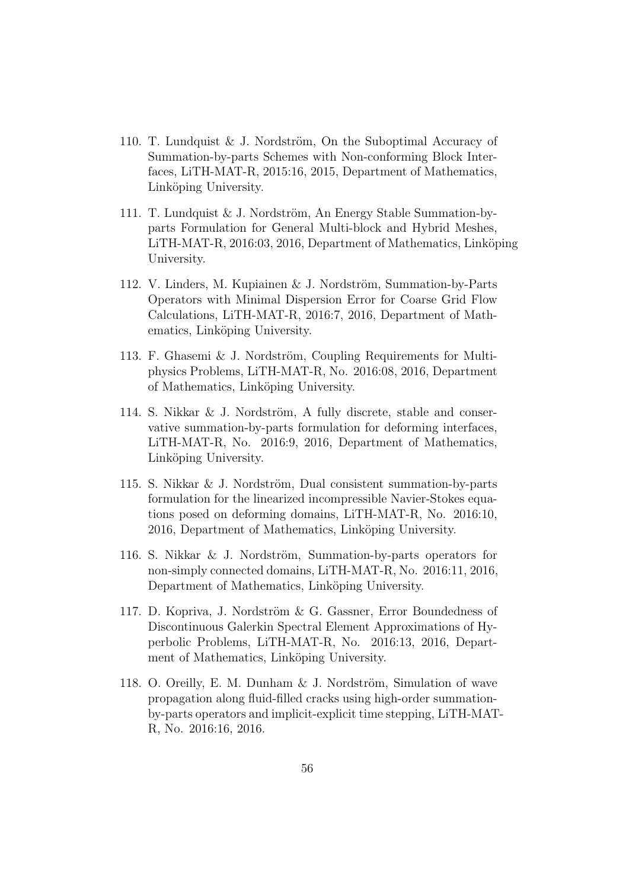- 110. T. Lundquist & J. Nordström, On the Suboptimal Accuracy of Summation-by-parts Schemes with Non-conforming Block Interfaces, LiTH-MAT-R, 2015:16, 2015, Department of Mathematics, Linköping University.
- 111. T. Lundquist & J. Nordström, An Energy Stable Summation-byparts Formulation for General Multi-block and Hybrid Meshes, LITH-MAT-R, 2016:03, 2016, Department of Mathematics, Linköping University.
- 112. V. Linders, M. Kupiainen & J. Nordström, Summation-by-Parts Operators with Minimal Dispersion Error for Coarse Grid Flow Calculations, LiTH-MAT-R, 2016:7, 2016, Department of Mathematics, Linköping University.
- 113. F. Ghasemi  $&$  J. Nordström, Coupling Requirements for Multiphysics Problems, LiTH-MAT-R, No. 2016:08, 2016, Department of Mathematics, Linköping University.
- 114. S. Nikkar  $\&$  J. Nordström, A fully discrete, stable and conservative summation-by-parts formulation for deforming interfaces, LiTH-MAT-R, No. 2016:9, 2016, Department of Mathematics, Linköping University.
- 115. S. Nikkar  $&$  J. Nordström, Dual consistent summation-by-parts formulation for the linearized incompressible Navier-Stokes equations posed on deforming domains, LiTH-MAT-R, No. 2016:10, 2016, Department of Mathematics, Linköping University.
- 116. S. Nikkar & J. Nordström, Summation-by-parts operators for non-simply connected domains, LiTH-MAT-R, No. 2016:11, 2016, Department of Mathematics, Linköping University.
- 117. D. Kopriva, J. Nordström & G. Gassner, Error Boundedness of Discontinuous Galerkin Spectral Element Approximations of Hyperbolic Problems, LiTH-MAT-R, No. 2016:13, 2016, Department of Mathematics, Linköping University.
- 118. O. Oreilly, E. M. Dunham  $& J.$  Nordström, Simulation of wave propagation along fluid-filled cracks using high-order summationby-parts operators and implicit-explicit time stepping, LiTH-MAT-R, No. 2016:16, 2016.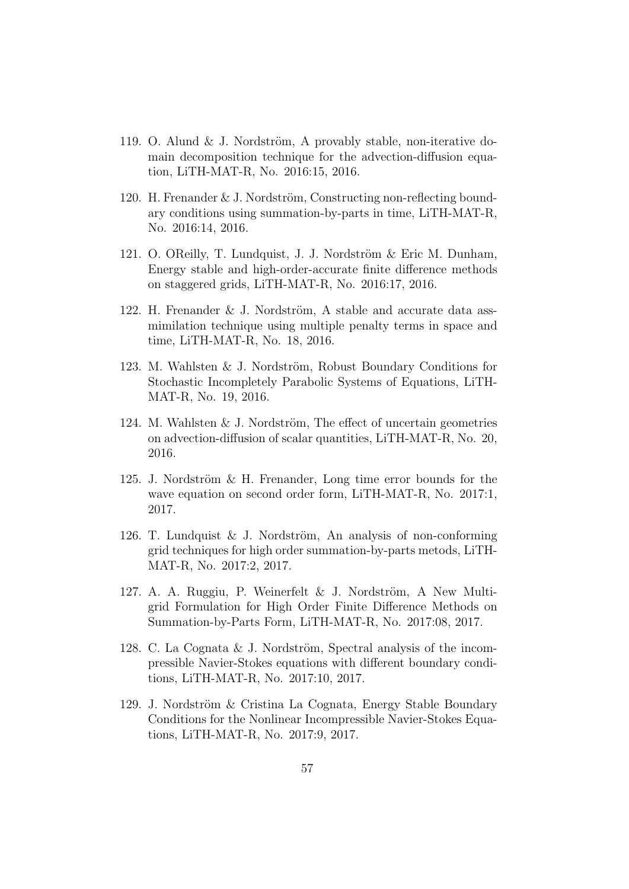- 119. O. Alund & J. Nordström, A provably stable, non-iterative domain decomposition technique for the advection-diffusion equation, LiTH-MAT-R, No. 2016:15, 2016.
- 120. H. Frenander & J. Nordström, Constructing non-reflecting boundary conditions using summation-by-parts in time, LiTH-MAT-R, No. 2016:14, 2016.
- 121. O. OReilly, T. Lundquist, J. J. Nordström & Eric M. Dunham, Energy stable and high-order-accurate finite difference methods on staggered grids, LiTH-MAT-R, No. 2016:17, 2016.
- 122. H. Frenander & J. Nordström, A stable and accurate data assmimilation technique using multiple penalty terms in space and time, LiTH-MAT-R, No. 18, 2016.
- 123. M. Wahlsten & J. Nordström, Robust Boundary Conditions for Stochastic Incompletely Parabolic Systems of Equations, LiTH-MAT-R, No. 19, 2016.
- 124. M. Wahlsten  $&$  J. Nordström, The effect of uncertain geometries on advection-diffusion of scalar quantities, LiTH-MAT-R, No. 20, 2016.
- 125. J. Nordström  $\&$  H. Frenander, Long time error bounds for the wave equation on second order form, LiTH-MAT-R, No. 2017:1, 2017.
- 126. T. Lundquist & J. Nordström, An analysis of non-conforming grid techniques for high order summation-by-parts metods, LiTH-MAT-R, No. 2017:2, 2017.
- 127. A. A. Ruggiu, P. Weinerfelt  $\&$  J. Nordström, A New Multigrid Formulation for High Order Finite Difference Methods on Summation-by-Parts Form, LiTH-MAT-R, No. 2017:08, 2017.
- 128. C. La Cognata & J. Nordström, Spectral analysis of the incompressible Navier-Stokes equations with different boundary conditions, LiTH-MAT-R, No. 2017:10, 2017.
- 129. J. Nordström & Cristina La Cognata, Energy Stable Boundary Conditions for the Nonlinear Incompressible Navier-Stokes Equations, LiTH-MAT-R, No. 2017:9, 2017.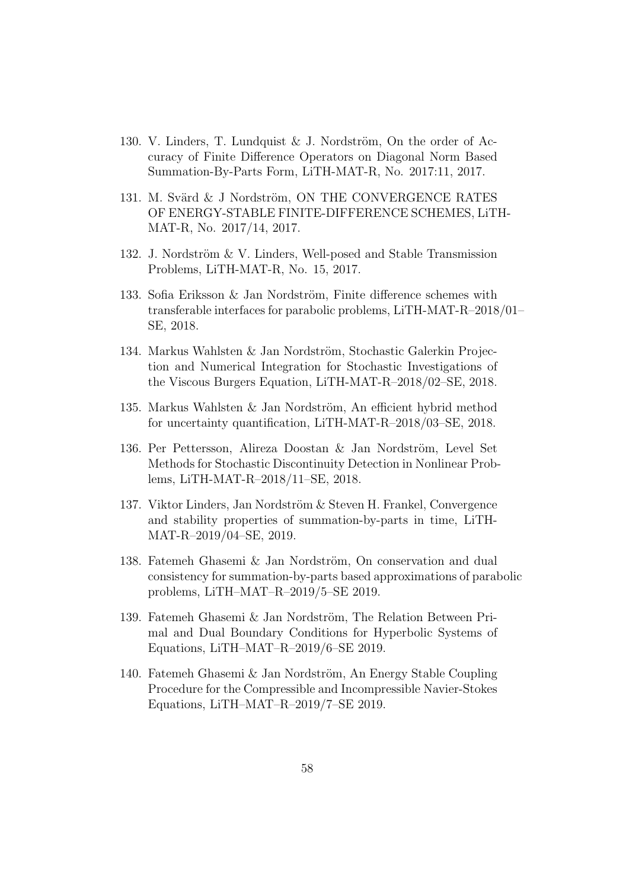- 130. V. Linders, T. Lundquist & J. Nordström, On the order of Accuracy of Finite Difference Operators on Diagonal Norm Based Summation-By-Parts Form, LiTH-MAT-R, No. 2017:11, 2017.
- 131. M. Svärd & J Nordström, ON THE CONVERGENCE RATES OF ENERGY-STABLE FINITE-DIFFERENCE SCHEMES, LiTH-MAT-R, No. 2017/14, 2017.
- 132. J. Nordström  $& V.$  Linders, Well-posed and Stable Transmission Problems, LiTH-MAT-R, No. 15, 2017.
- 133. Sofia Eriksson  $\&$  Jan Nordström, Finite difference schemes with transferable interfaces for parabolic problems, LiTH-MAT-R–2018/01– SE, 2018.
- 134. Markus Wahlsten & Jan Nordström, Stochastic Galerkin Projection and Numerical Integration for Stochastic Investigations of the Viscous Burgers Equation, LiTH-MAT-R–2018/02–SE, 2018.
- 135. Markus Wahlsten  $&$  Jan Nordström, An efficient hybrid method for uncertainty quantification, LiTH-MAT-R–2018/03–SE, 2018.
- 136. Per Pettersson, Alireza Doostan & Jan Nordström, Level Set Methods for Stochastic Discontinuity Detection in Nonlinear Problems, LiTH-MAT-R–2018/11–SE, 2018.
- 137. Viktor Linders, Jan Nordström & Steven H. Frankel, Convergence and stability properties of summation-by-parts in time, LiTH-MAT-R–2019/04–SE, 2019.
- 138. Fatemeh Ghasemi & Jan Nordström, On conservation and dual consistency for summation-by-parts based approximations of parabolic problems, LiTH–MAT–R–2019/5–SE 2019.
- 139. Fatemeh Ghasemi & Jan Nordström, The Relation Between Primal and Dual Boundary Conditions for Hyperbolic Systems of Equations, LiTH–MAT–R–2019/6–SE 2019.
- 140. Fatemeh Ghasemi  $\&$  Jan Nordström, An Energy Stable Coupling Procedure for the Compressible and Incompressible Navier-Stokes Equations, LiTH–MAT–R–2019/7–SE 2019.